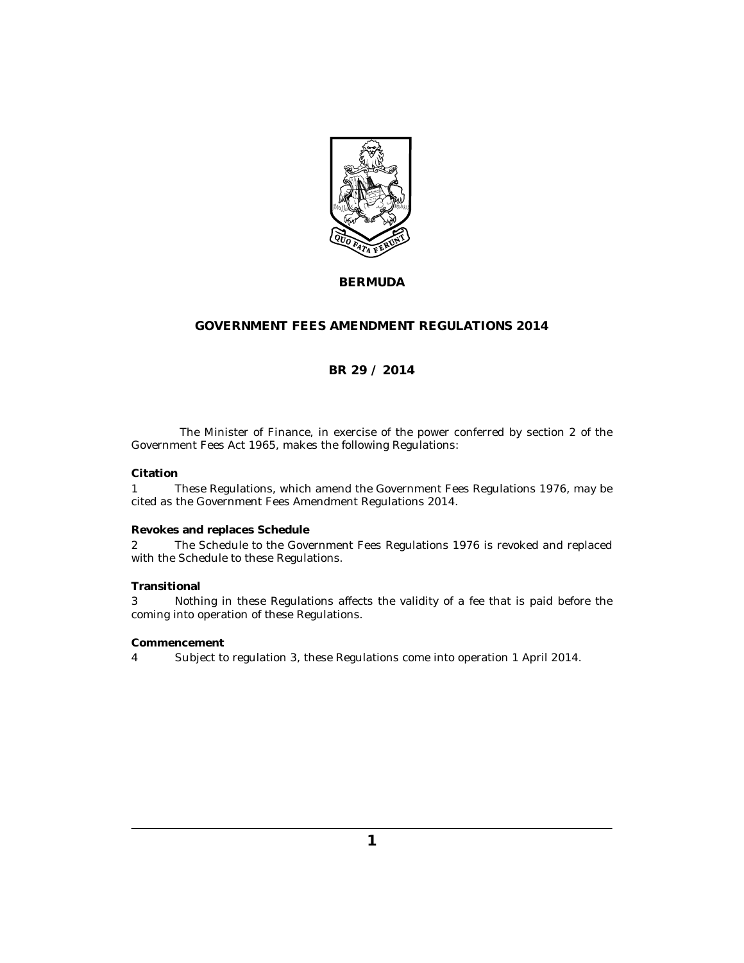

#### **BERMUDA**

#### **GOVERNMENT FEES AMENDMENT REGULATIONS 2014**

#### **BR 29 / 2014**

The Minister of Finance, in exercise of the power conferred by section 2 of the Government Fees Act 1965, makes the following Regulations:

#### **Citation**

These Regulations, which amend the Government Fees Regulations 1976, may be cited as the Government Fees Amendment Regulations 2014. 1

#### **Revokes and replaces Schedule**

The Schedule to the Government Fees Regulations 1976 is revoked and replaced with the Schedule to these Regulations. 2

#### **Transitional**

Nothing in these Regulations affects the validity of a fee that is paid before the coming into operation of these Regulations. 3

#### **Commencement**

Subject to regulation 3, these Regulations come into operation 1 April 2014. 4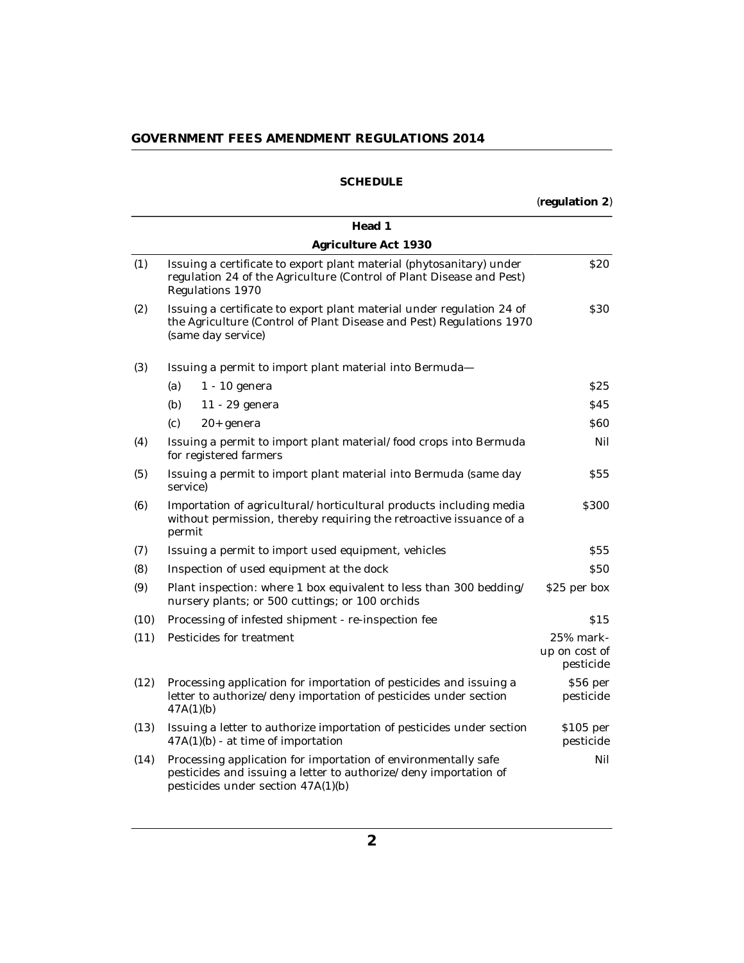#### **SCHEDULE**

(**regulation 2**)

|      | Head 1                                                                                                                                                                   |                                         |
|------|--------------------------------------------------------------------------------------------------------------------------------------------------------------------------|-----------------------------------------|
|      | Agriculture Act 1930                                                                                                                                                     |                                         |
| (1)  | Issuing a certificate to export plant material (phytosanitary) under<br>regulation 24 of the Agriculture (Control of Plant Disease and Pest)<br>Regulations 1970         | <b>S20</b>                              |
| (2)  | Issuing a certificate to export plant material under regulation 24 of<br>the Agriculture (Control of Plant Disease and Pest) Regulations 1970<br>(same day service)      | <b>S30</b>                              |
| (3)  | Issuing a permit to import plant material into Bermuda-                                                                                                                  |                                         |
|      | (a)<br>$1 - 10$ genera                                                                                                                                                   | \$25                                    |
|      | (b)<br>11 - 29 genera                                                                                                                                                    | \$45                                    |
|      | (c)<br>20+ genera                                                                                                                                                        | 860                                     |
| (4)  | Issuing a permit to import plant material/food crops into Bermuda<br>for registered farmers                                                                              | Nil                                     |
| (5)  | Issuing a permit to import plant material into Bermuda (same day<br>service)                                                                                             | \$55                                    |
| (6)  | Importation of agricultural/horticultural products including media<br>without permission, thereby requiring the retroactive issuance of a<br>permit                      | \$300                                   |
| (7)  | Issuing a permit to import used equipment, vehicles                                                                                                                      | <b>S55</b>                              |
| (8)  | Inspection of used equipment at the dock                                                                                                                                 | <b>S50</b>                              |
| (9)  | Plant inspection: where 1 box equivalent to less than 300 bedding/<br>nursery plants; or 500 cuttings; or 100 orchids                                                    | \$25 per box                            |
| (10) | Processing of infested shipment - re-inspection fee                                                                                                                      | \$15                                    |
| (11) | Pesticides for treatment                                                                                                                                                 | 25% mark-<br>up on cost of<br>pesticide |
| (12) | Processing application for importation of pesticides and issuing a<br>letter to authorize/deny importation of pesticides under section<br>47A(1)(b)                      | \$56 per<br>pesticide                   |
| (13) | Issuing a letter to authorize importation of pesticides under section<br>$47A(1)(b)$ - at time of importation                                                            | $$105$ per<br>pesticide                 |
| (14) | Processing application for importation of environmentally safe<br>pesticides and issuing a letter to authorize/deny importation of<br>pesticides under section 47A(1)(b) | Nil                                     |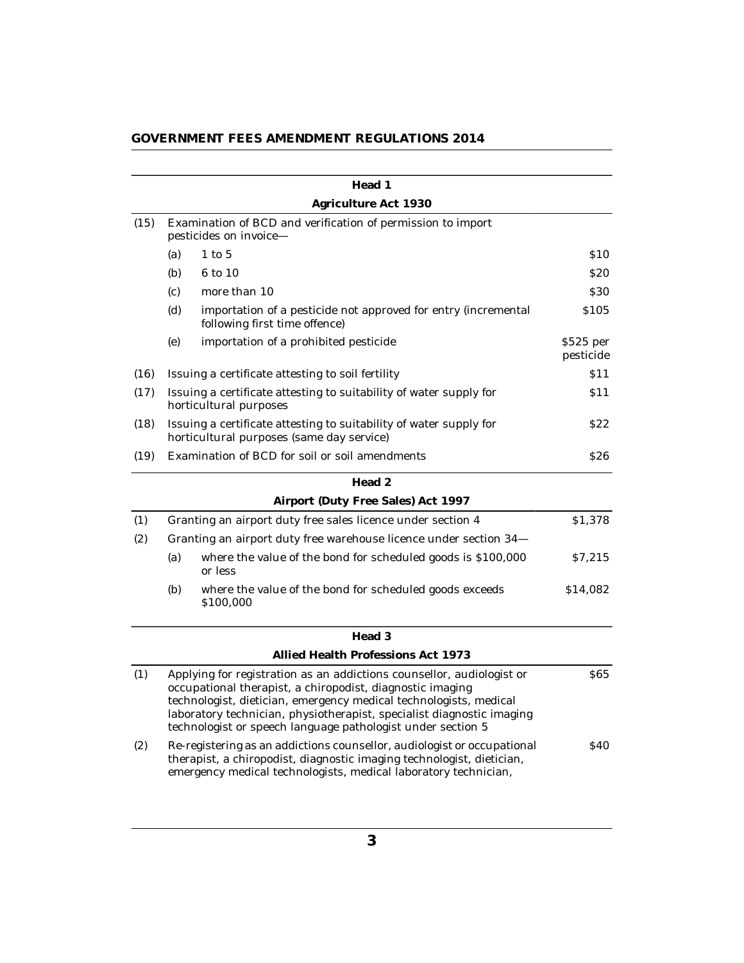|      |                                                                   | Head 1                                                                                                                                                                                                                                                                                                                                          |                        |  |  |
|------|-------------------------------------------------------------------|-------------------------------------------------------------------------------------------------------------------------------------------------------------------------------------------------------------------------------------------------------------------------------------------------------------------------------------------------|------------------------|--|--|
|      |                                                                   | Agriculture Act 1930                                                                                                                                                                                                                                                                                                                            |                        |  |  |
| (15) |                                                                   | Examination of BCD and verification of permission to import<br>pesticides on invoice-                                                                                                                                                                                                                                                           |                        |  |  |
|      | (a)                                                               | $1$ to $5$                                                                                                                                                                                                                                                                                                                                      | \$10                   |  |  |
|      | (b)                                                               | 6 to 10                                                                                                                                                                                                                                                                                                                                         | <b>S20</b>             |  |  |
|      | (c)                                                               | more than 10                                                                                                                                                                                                                                                                                                                                    | \$30                   |  |  |
|      | (d)                                                               | importation of a pesticide not approved for entry (incremental<br>following first time offence)                                                                                                                                                                                                                                                 | \$105                  |  |  |
|      | (e)                                                               | importation of a prohibited pesticide                                                                                                                                                                                                                                                                                                           | \$525 per<br>pesticide |  |  |
| (16) |                                                                   | Issuing a certificate attesting to soil fertility                                                                                                                                                                                                                                                                                               | \$11                   |  |  |
| (17) |                                                                   | Issuing a certificate attesting to suitability of water supply for<br>horticultural purposes                                                                                                                                                                                                                                                    | S 1 1                  |  |  |
| (18) |                                                                   | Issuing a certificate attesting to suitability of water supply for<br>horticultural purposes (same day service)                                                                                                                                                                                                                                 | S22                    |  |  |
| (19) |                                                                   | Examination of BCD for soil or soil amendments                                                                                                                                                                                                                                                                                                  | \$26                   |  |  |
|      |                                                                   | Head 2                                                                                                                                                                                                                                                                                                                                          |                        |  |  |
|      |                                                                   | Airport (Duty Free Sales) Act 1997                                                                                                                                                                                                                                                                                                              |                        |  |  |
| (1)  |                                                                   | Granting an airport duty free sales licence under section 4                                                                                                                                                                                                                                                                                     | \$1,378                |  |  |
| (2)  | Granting an airport duty free warehouse licence under section 34- |                                                                                                                                                                                                                                                                                                                                                 |                        |  |  |
|      | (a)                                                               | where the value of the bond for scheduled goods is \$100,000<br>or less                                                                                                                                                                                                                                                                         | \$7,215                |  |  |
|      | (b)                                                               | where the value of the bond for scheduled goods exceeds<br>\$100,000                                                                                                                                                                                                                                                                            | \$14,082               |  |  |
|      |                                                                   | Head 3                                                                                                                                                                                                                                                                                                                                          |                        |  |  |
|      |                                                                   | Allied Health Professions Act 1973                                                                                                                                                                                                                                                                                                              |                        |  |  |
| (1)  |                                                                   | Applying for registration as an addictions counsellor, audiologist or<br>occupational therapist, a chiropodist, diagnostic imaging<br>technologist, dietician, emergency medical technologists, medical<br>laboratory technician, physiotherapist, specialist diagnostic imaging<br>technologist or speech language pathologist under section 5 | <b>S65</b>             |  |  |
| (2)  |                                                                   | Re-registering as an addictions counsellor, audiologist or occupational<br>therapist, a chiropodist, diagnostic imaging technologist, dietician,<br>emergency medical technologists, medical laboratory technician,                                                                                                                             | \$40                   |  |  |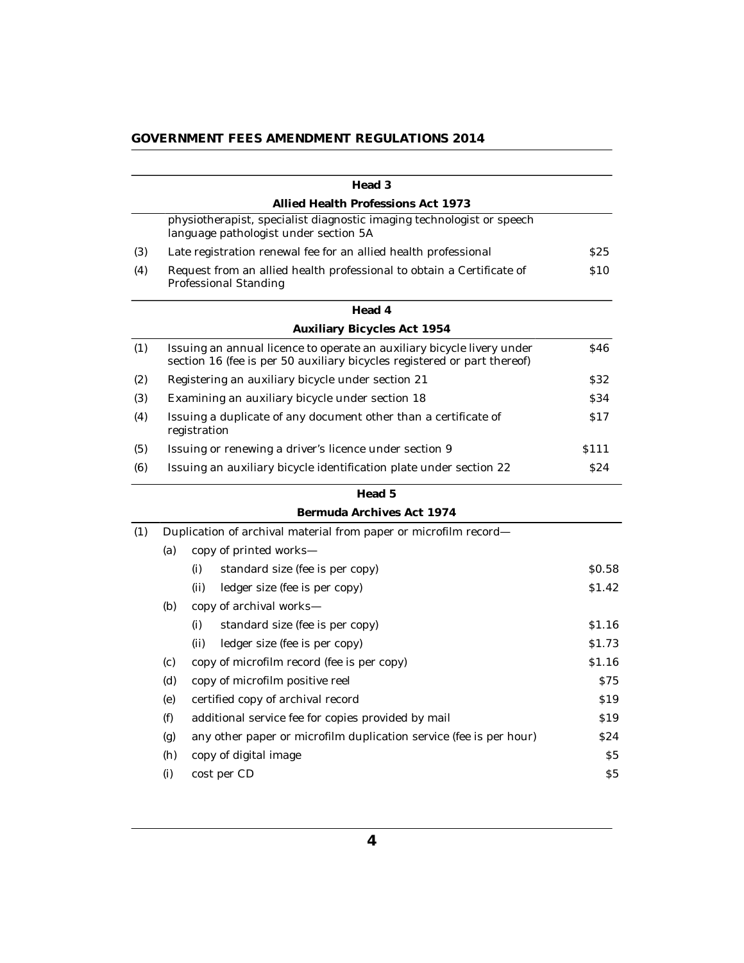|     |                                                                                                       | Head 3                                                                                                                                             |                 |  |
|-----|-------------------------------------------------------------------------------------------------------|----------------------------------------------------------------------------------------------------------------------------------------------------|-----------------|--|
|     |                                                                                                       | Allied Health Professions Act 1973                                                                                                                 |                 |  |
|     |                                                                                                       | physiotherapist, specialist diagnostic imaging technologist or speech<br>language pathologist under section 5A                                     |                 |  |
| (3) |                                                                                                       | Late registration renewal fee for an allied health professional                                                                                    | \$25            |  |
| (4) | Request from an allied health professional to obtain a Certificate of<br><b>Professional Standing</b> |                                                                                                                                                    |                 |  |
|     |                                                                                                       | Head 4                                                                                                                                             |                 |  |
|     |                                                                                                       | <b>Auxiliary Bicycles Act 1954</b>                                                                                                                 |                 |  |
| (1) |                                                                                                       | Issuing an annual licence to operate an auxiliary bicycle livery under<br>section 16 (fee is per 50 auxiliary bicycles registered or part thereof) | \$46            |  |
| (2) |                                                                                                       | Registering an auxiliary bicycle under section 21                                                                                                  | <b>S32</b>      |  |
| (3) |                                                                                                       | Examining an auxiliary bicycle under section 18                                                                                                    | \$34            |  |
| (4) |                                                                                                       | Issuing a duplicate of any document other than a certificate of<br>registration                                                                    | \$17            |  |
| (5) |                                                                                                       | Issuing or renewing a driver's licence under section 9                                                                                             | \$111           |  |
| (6) |                                                                                                       | Issuing an auxiliary bicycle identification plate under section 22                                                                                 | <b>S24</b>      |  |
|     |                                                                                                       | Head 5                                                                                                                                             |                 |  |
|     |                                                                                                       | Bermuda Archives Act 1974                                                                                                                          |                 |  |
| (1) |                                                                                                       | Duplication of archival material from paper or microfilm record-                                                                                   |                 |  |
|     | (a)                                                                                                   | copy of printed works-                                                                                                                             |                 |  |
|     |                                                                                                       | (i)<br>standard size (fee is per copy)                                                                                                             | \$0.58          |  |
|     |                                                                                                       | ledger size (fee is per copy)<br>(ii)                                                                                                              | \$1.42          |  |
|     | (b)                                                                                                   | copy of archival works-                                                                                                                            |                 |  |
|     |                                                                                                       | (i)<br>standard size (fee is per copy)                                                                                                             | \$1.16          |  |
|     |                                                                                                       | ledger size (fee is per copy)<br>(ii)                                                                                                              | \$1.73          |  |
|     | (c)                                                                                                   | copy of microfilm record (fee is per copy)                                                                                                         | \$1.16          |  |
|     | (d)                                                                                                   | copy of microfilm positive reel                                                                                                                    | <b>S75</b>      |  |
|     | (e)                                                                                                   | certified copy of archival record                                                                                                                  | \$19            |  |
|     | (f)                                                                                                   | additional service fee for copies provided by mail                                                                                                 | S <sub>19</sub> |  |
|     | (g)                                                                                                   | any other paper or microfilm duplication service (fee is per hour)                                                                                 | \$24            |  |
|     | (h)                                                                                                   | copy of digital image                                                                                                                              | \$5             |  |
|     | (i)                                                                                                   | cost per CD                                                                                                                                        | \$5             |  |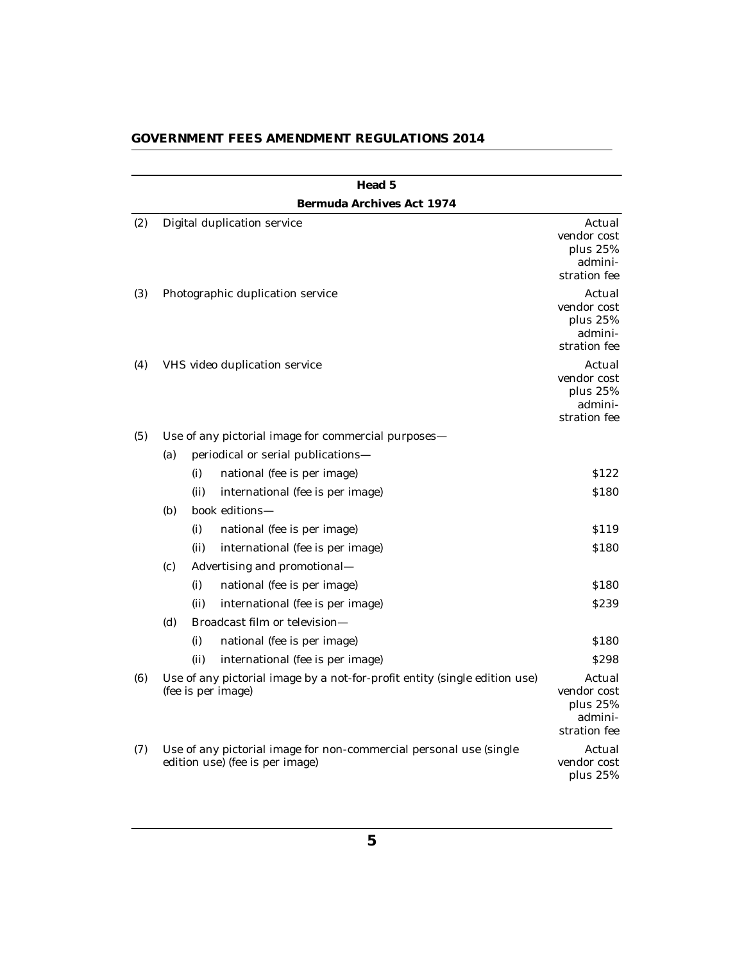|     |                                  |      | Head 5                                                                                                |                                                              |  |
|-----|----------------------------------|------|-------------------------------------------------------------------------------------------------------|--------------------------------------------------------------|--|
|     |                                  |      | Bermuda Archives Act 1974                                                                             |                                                              |  |
| (2) |                                  |      | Digital duplication service                                                                           | Actual<br>vendor cost<br>plus 25%<br>admini-<br>stration fee |  |
| (3) | Photographic duplication service |      |                                                                                                       |                                                              |  |
| (4) | VHS video duplication service    |      |                                                                                                       |                                                              |  |
| (5) |                                  |      | Use of any pictorial image for commercial purposes-                                                   |                                                              |  |
|     | (a)                              |      | periodical or serial publications-                                                                    |                                                              |  |
|     |                                  | (i)  | national (fee is per image)                                                                           | \$122                                                        |  |
|     |                                  | (ii) | international (fee is per image)                                                                      | \$180                                                        |  |
|     | (b)                              |      | book editions-                                                                                        |                                                              |  |
|     |                                  | (i)  | national (fee is per image)                                                                           | S <sub>119</sub>                                             |  |
|     |                                  | (ii) | international (fee is per image)                                                                      | \$180                                                        |  |
|     | (c)                              |      | Advertising and promotional-                                                                          |                                                              |  |
|     |                                  | (i)  | national (fee is per image)                                                                           | \$180                                                        |  |
|     |                                  | (ii) | international (fee is per image)                                                                      | \$239                                                        |  |
|     | (d)                              |      | Broadcast film or television-                                                                         |                                                              |  |
|     |                                  | (i)  | national (fee is per image)                                                                           | \$180                                                        |  |
|     |                                  | (ii) | international (fee is per image)                                                                      | <b>S298</b>                                                  |  |
| (6) |                                  |      | Use of any pictorial image by a not-for-profit entity (single edition use)<br>(fee is per image)      | Actual<br>vendor cost<br>plus 25%<br>admini-<br>stration fee |  |
| (7) |                                  |      | Use of any pictorial image for non-commercial personal use (single<br>edition use) (fee is per image) | Actual<br>vendor cost<br>plus $25%$                          |  |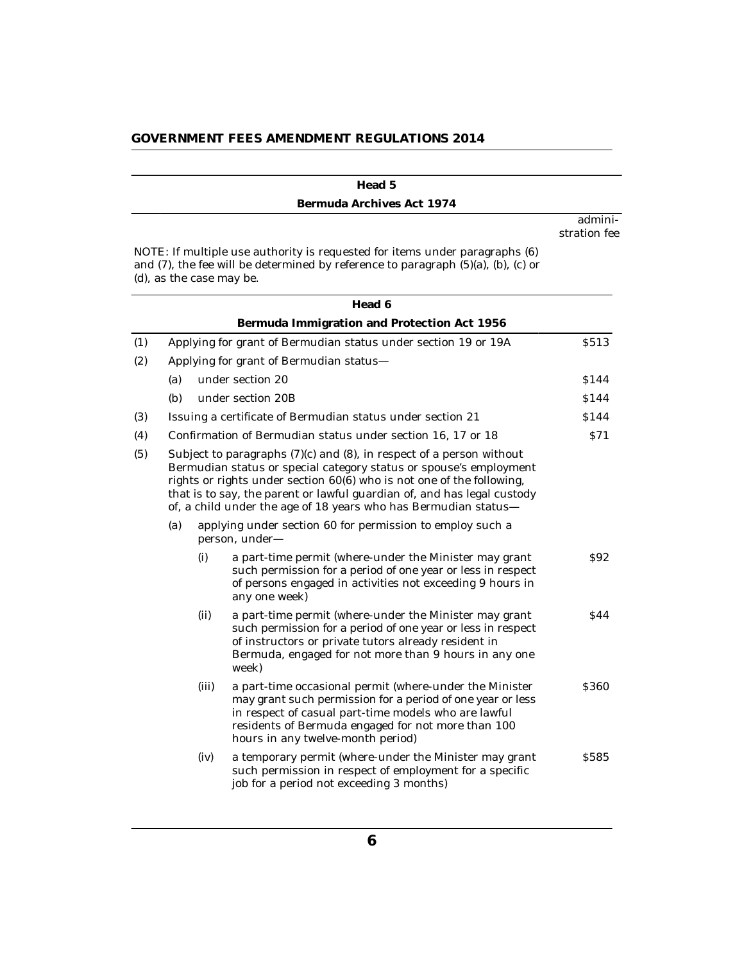|     |                                                                                                                                                                                                                                                                                                                                                                   |       | Head 5                                                                                                                                                                                                                                                                   |                         |
|-----|-------------------------------------------------------------------------------------------------------------------------------------------------------------------------------------------------------------------------------------------------------------------------------------------------------------------------------------------------------------------|-------|--------------------------------------------------------------------------------------------------------------------------------------------------------------------------------------------------------------------------------------------------------------------------|-------------------------|
|     |                                                                                                                                                                                                                                                                                                                                                                   |       | Bermuda Archives Act 1974                                                                                                                                                                                                                                                |                         |
|     |                                                                                                                                                                                                                                                                                                                                                                   |       |                                                                                                                                                                                                                                                                          | admini-<br>stration fee |
|     |                                                                                                                                                                                                                                                                                                                                                                   |       | NOTE: If multiple use authority is requested for items under paragraphs (6)<br>and (7), the fee will be determined by reference to paragraph (5)(a), (b), (c) or<br>(d), as the case may be.                                                                             |                         |
|     |                                                                                                                                                                                                                                                                                                                                                                   |       | Head 6                                                                                                                                                                                                                                                                   |                         |
|     |                                                                                                                                                                                                                                                                                                                                                                   |       | Bermuda Immigration and Protection Act 1956                                                                                                                                                                                                                              |                         |
| (1) |                                                                                                                                                                                                                                                                                                                                                                   |       | Applying for grant of Bermudian status under section 19 or 19A                                                                                                                                                                                                           | \$513                   |
| (2) |                                                                                                                                                                                                                                                                                                                                                                   |       | Applying for grant of Bermudian status-                                                                                                                                                                                                                                  |                         |
|     | (a)                                                                                                                                                                                                                                                                                                                                                               |       | under section 20                                                                                                                                                                                                                                                         | \$144                   |
|     | (b)                                                                                                                                                                                                                                                                                                                                                               |       | under section 20B                                                                                                                                                                                                                                                        | \$144                   |
| (3) |                                                                                                                                                                                                                                                                                                                                                                   |       | Issuing a certificate of Bermudian status under section 21                                                                                                                                                                                                               | <b>S144</b>             |
| (4) |                                                                                                                                                                                                                                                                                                                                                                   |       | Confirmation of Bermudian status under section 16, 17 or 18                                                                                                                                                                                                              | S71                     |
| (5) | Subject to paragraphs (7)(c) and (8), in respect of a person without<br>Bermudian status or special category status or spouse's employment<br>rights or rights under section 60(6) who is not one of the following,<br>that is to say, the parent or lawful guardian of, and has legal custody<br>of, a child under the age of 18 years who has Bermudian status- |       |                                                                                                                                                                                                                                                                          |                         |
|     | (a)                                                                                                                                                                                                                                                                                                                                                               |       | applying under section 60 for permission to employ such a<br>person, under-                                                                                                                                                                                              |                         |
|     |                                                                                                                                                                                                                                                                                                                                                                   | (i)   | a part-time permit (where-under the Minister may grant<br>such permission for a period of one year or less in respect<br>of persons engaged in activities not exceeding 9 hours in<br>any one week)                                                                      | S92                     |
|     |                                                                                                                                                                                                                                                                                                                                                                   | (ii)  | a part-time permit (where-under the Minister may grant<br>such permission for a period of one year or less in respect<br>of instructors or private tutors already resident in<br>Bermuda, engaged for not more than 9 hours in any one<br>week)                          | <b>S44</b>              |
|     |                                                                                                                                                                                                                                                                                                                                                                   | (iii) | a part-time occasional permit (where-under the Minister<br>may grant such permission for a period of one year or less<br>in respect of casual part-time models who are lawful<br>residents of Bermuda engaged for not more than 100<br>hours in any twelve-month period) | <b>S360</b>             |
|     |                                                                                                                                                                                                                                                                                                                                                                   | (iv)  | a temporary permit (where-under the Minister may grant<br>such permission in respect of employment for a specific<br>job for a period not exceeding 3 months)                                                                                                            | <b>S585</b>             |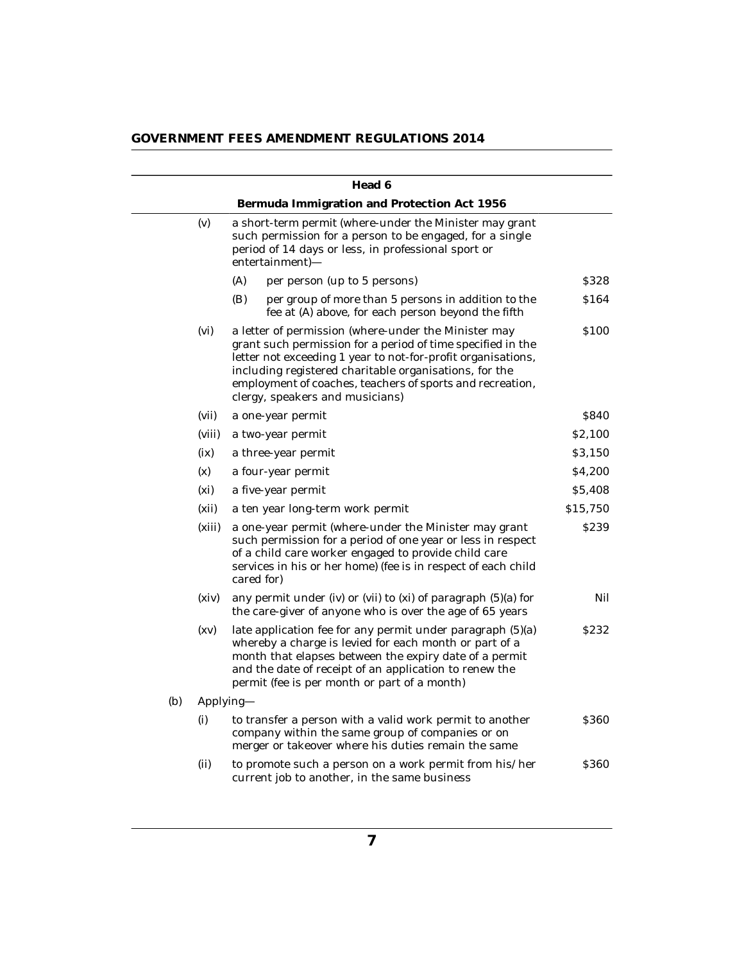| GOVERNMENT FEES AMENDMENT REGULATIONS 2014 |  |  |  |
|--------------------------------------------|--|--|--|
|--------------------------------------------|--|--|--|

|     |        | Head 6                                                                                                                                                                                                                                                                                                                                        |                  |
|-----|--------|-----------------------------------------------------------------------------------------------------------------------------------------------------------------------------------------------------------------------------------------------------------------------------------------------------------------------------------------------|------------------|
|     |        | Bermuda Immigration and Protection Act 1956                                                                                                                                                                                                                                                                                                   |                  |
|     | (v)    | a short-term permit (where-under the Minister may grant<br>such permission for a person to be engaged, for a single<br>period of 14 days or less, in professional sport or<br>entertainment)-                                                                                                                                                 |                  |
|     |        | (A)<br>per person (up to 5 persons)                                                                                                                                                                                                                                                                                                           | \$328            |
|     |        | (B)<br>per group of more than 5 persons in addition to the<br>fee at (A) above, for each person beyond the fifth                                                                                                                                                                                                                              | \$164            |
|     | (vi)   | a letter of permission (where-under the Minister may<br>grant such permission for a period of time specified in the<br>letter not exceeding 1 year to not-for-profit organisations,<br>including registered charitable organisations, for the<br>employment of coaches, teachers of sports and recreation,<br>clergy, speakers and musicians) | \$100            |
|     | (vii)  | a one-year permit                                                                                                                                                                                                                                                                                                                             | \$840            |
|     | (viii) | a two-year permit                                                                                                                                                                                                                                                                                                                             | \$2,100          |
|     | (ix)   | a three-year permit                                                                                                                                                                                                                                                                                                                           | \$3,150          |
|     | (x)    | a four-year permit                                                                                                                                                                                                                                                                                                                            | \$4,200          |
|     | (xi)   | a five-year permit                                                                                                                                                                                                                                                                                                                            | \$5,408          |
|     | (xii)  | a ten year long-term work permit                                                                                                                                                                                                                                                                                                              | \$15,750         |
|     | (xiii) | a one-year permit (where-under the Minister may grant<br>such permission for a period of one year or less in respect<br>of a child care worker engaged to provide child care<br>services in his or her home) (fee is in respect of each child<br>cared for)                                                                                   | \$239            |
|     | (xiv)  | any permit under (iv) or (vii) to (xi) of paragraph (5)(a) for<br>the care-giver of anyone who is over the age of 65 years                                                                                                                                                                                                                    | Nil              |
|     | (xv)   | late application fee for any permit under paragraph (5)(a)<br>whereby a charge is levied for each month or part of a<br>month that elapses between the expiry date of a permit<br>and the date of receipt of an application to renew the<br>permit (fee is per month or part of a month)                                                      | S <sub>232</sub> |
| (b) |        | Applying-                                                                                                                                                                                                                                                                                                                                     |                  |
|     | (i)    | to transfer a person with a valid work permit to another<br>company within the same group of companies or on<br>merger or takeover where his duties remain the same                                                                                                                                                                           | \$360            |
|     | (ii)   | to promote such a person on a work permit from his/her<br>current job to another, in the same business                                                                                                                                                                                                                                        | \$360            |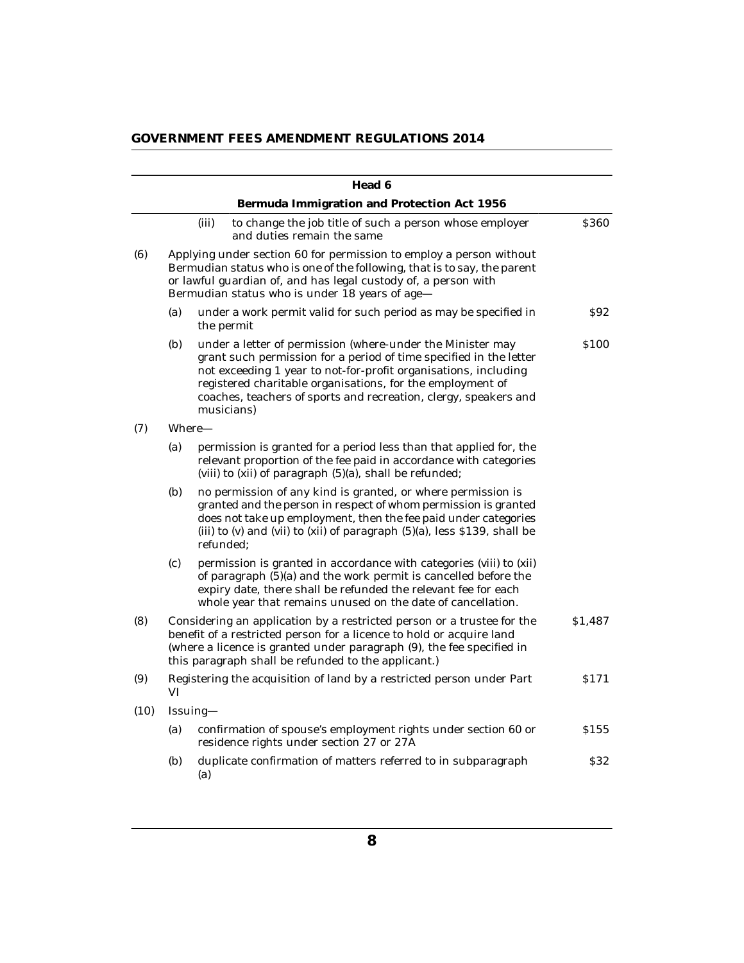|      |     |           | Head 6                                                                                                                                                                                                                                                                                                                                              |         |
|------|-----|-----------|-----------------------------------------------------------------------------------------------------------------------------------------------------------------------------------------------------------------------------------------------------------------------------------------------------------------------------------------------------|---------|
|      |     |           | Bermuda Immigration and Protection Act 1956                                                                                                                                                                                                                                                                                                         |         |
|      |     | (iii)     | to change the job title of such a person whose employer<br>and duties remain the same                                                                                                                                                                                                                                                               | \$360   |
| (6)  |     |           | Applying under section 60 for permission to employ a person without<br>Bermudian status who is one of the following, that is to say, the parent<br>or lawful guardian of, and has legal custody of, a person with<br>Bermudian status who is under 18 years of age-                                                                                 |         |
|      | (a) |           | under a work permit valid for such period as may be specified in<br>the permit                                                                                                                                                                                                                                                                      | \$92    |
|      | (b) |           | under a letter of permission (where-under the Minister may<br>grant such permission for a period of time specified in the letter<br>not exceeding 1 year to not-for-profit organisations, including<br>registered charitable organisations, for the employment of<br>coaches, teachers of sports and recreation, clergy, speakers and<br>musicians) | \$100   |
| (7)  |     | Where-    |                                                                                                                                                                                                                                                                                                                                                     |         |
|      | (a) |           | permission is granted for a period less than that applied for, the<br>relevant proportion of the fee paid in accordance with categories<br>(viii) to (xii) of paragraph (5)(a), shall be refunded;                                                                                                                                                  |         |
|      | (b) | refunded: | no permission of any kind is granted, or where permission is<br>granted and the person in respect of whom permission is granted<br>does not take up employment, then the fee paid under categories<br>(iii) to $(v)$ and $(vii)$ to $(xii)$ of paragraph $(5)(a)$ , less \$139, shall be                                                            |         |
|      | (c) |           | permission is granted in accordance with categories (viii) to (xii)<br>of paragraph (5)(a) and the work permit is cancelled before the<br>expiry date, there shall be refunded the relevant fee for each<br>whole year that remains unused on the date of cancellation.                                                                             |         |
| (8)  |     |           | Considering an application by a restricted person or a trustee for the<br>benefit of a restricted person for a licence to hold or acquire land<br>(where a licence is granted under paragraph (9), the fee specified in<br>this paragraph shall be refunded to the applicant.)                                                                      | \$1,487 |
| (9)  | VI  |           | Registering the acquisition of land by a restricted person under Part                                                                                                                                                                                                                                                                               | \$171   |
| (10) |     | Issuing-  |                                                                                                                                                                                                                                                                                                                                                     |         |
|      | (a) |           | confirmation of spouse's employment rights under section 60 or<br>residence rights under section 27 or 27A                                                                                                                                                                                                                                          | \$155   |
|      | (b) | (a)       | duplicate confirmation of matters referred to in subparagraph                                                                                                                                                                                                                                                                                       | \$32    |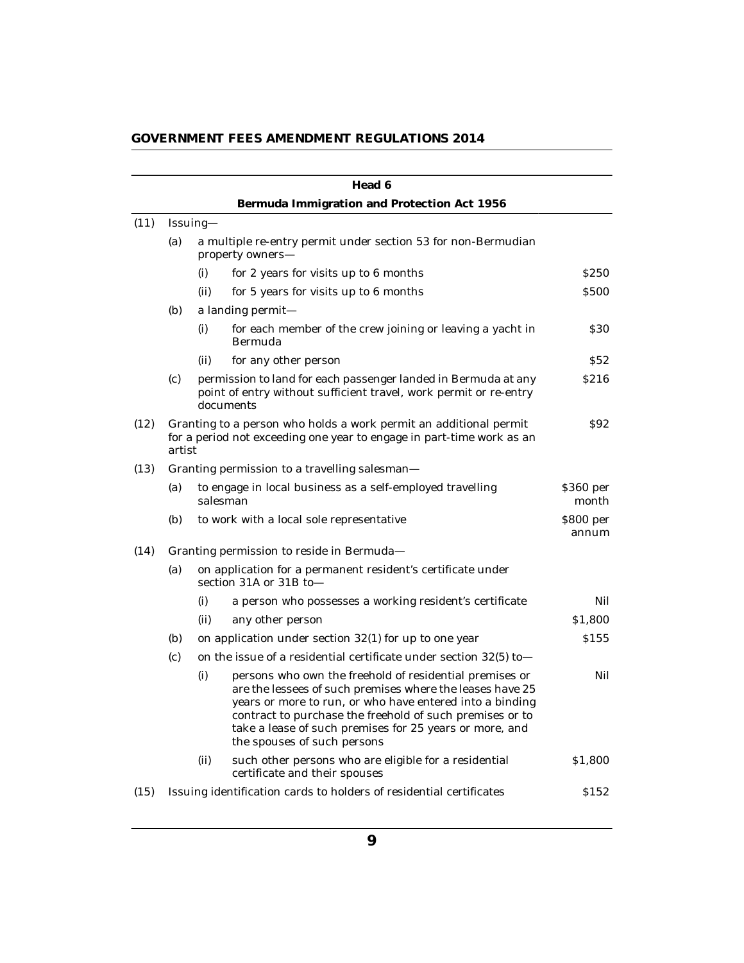| GOVERNMENT FEES AMENDMENT REGULATIONS 2014 |  |  |  |
|--------------------------------------------|--|--|--|
|--------------------------------------------|--|--|--|

|      |        |          | Head 6                                                                                                                                                                                                                                                                                                                                 |                    |  |  |  |
|------|--------|----------|----------------------------------------------------------------------------------------------------------------------------------------------------------------------------------------------------------------------------------------------------------------------------------------------------------------------------------------|--------------------|--|--|--|
|      |        |          | Bermuda Immigration and Protection Act 1956                                                                                                                                                                                                                                                                                            |                    |  |  |  |
| (11) |        | Issuing- |                                                                                                                                                                                                                                                                                                                                        |                    |  |  |  |
|      | (a)    |          | a multiple re-entry permit under section 53 for non-Bermudian<br>property owners-                                                                                                                                                                                                                                                      |                    |  |  |  |
|      |        | (i)      | for 2 years for visits up to 6 months                                                                                                                                                                                                                                                                                                  | S <sub>250</sub>   |  |  |  |
|      |        | (ii)     | for 5 years for visits up to 6 months                                                                                                                                                                                                                                                                                                  | <b>S500</b>        |  |  |  |
|      | (b)    |          | a landing permit-                                                                                                                                                                                                                                                                                                                      |                    |  |  |  |
|      |        | (i)      | for each member of the crew joining or leaving a yacht in<br>Bermuda                                                                                                                                                                                                                                                                   | \$30               |  |  |  |
|      |        | (ii)     | for any other person                                                                                                                                                                                                                                                                                                                   | S52                |  |  |  |
|      | (c)    |          | permission to land for each passenger landed in Bermuda at any<br>point of entry without sufficient travel, work permit or re-entry<br>documents                                                                                                                                                                                       | S <sub>2</sub> 16  |  |  |  |
| (12) | artist |          | Granting to a person who holds a work permit an additional permit<br>for a period not exceeding one year to engage in part-time work as an                                                                                                                                                                                             | <b>S92</b>         |  |  |  |
| (13) |        |          | Granting permission to a travelling salesman-                                                                                                                                                                                                                                                                                          |                    |  |  |  |
|      | (a)    |          | to engage in local business as a self-employed travelling<br>salesman                                                                                                                                                                                                                                                                  | \$360 per<br>month |  |  |  |
|      | (b)    |          | to work with a local sole representative                                                                                                                                                                                                                                                                                               | \$800 per<br>annum |  |  |  |
| (14) |        |          | Granting permission to reside in Bermuda-                                                                                                                                                                                                                                                                                              |                    |  |  |  |
|      | (a)    |          | on application for a permanent resident's certificate under<br>section 31A or 31B to-                                                                                                                                                                                                                                                  |                    |  |  |  |
|      |        | (i)      | a person who possesses a working resident's certificate                                                                                                                                                                                                                                                                                | Nil                |  |  |  |
|      |        | (ii)     | any other person                                                                                                                                                                                                                                                                                                                       | \$1,800            |  |  |  |
|      | (b)    |          | on application under section 32(1) for up to one year                                                                                                                                                                                                                                                                                  | \$155              |  |  |  |
|      | (c)    |          | on the issue of a residential certificate under section $32(5)$ to                                                                                                                                                                                                                                                                     |                    |  |  |  |
|      |        | (i)      | persons who own the freehold of residential premises or<br>are the lessees of such premises where the leases have 25<br>years or more to run, or who have entered into a binding<br>contract to purchase the freehold of such premises or to<br>take a lease of such premises for 25 years or more, and<br>the spouses of such persons | Nil                |  |  |  |
|      |        | (ii)     | such other persons who are eligible for a residential<br>certificate and their spouses                                                                                                                                                                                                                                                 | \$1,800            |  |  |  |
| (15) |        |          | Issuing identification cards to holders of residential certificates                                                                                                                                                                                                                                                                    | \$152              |  |  |  |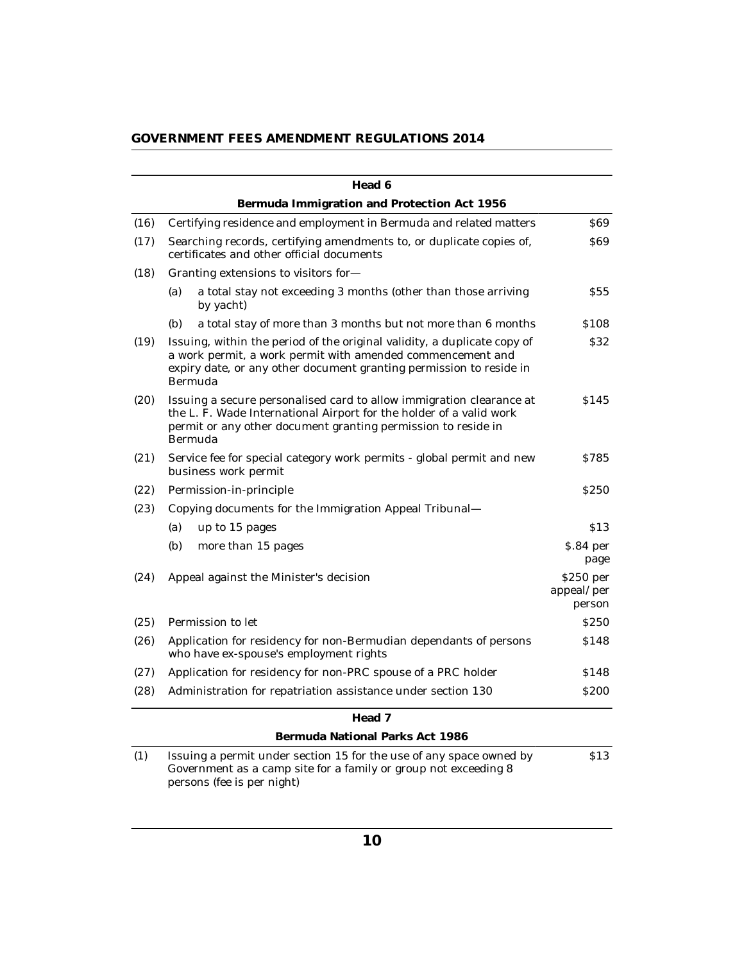|      | Head 6                                                                                                                                                                                                                   |                                   |
|------|--------------------------------------------------------------------------------------------------------------------------------------------------------------------------------------------------------------------------|-----------------------------------|
|      | Bermuda Immigration and Protection Act 1956                                                                                                                                                                              |                                   |
| (16) | Certifying residence and employment in Bermuda and related matters                                                                                                                                                       | <b>S69</b>                        |
| (17) | Searching records, certifying amendments to, or duplicate copies of,<br>certificates and other official documents                                                                                                        | S69                               |
| (18) | Granting extensions to visitors for-                                                                                                                                                                                     |                                   |
|      | a total stay not exceeding 3 months (other than those arriving<br>(a)<br>by yacht)                                                                                                                                       | <b>S55</b>                        |
|      | (b)<br>a total stay of more than 3 months but not more than 6 months                                                                                                                                                     | \$108                             |
| (19) | Issuing, within the period of the original validity, a duplicate copy of<br>a work permit, a work permit with amended commencement and<br>expiry date, or any other document granting permission to reside in<br>Bermuda | \$32                              |
| (20) | Issuing a secure personalised card to allow immigration clearance at<br>the L. F. Wade International Airport for the holder of a valid work<br>permit or any other document granting permission to reside in<br>Bermuda  | \$145                             |
| (21) | Service fee for special category work permits - global permit and new<br>business work permit                                                                                                                            | S785                              |
| (22) | Permission-in-principle                                                                                                                                                                                                  | <b>S250</b>                       |
| (23) | Copying documents for the Immigration Appeal Tribunal-                                                                                                                                                                   |                                   |
|      | (a)<br>up to 15 pages                                                                                                                                                                                                    | \$13                              |
|      | (b)<br>more than 15 pages                                                                                                                                                                                                | \$.84 per<br>page                 |
| (24) | Appeal against the Minister's decision                                                                                                                                                                                   | \$250 per<br>appeal/per<br>person |
| (25) | Permission to let                                                                                                                                                                                                        | <b>S250</b>                       |
| (26) | Application for residency for non-Bermudian dependants of persons<br>who have ex-spouse's employment rights                                                                                                              | \$148                             |
| (27) | Application for residency for non-PRC spouse of a PRC holder                                                                                                                                                             | \$148                             |
| (28) | Administration for repatriation assistance under section 130                                                                                                                                                             | <b>\$200</b>                      |
|      | Head 7                                                                                                                                                                                                                   |                                   |
|      | Bermuda National Parks Act 1986                                                                                                                                                                                          |                                   |
| (1)  | Issuing a permit under section 15 for the use of any space owned by<br>Government as a camp site for a family or group not exceeding 8<br>persons (fee is per night)                                                     | \$13                              |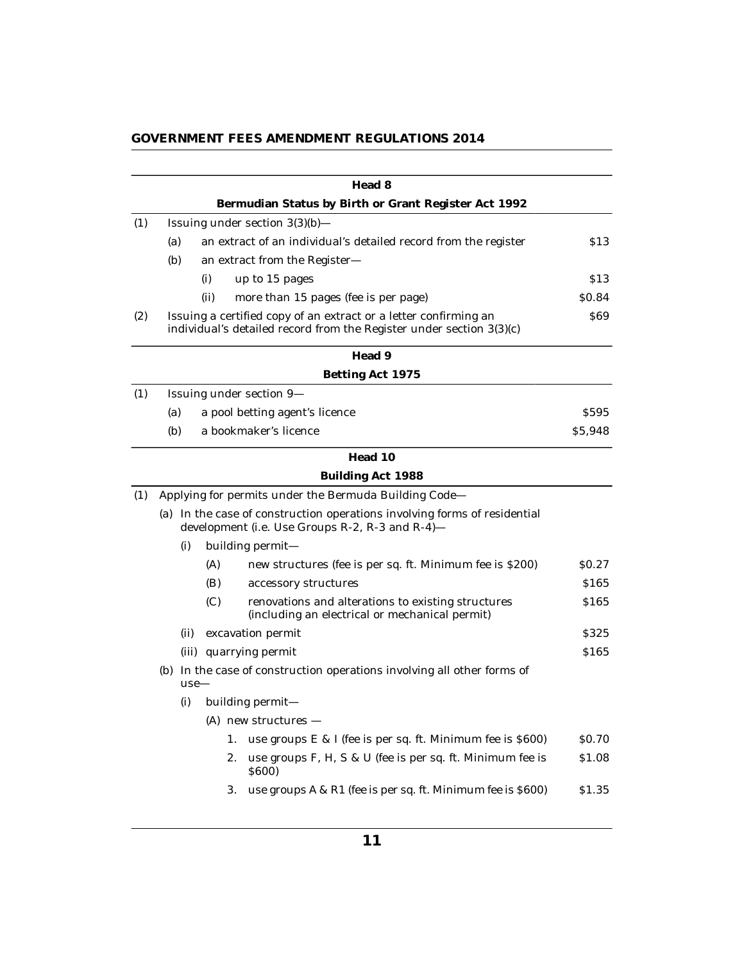|  |  | GOVERNMENT FEES AMENDMENT REGULATIONS 2014 |
|--|--|--------------------------------------------|
|--|--|--------------------------------------------|

|     |                                                                                   |      |      | Head 8                                                                                                                                   |                  |
|-----|-----------------------------------------------------------------------------------|------|------|------------------------------------------------------------------------------------------------------------------------------------------|------------------|
|     |                                                                                   |      |      | Bermudian Status by Birth or Grant Register Act 1992                                                                                     |                  |
| (1) |                                                                                   |      |      | Issuing under section 3(3)(b)-                                                                                                           |                  |
|     | (a)                                                                               |      |      | an extract of an individual's detailed record from the register                                                                          | \$13             |
|     | (b)                                                                               |      |      | an extract from the Register-                                                                                                            |                  |
|     |                                                                                   |      | (i)  | up to 15 pages                                                                                                                           | \$13             |
|     |                                                                                   |      | (ii) | more than 15 pages (fee is per page)                                                                                                     | \$0.84           |
| (2) |                                                                                   |      |      | Issuing a certified copy of an extract or a letter confirming an<br>individual's detailed record from the Register under section 3(3)(c) | \$69             |
|     |                                                                                   |      |      | Head 9                                                                                                                                   |                  |
|     |                                                                                   |      |      | Betting Act 1975                                                                                                                         |                  |
| (1) |                                                                                   |      |      | Issuing under section 9-                                                                                                                 |                  |
|     | (a)                                                                               |      |      | a pool betting agent's licence                                                                                                           | <b>S595</b>      |
|     | (b)                                                                               |      |      | a bookmaker's licence                                                                                                                    | \$5,948          |
|     |                                                                                   |      |      | Head 10                                                                                                                                  |                  |
|     |                                                                                   |      |      | Building Act 1988                                                                                                                        |                  |
| (1) |                                                                                   |      |      | Applying for permits under the Bermuda Building Code-                                                                                    |                  |
|     |                                                                                   |      |      | (a) In the case of construction operations involving forms of residential<br>development (i.e. Use Groups R-2, R-3 and R-4)-             |                  |
|     |                                                                                   | (i)  |      | building permit-                                                                                                                         |                  |
|     |                                                                                   |      | (A)  | new structures (fee is per sq. ft. Minimum fee is \$200)                                                                                 | \$0.27           |
|     |                                                                                   |      | (B)  | accessory structures                                                                                                                     | \$165            |
|     |                                                                                   |      | (C)  | renovations and alterations to existing structures<br>(including an electrical or mechanical permit)                                     | \$165            |
|     |                                                                                   | (ii) |      | excavation permit                                                                                                                        | S <sub>325</sub> |
|     |                                                                                   |      |      | (iii) quarrying permit                                                                                                                   | \$165            |
|     | (b) In the case of construction operations involving all other forms of<br>$use-$ |      |      |                                                                                                                                          |                  |
|     |                                                                                   | (i)  |      | building permit-                                                                                                                         |                  |
|     |                                                                                   |      |      | $(A)$ new structures –                                                                                                                   |                  |
|     |                                                                                   |      | 1.   | use groups E & I (fee is per sq. ft. Minimum fee is \$600)                                                                               | \$0.70           |
|     |                                                                                   |      | 2.   | use groups F, H, S & U (fee is per sq. ft. Minimum fee is<br>\$600)                                                                      | \$1.08           |
|     |                                                                                   |      | 3.   | use groups A & R1 (fee is per sq. ft. Minimum fee is \$600)                                                                              | \$1.35           |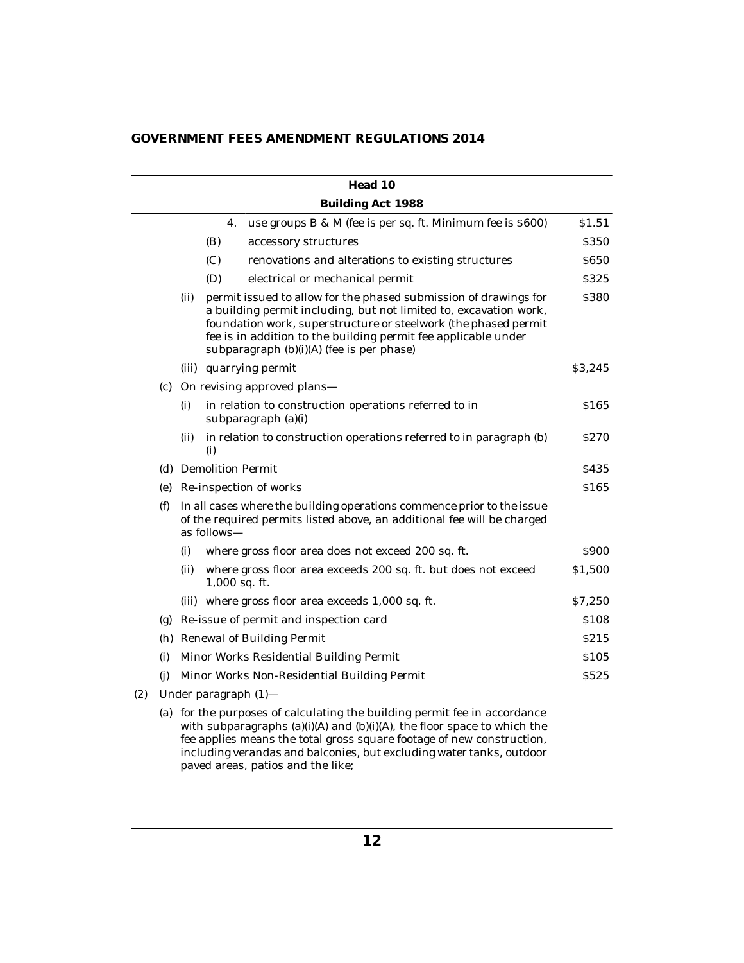|  |  | GOVERNMENT FEES AMENDMENT REGULATIONS 2014 |
|--|--|--------------------------------------------|
|--|--|--------------------------------------------|

|     |     |      |                         | Head 10                                                                                                                                                                                                                                                                                                                 |             |
|-----|-----|------|-------------------------|-------------------------------------------------------------------------------------------------------------------------------------------------------------------------------------------------------------------------------------------------------------------------------------------------------------------------|-------------|
|     |     |      |                         | Building Act 1988                                                                                                                                                                                                                                                                                                       |             |
|     |     |      | 4.                      | use groups B & M (fee is per sq. ft. Minimum fee is \$600)                                                                                                                                                                                                                                                              | \$1.51      |
|     |     |      | (B)                     | accessory structures                                                                                                                                                                                                                                                                                                    | \$350       |
|     |     |      | (C)                     | renovations and alterations to existing structures                                                                                                                                                                                                                                                                      | \$650       |
|     |     |      | (D)                     | electrical or mechanical permit                                                                                                                                                                                                                                                                                         | \$325       |
|     |     | (ii) |                         | permit issued to allow for the phased submission of drawings for<br>a building permit including, but not limited to, excavation work,<br>foundation work, superstructure or steelwork (the phased permit<br>fee is in addition to the building permit fee applicable under<br>subparagraph (b)(i)(A) (fee is per phase) | \$380       |
|     |     |      |                         | (iii) quarrying permit                                                                                                                                                                                                                                                                                                  | \$3,245     |
|     | (c) |      |                         | On revising approved plans-                                                                                                                                                                                                                                                                                             |             |
|     |     | (i)  |                         | in relation to construction operations referred to in<br>subparagraph (a)(i)                                                                                                                                                                                                                                            | \$165       |
|     |     | (ii) | (i)                     | in relation to construction operations referred to in paragraph (b)                                                                                                                                                                                                                                                     | \$270       |
|     |     |      | (d) Demolition Permit   |                                                                                                                                                                                                                                                                                                                         | \$435       |
|     |     |      |                         | (e) Re-inspection of works                                                                                                                                                                                                                                                                                              | \$165       |
|     | (f) |      | as follows—             | In all cases where the building operations commence prior to the issue<br>of the required permits listed above, an additional fee will be charged                                                                                                                                                                       |             |
|     |     | (i)  |                         | where gross floor area does not exceed 200 sq. ft.                                                                                                                                                                                                                                                                      | \$900       |
|     |     | (ii) | $1,000$ sq. ft.         | where gross floor area exceeds 200 sq. ft. but does not exceed                                                                                                                                                                                                                                                          | \$1,500     |
|     |     |      |                         | (iii) where gross floor area exceeds 1,000 sq. ft.                                                                                                                                                                                                                                                                      | \$7,250     |
|     | (g) |      |                         | Re-issue of permit and inspection card                                                                                                                                                                                                                                                                                  | \$108       |
|     |     |      |                         | (h) Renewal of Building Permit                                                                                                                                                                                                                                                                                          | <b>S215</b> |
|     | (i) |      |                         | Minor Works Residential Building Permit                                                                                                                                                                                                                                                                                 | \$105       |
|     | (i) |      |                         | Minor Works Non-Residential Building Permit                                                                                                                                                                                                                                                                             | \$525       |
| (2) |     |      | Under paragraph $(1)$ — |                                                                                                                                                                                                                                                                                                                         |             |
|     |     |      |                         | (a) for the purposes of calculating the building permit fee in accordance<br>with subparagraphs $(a)(i)(A)$ and $(b)(i)(A)$ , the floor space to which the<br>fee applies means the total gross square footage of new construction                                                                                      |             |

fee applies means the total gross square footage of new construction, including verandas and balconies, but excluding water tanks, outdoor paved areas, patios and the like;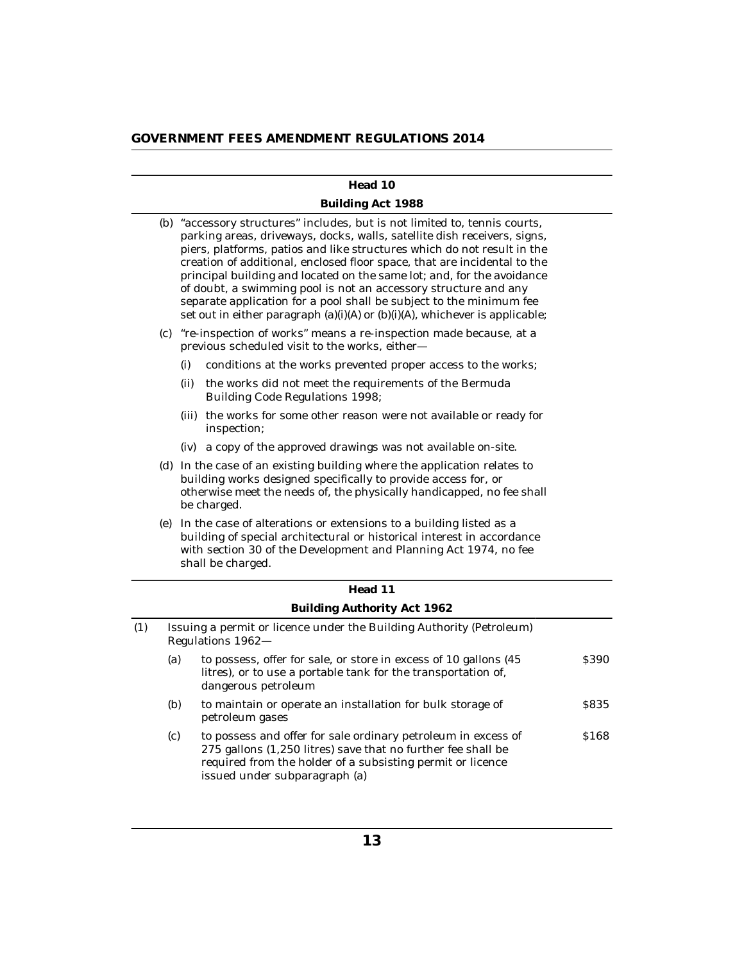#### **Head 10**

## **Building Act 1988**

|     |                                                                                                                                                                                                                                    | (b) "accessory structures" includes, but is not limited to, tennis courts,<br>parking areas, driveways, docks, walls, satellite dish receivers, signs,<br>piers, platforms, patios and like structures which do not result in the<br>creation of additional, enclosed floor space, that are incidental to the<br>principal building and located on the same lot; and, for the avoidance<br>of doubt, a swimming pool is not an accessory structure and any<br>separate application for a pool shall be subject to the minimum fee<br>set out in either paragraph (a)(i)(A) or (b)(i)(A), whichever is applicable; |                                                                                                                                                                                                                                           |       |  |  |
|-----|------------------------------------------------------------------------------------------------------------------------------------------------------------------------------------------------------------------------------------|-------------------------------------------------------------------------------------------------------------------------------------------------------------------------------------------------------------------------------------------------------------------------------------------------------------------------------------------------------------------------------------------------------------------------------------------------------------------------------------------------------------------------------------------------------------------------------------------------------------------|-------------------------------------------------------------------------------------------------------------------------------------------------------------------------------------------------------------------------------------------|-------|--|--|
|     | $\left( \mathrm{c}\right)$                                                                                                                                                                                                         |                                                                                                                                                                                                                                                                                                                                                                                                                                                                                                                                                                                                                   | "re-inspection of works" means a re-inspection made because, at a<br>previous scheduled visit to the works, either-                                                                                                                       |       |  |  |
|     |                                                                                                                                                                                                                                    | (i)                                                                                                                                                                                                                                                                                                                                                                                                                                                                                                                                                                                                               | conditions at the works prevented proper access to the works;                                                                                                                                                                             |       |  |  |
|     |                                                                                                                                                                                                                                    | (ii)                                                                                                                                                                                                                                                                                                                                                                                                                                                                                                                                                                                                              | the works did not meet the requirements of the Bermuda<br>Building Code Regulations 1998;                                                                                                                                                 |       |  |  |
|     |                                                                                                                                                                                                                                    | (iii) the works for some other reason were not available or ready for<br>inspection;                                                                                                                                                                                                                                                                                                                                                                                                                                                                                                                              |                                                                                                                                                                                                                                           |       |  |  |
|     |                                                                                                                                                                                                                                    | a copy of the approved drawings was not available on-site.<br>(iv)                                                                                                                                                                                                                                                                                                                                                                                                                                                                                                                                                |                                                                                                                                                                                                                                           |       |  |  |
|     | (d) In the case of an existing building where the application relates to<br>building works designed specifically to provide access for, or<br>otherwise meet the needs of, the physically handicapped, no fee shall<br>be charged. |                                                                                                                                                                                                                                                                                                                                                                                                                                                                                                                                                                                                                   |                                                                                                                                                                                                                                           |       |  |  |
|     |                                                                                                                                                                                                                                    |                                                                                                                                                                                                                                                                                                                                                                                                                                                                                                                                                                                                                   | (e) In the case of alterations or extensions to a building listed as a<br>building of special architectural or historical interest in accordance<br>with section 30 of the Development and Planning Act 1974, no fee<br>shall be charged. |       |  |  |
|     |                                                                                                                                                                                                                                    |                                                                                                                                                                                                                                                                                                                                                                                                                                                                                                                                                                                                                   | Head 11                                                                                                                                                                                                                                   |       |  |  |
|     |                                                                                                                                                                                                                                    |                                                                                                                                                                                                                                                                                                                                                                                                                                                                                                                                                                                                                   | Building Authority Act 1962                                                                                                                                                                                                               |       |  |  |
| (1) |                                                                                                                                                                                                                                    | Issuing a permit or licence under the Building Authority (Petroleum)<br>Regulations 1962-                                                                                                                                                                                                                                                                                                                                                                                                                                                                                                                         |                                                                                                                                                                                                                                           |       |  |  |
|     | (a)                                                                                                                                                                                                                                |                                                                                                                                                                                                                                                                                                                                                                                                                                                                                                                                                                                                                   | to possess, offer for sale, or store in excess of 10 gallons (45<br>litres), or to use a portable tank for the transportation of,<br>dangerous petroleum                                                                                  | \$390 |  |  |
|     | (b)                                                                                                                                                                                                                                |                                                                                                                                                                                                                                                                                                                                                                                                                                                                                                                                                                                                                   | to maintain or operate an installation for bulk storage of<br>petroleum gases                                                                                                                                                             | \$835 |  |  |
|     | (c)                                                                                                                                                                                                                                |                                                                                                                                                                                                                                                                                                                                                                                                                                                                                                                                                                                                                   | to possess and offer for sale ordinary petroleum in excess of<br>275 gallons (1,250 litres) save that no further fee shall be<br>required from the holder of a subsisting permit or licence<br>issued under subparagraph (a)              | \$168 |  |  |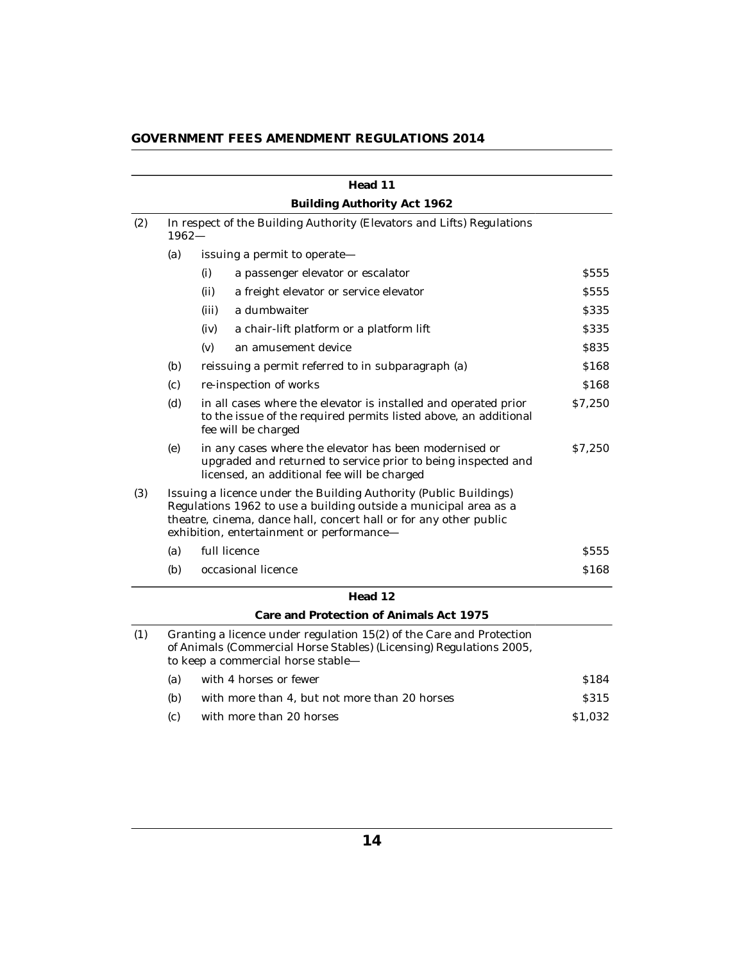| GOVERNMENT FEES AMENDMENT REGULATIONS 2014 |  |  |  |
|--------------------------------------------|--|--|--|
|--------------------------------------------|--|--|--|

|     |          |       | Head 11                                                                                                                                                                                                                                                 |             |
|-----|----------|-------|---------------------------------------------------------------------------------------------------------------------------------------------------------------------------------------------------------------------------------------------------------|-------------|
|     |          |       | Building Authority Act 1962                                                                                                                                                                                                                             |             |
| (2) | $1962 -$ |       | In respect of the Building Authority (Elevators and Lifts) Regulations                                                                                                                                                                                  |             |
|     | (a)      |       | issuing a permit to operate-                                                                                                                                                                                                                            |             |
|     |          | (i)   | a passenger elevator or escalator                                                                                                                                                                                                                       | <b>S555</b> |
|     |          | (ii)  | a freight elevator or service elevator                                                                                                                                                                                                                  | <b>S555</b> |
|     |          | (iii) | a dumbwaiter                                                                                                                                                                                                                                            | \$335       |
|     |          | (iv)  | a chair-lift platform or a platform lift                                                                                                                                                                                                                | \$335       |
|     |          | (v)   | an amusement device                                                                                                                                                                                                                                     | \$835       |
|     | (b)      |       | reissuing a permit referred to in subparagraph (a)                                                                                                                                                                                                      | \$168       |
|     | (c)      |       | re-inspection of works                                                                                                                                                                                                                                  | \$168       |
|     | (d)      |       | in all cases where the elevator is installed and operated prior<br>to the issue of the required permits listed above, an additional<br>fee will be charged                                                                                              | \$7,250     |
|     | (e)      |       | in any cases where the elevator has been modernised or<br>upgraded and returned to service prior to being inspected and<br>licensed, an additional fee will be charged                                                                                  | \$7,250     |
| (3) |          |       | Issuing a licence under the Building Authority (Public Buildings)<br>Regulations 1962 to use a building outside a municipal area as a<br>theatre, cinema, dance hall, concert hall or for any other public<br>exhibition, entertainment or performance- |             |
|     | (a)      |       | full licence                                                                                                                                                                                                                                            | S555        |
|     | (b)      |       | occasional licence                                                                                                                                                                                                                                      | \$168       |
|     |          |       | Head 12                                                                                                                                                                                                                                                 |             |
|     |          |       | Care and Protection of Animals Act 1975                                                                                                                                                                                                                 |             |
| (1) |          |       | Granting a licence under regulation 15(2) of the Care and Protection<br>of Animals (Commercial Horse Stables) (Licensing) Regulations 2005,<br>to keep a commercial horse stable-                                                                       |             |
|     | (a)      |       | with 4 horses or fewer                                                                                                                                                                                                                                  | \$184       |
|     | (b)      |       | with more than 4, but not more than 20 horses                                                                                                                                                                                                           | <b>S315</b> |
|     | (c)      |       | with more than 20 horses                                                                                                                                                                                                                                | \$1,032     |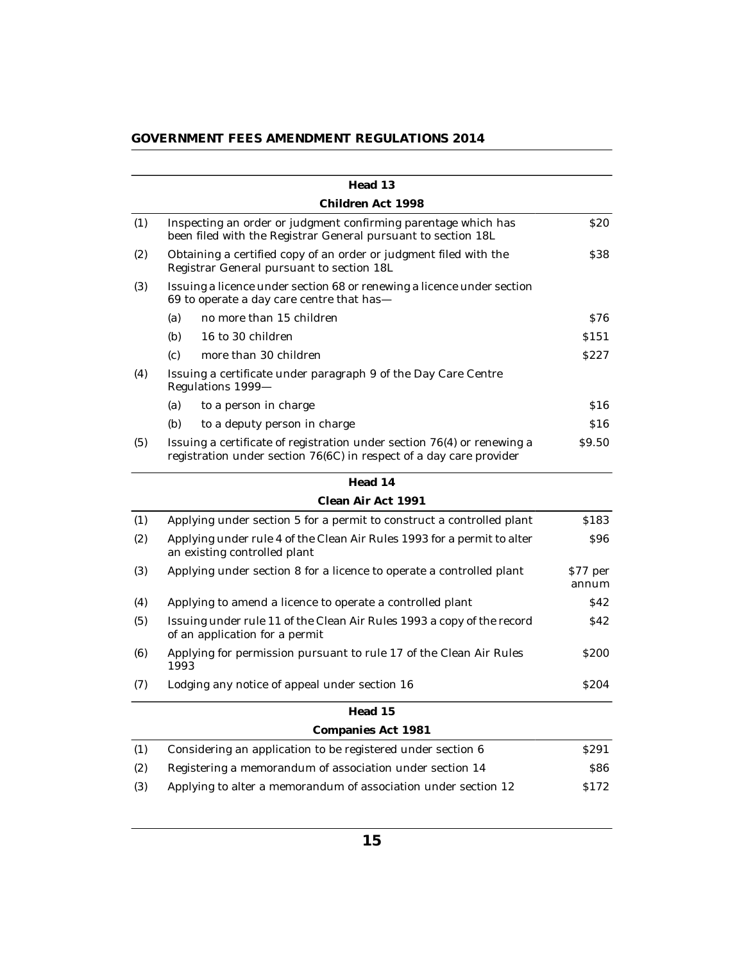|     | Head 13                                                                                                                                        |                   |
|-----|------------------------------------------------------------------------------------------------------------------------------------------------|-------------------|
|     | Children Act. 1998                                                                                                                             |                   |
| (1) | Inspecting an order or judgment confirming parentage which has<br>been filed with the Registrar General pursuant to section 18L                | \$20              |
| (2) | Obtaining a certified copy of an order or judgment filed with the<br>Registrar General pursuant to section 18L                                 | \$38              |
| (3) | Issuing a licence under section 68 or renewing a licence under section<br>69 to operate a day care centre that has-                            |                   |
|     | no more than 15 children<br>(a)                                                                                                                | S76               |
|     | (b)<br>16 to 30 children                                                                                                                       | \$151             |
|     | more than 30 children<br>(c)                                                                                                                   | S227              |
| (4) | Issuing a certificate under paragraph 9 of the Day Care Centre<br>Regulations 1999-                                                            |                   |
|     | (a)<br>to a person in charge                                                                                                                   | \$16              |
|     | (b)<br>to a deputy person in charge                                                                                                            | \$16              |
| (5) | Issuing a certificate of registration under section 76(4) or renewing a<br>registration under section 76(6C) in respect of a day care provider | \$9.50            |
|     | Head 14                                                                                                                                        |                   |
|     | Clean Air Act 1991                                                                                                                             |                   |
| (1) | Applying under section 5 for a permit to construct a controlled plant                                                                          | \$183             |
| (2) | Applying under rule 4 of the Clean Air Rules 1993 for a permit to alter<br>an existing controlled plant                                        | \$96              |
| (3) | Applying under section 8 for a licence to operate a controlled plant                                                                           | \$77 per<br>annum |
| (4) | Applying to amend a licence to operate a controlled plant                                                                                      | \$42              |
| (5) | Issuing under rule 11 of the Clean Air Rules 1993 a copy of the record<br>of an application for a permit                                       | S42               |
| (6) | Applying for permission pursuant to rule 17 of the Clean Air Rules<br>1993                                                                     | <b>S200</b>       |
| (7) | Lodging any notice of appeal under section 16                                                                                                  | S <sub>204</sub>  |
|     | Head 15                                                                                                                                        |                   |
|     | Companies Act 1981                                                                                                                             |                   |

|     | Companies Act Tool                                             |                  |
|-----|----------------------------------------------------------------|------------------|
|     | Considering an application to be registered under section 6    | S <sub>291</sub> |
| (2) | Registering a memorandum of association under section 14       | 886.             |
| (3) | Applying to alter a memorandum of association under section 12 | S <sub>172</sub> |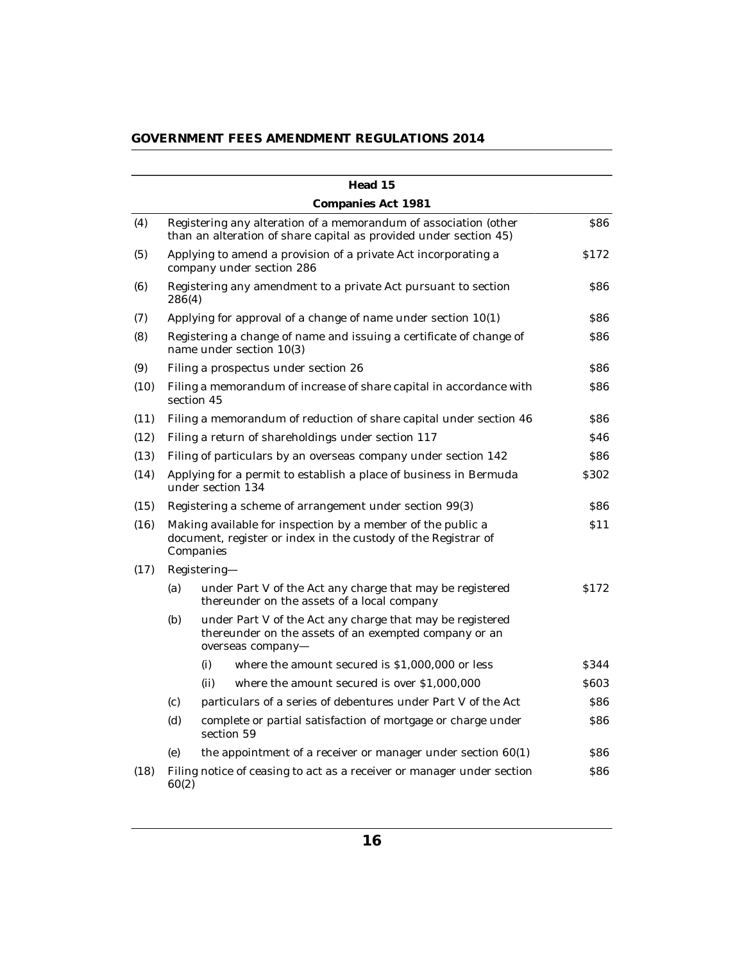| GOVERNMENT FEES AMENDMENT REGULATIONS 2014 |  |  |  |  |
|--------------------------------------------|--|--|--|--|
|--------------------------------------------|--|--|--|--|

|      |        |              | Head 15                                                                                                                                 |                  |
|------|--------|--------------|-----------------------------------------------------------------------------------------------------------------------------------------|------------------|
|      |        |              | Companies Act 1981                                                                                                                      |                  |
| (4)  |        |              | Registering any alteration of a memorandum of association (other<br>than an alteration of share capital as provided under section 45)   | \$86             |
| (5)  |        |              | Applying to amend a provision of a private Act incorporating a<br>company under section 286                                             | \$172            |
| (6)  | 286(4) |              | Registering any amendment to a private Act pursuant to section                                                                          | <b>S86</b>       |
| (7)  |        |              | Applying for approval of a change of name under section 10(1)                                                                           | \$86             |
| (8)  |        |              | Registering a change of name and issuing a certificate of change of<br>name under section 10(3)                                         | \$86             |
| (9)  |        |              | Filing a prospectus under section 26                                                                                                    | \$86             |
| (10) |        | section 45   | Filing a memorandum of increase of share capital in accordance with                                                                     | 886              |
| (11) |        |              | Filing a memorandum of reduction of share capital under section 46                                                                      | <b>S86</b>       |
| (12) |        |              | Filing a return of shareholdings under section 117                                                                                      | S46              |
| (13) |        |              | Filing of particulars by an overseas company under section 142                                                                          | <b>S86</b>       |
| (14) |        |              | Applying for a permit to establish a place of business in Bermuda<br>under section 134                                                  | S <sub>302</sub> |
| (15) |        |              | Registering a scheme of arrangement under section 99(3)                                                                                 | \$86             |
| (16) |        | Companies    | Making available for inspection by a member of the public a<br>document, register or index in the custody of the Registrar of           | \$11             |
| (17) |        | Registering- |                                                                                                                                         |                  |
|      | (a)    |              | under Part V of the Act any charge that may be registered<br>thereunder on the assets of a local company                                | S <sub>172</sub> |
|      | (b)    |              | under Part V of the Act any charge that may be registered<br>thereunder on the assets of an exempted company or an<br>overseas company- |                  |
|      |        | (i)          | where the amount secured is \$1,000,000 or less                                                                                         | \$344            |
|      |        | (ii)         | where the amount secured is over \$1,000,000                                                                                            | \$603            |
|      | (c)    |              | particulars of a series of debentures under Part V of the Act                                                                           | \$86             |
|      | (d)    |              | complete or partial satisfaction of mortgage or charge under<br>section 59                                                              | \$86             |
|      | (e)    |              | the appointment of a receiver or manager under section $60(1)$                                                                          | <b>S86</b>       |
| (18) | 60(2)  |              | Filing notice of ceasing to act as a receiver or manager under section                                                                  | <b>S86</b>       |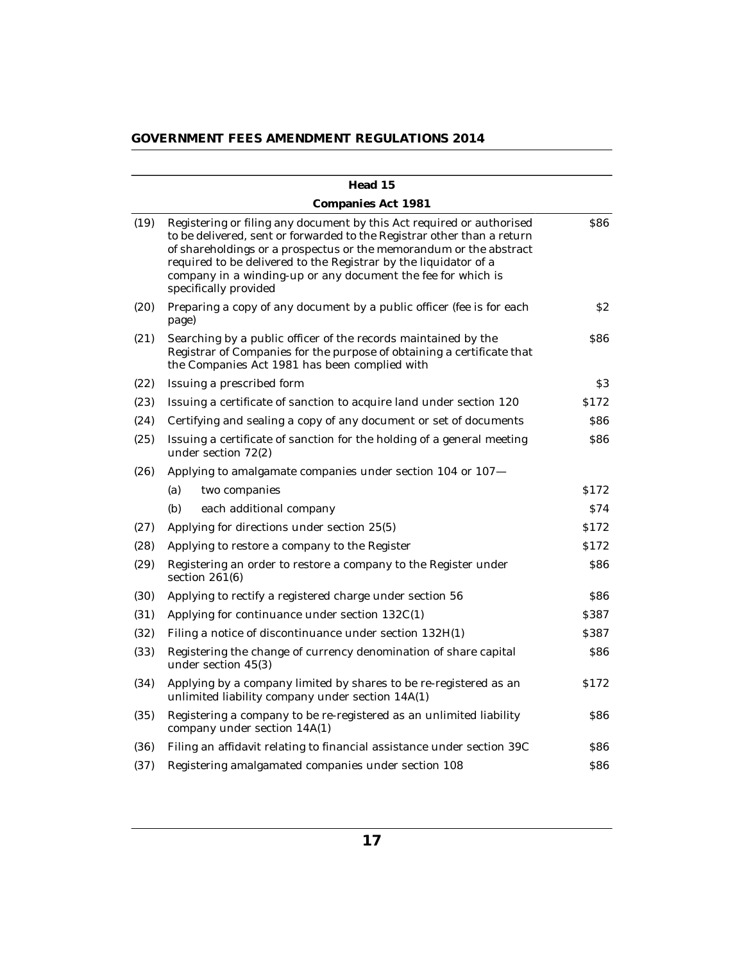|      | Head 15                                                                                                                                                                                                                                                                                                                                                                             |                  |
|------|-------------------------------------------------------------------------------------------------------------------------------------------------------------------------------------------------------------------------------------------------------------------------------------------------------------------------------------------------------------------------------------|------------------|
|      | Companies Act 1981                                                                                                                                                                                                                                                                                                                                                                  |                  |
| (19) | Registering or filing any document by this Act required or authorised<br>to be delivered, sent or forwarded to the Registrar other than a return<br>of shareholdings or a prospectus or the memorandum or the abstract<br>required to be delivered to the Registrar by the liquidator of a<br>company in a winding-up or any document the fee for which is<br>specifically provided | <b>S86</b>       |
| (20) | Preparing a copy of any document by a public officer (fee is for each<br>page)                                                                                                                                                                                                                                                                                                      | \$2              |
| (21) | Searching by a public officer of the records maintained by the<br>Registrar of Companies for the purpose of obtaining a certificate that<br>the Companies Act 1981 has been complied with                                                                                                                                                                                           | <b>S86</b>       |
| (22) | Issuing a prescribed form                                                                                                                                                                                                                                                                                                                                                           | \$3              |
| (23) | Issuing a certificate of sanction to acquire land under section 120                                                                                                                                                                                                                                                                                                                 | S <sub>172</sub> |
| (24) | Certifying and sealing a copy of any document or set of documents                                                                                                                                                                                                                                                                                                                   | <b>S86</b>       |
| (25) | Issuing a certificate of sanction for the holding of a general meeting<br>under section 72(2)                                                                                                                                                                                                                                                                                       | <b>S86</b>       |
| (26) | Applying to amalgamate companies under section 104 or 107-                                                                                                                                                                                                                                                                                                                          |                  |
|      | (a)<br>two companies                                                                                                                                                                                                                                                                                                                                                                | S <sub>172</sub> |
|      | (b)<br>each additional company                                                                                                                                                                                                                                                                                                                                                      | \$74             |
| (27) | Applying for directions under section 25(5)                                                                                                                                                                                                                                                                                                                                         | S <sub>172</sub> |
| (28) | Applying to restore a company to the Register                                                                                                                                                                                                                                                                                                                                       | S <sub>172</sub> |
| (29) | Registering an order to restore a company to the Register under<br>section $261(6)$                                                                                                                                                                                                                                                                                                 | 886              |
| (30) | Applying to rectify a registered charge under section 56                                                                                                                                                                                                                                                                                                                            | <b>S86</b>       |
| (31) | Applying for continuance under section 132C(1)                                                                                                                                                                                                                                                                                                                                      | S387             |
| (32) | Filing a notice of discontinuance under section 132H(1)                                                                                                                                                                                                                                                                                                                             | \$387            |
| (33) | Registering the change of currency denomination of share capital<br>under section 45(3)                                                                                                                                                                                                                                                                                             | <b>S86</b>       |
| (34) | Applying by a company limited by shares to be re-registered as an<br>unlimited liability company under section 14A(1)                                                                                                                                                                                                                                                               | S <sub>172</sub> |
| (35) | Registering a company to be re-registered as an unlimited liability<br>company under section 14A(1)                                                                                                                                                                                                                                                                                 | \$86             |
| (36) | Filing an affidavit relating to financial assistance under section 39C                                                                                                                                                                                                                                                                                                              | \$86             |
| (37) | Registering amalgamated companies under section 108                                                                                                                                                                                                                                                                                                                                 | \$86             |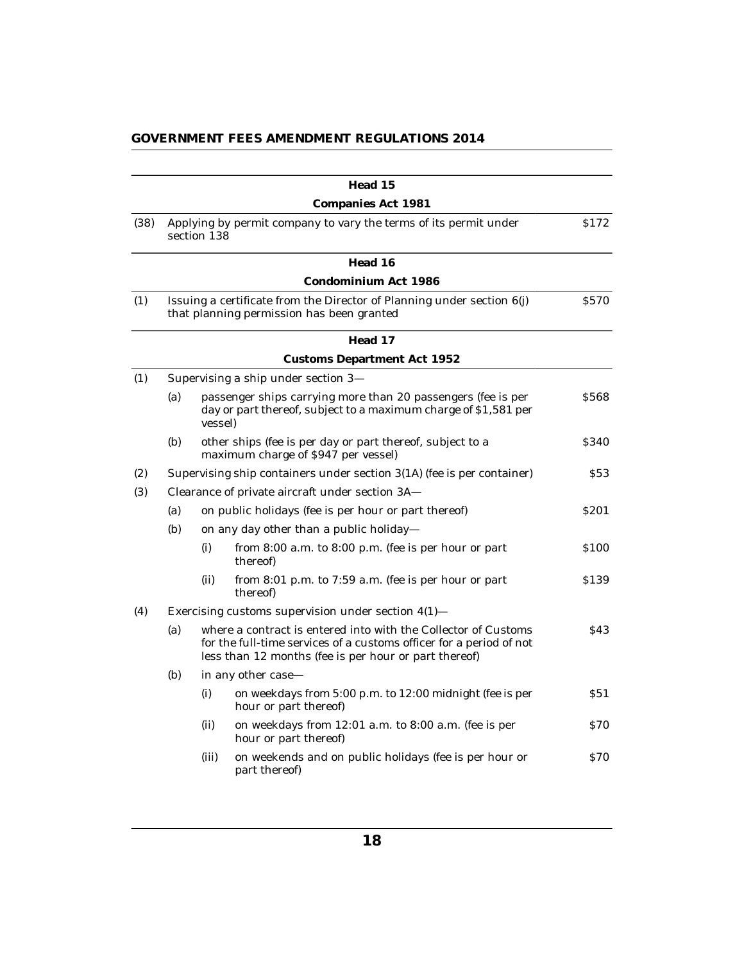|  |  | GOVERNMENT FEES AMENDMENT REGULATIONS 2014 |
|--|--|--------------------------------------------|
|--|--|--------------------------------------------|

|      |     |                 | Head 15                                                                                                                                                                                        |                  |
|------|-----|-----------------|------------------------------------------------------------------------------------------------------------------------------------------------------------------------------------------------|------------------|
|      |     |                 | Companies Act 1981                                                                                                                                                                             |                  |
| (38) |     | section 138     | Applying by permit company to vary the terms of its permit under                                                                                                                               | \$172            |
|      |     |                 | Head 16                                                                                                                                                                                        |                  |
|      |     |                 | Condominium Act 1986                                                                                                                                                                           |                  |
| (1)  |     |                 | Issuing a certificate from the Director of Planning under section 6(j)<br>that planning permission has been granted                                                                            | <b>S570</b>      |
|      |     |                 | Head 17                                                                                                                                                                                        |                  |
|      |     |                 | Customs Department Act 1952                                                                                                                                                                    |                  |
| (1)  |     |                 | Supervising a ship under section 3-                                                                                                                                                            |                  |
|      | (a) | <i>vessel</i> ) | passenger ships carrying more than 20 passengers (fee is per<br>day or part thereof, subject to a maximum charge of \$1,581 per                                                                | \$568            |
|      | (b) |                 | other ships (fee is per day or part thereof, subject to a<br>maximum charge of \$947 per vessel)                                                                                               | \$340            |
| (2)  |     |                 | Supervising ship containers under section 3(1A) (fee is per container)                                                                                                                         | S53              |
| (3)  |     |                 | Clearance of private aircraft under section 3A-                                                                                                                                                |                  |
|      | (a) |                 | on public holidays (fee is per hour or part thereof)                                                                                                                                           | S <sub>201</sub> |
|      | (b) |                 | on any day other than a public holiday-                                                                                                                                                        |                  |
|      |     | (i)             | from $8:00$ a.m. to $8:00$ p.m. (fee is per hour or part<br>thereof)                                                                                                                           | \$100            |
|      |     | (ii)            | from 8:01 p.m. to 7:59 a.m. (fee is per hour or part<br>thereof                                                                                                                                | \$139            |
| (4)  |     |                 | Exercising customs supervision under section $4(1)$ -                                                                                                                                          |                  |
|      | (a) |                 | where a contract is entered into with the Collector of Customs<br>for the full-time services of a customs officer for a period of not<br>less than 12 months (fee is per hour or part thereof) | <b>S43</b>       |
|      | (b) |                 | in any other case-                                                                                                                                                                             |                  |
|      |     | (i)             | on weekdays from 5:00 p.m. to 12:00 midnight (fee is per<br>hour or part thereof)                                                                                                              | \$51             |
|      |     | (ii)            | on weekdays from 12:01 a.m. to 8:00 a.m. (fee is per<br>hour or part thereof)                                                                                                                  | 870              |
|      |     | (iii)           | on weekends and on public holidays (fee is per hour or<br>part thereof)                                                                                                                        | <b>S70</b>       |
|      |     |                 |                                                                                                                                                                                                |                  |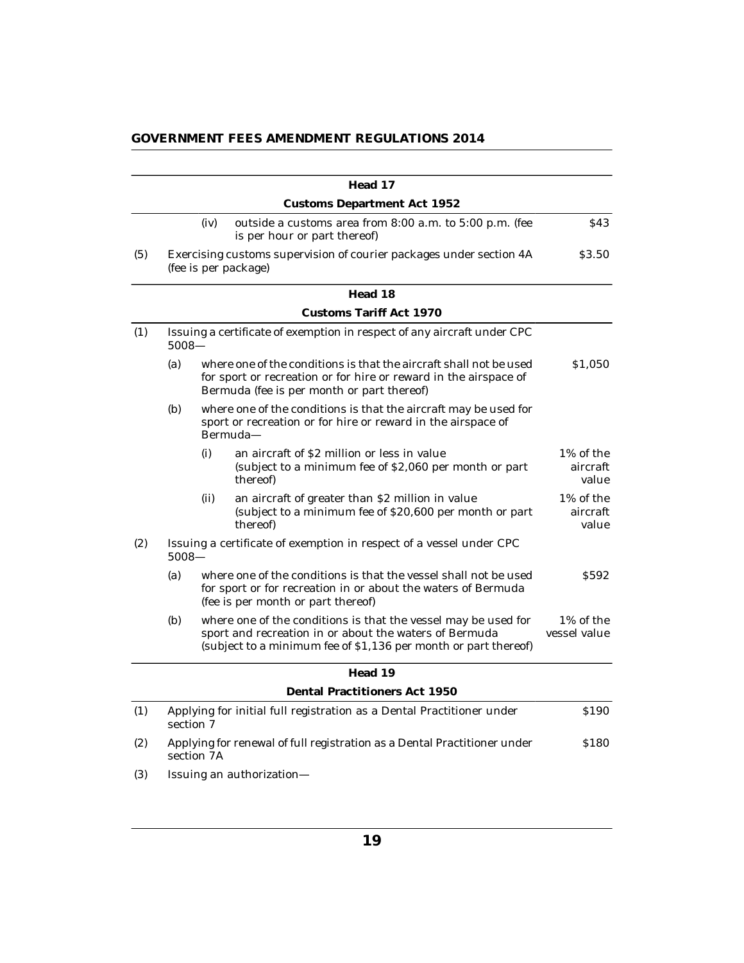|  |  | GOVERNMENT FEES AMENDMENT REGULATIONS 2014 |
|--|--|--------------------------------------------|
|--|--|--------------------------------------------|

|     |          |            | Head 17                                                                                                                                                                                     |                                |
|-----|----------|------------|---------------------------------------------------------------------------------------------------------------------------------------------------------------------------------------------|--------------------------------|
|     |          |            | <b>Customs Department Act 1952</b>                                                                                                                                                          |                                |
|     |          | (iv)       | outside a customs area from 8:00 a.m. to 5:00 p.m. (fee<br>is per hour or part thereof)                                                                                                     | S43                            |
| (5) |          |            | Exercising customs supervision of courier packages under section 4A<br>(fee is per package)                                                                                                 | \$3.50                         |
|     |          |            | Head 18                                                                                                                                                                                     |                                |
|     |          |            | Customs Tariff Act 1970                                                                                                                                                                     |                                |
| (1) | $5008 -$ |            | Issuing a certificate of exemption in respect of any aircraft under CPC                                                                                                                     |                                |
|     | (a)      |            | where one of the conditions is that the aircraft shall not be used<br>for sport or recreation or for hire or reward in the airspace of<br>Bermuda (fee is per month or part thereof)        | \$1,050                        |
|     | (b)      |            | where one of the conditions is that the aircraft may be used for<br>sport or recreation or for hire or reward in the airspace of<br>Bermuda-                                                |                                |
|     |          | (i)        | an aircraft of \$2 million or less in value<br>(subject to a minimum fee of \$2,060 per month or part<br>thereof)                                                                           | 1% of the<br>aircraft<br>value |
|     |          | (ii)       | an aircraft of greater than \$2 million in value<br>(subject to a minimum fee of \$20,600 per month or part<br>thereof                                                                      | 1% of the<br>aircraft<br>value |
| (2) | $5008 -$ |            | Issuing a certificate of exemption in respect of a vessel under CPC                                                                                                                         |                                |
|     | (a)      |            | where one of the conditions is that the vessel shall not be used<br>for sport or for recreation in or about the waters of Bermuda<br>(fee is per month or part thereof)                     | \$592                          |
|     | (b)      |            | where one of the conditions is that the vessel may be used for<br>sport and recreation in or about the waters of Bermuda<br>(subject to a minimum fee of \$1,136 per month or part thereof) | 1% of the<br>vessel value      |
|     |          |            | Head 19                                                                                                                                                                                     |                                |
|     |          |            | Dental Practitioners Act 1950                                                                                                                                                               |                                |
| (1) |          | section 7  | Applying for initial full registration as a Dental Practitioner under                                                                                                                       | \$190                          |
| (2) |          | section 7A | Applying for renewal of full registration as a Dental Practitioner under                                                                                                                    | \$180                          |
| (3) |          |            | Issuing an authorization-                                                                                                                                                                   |                                |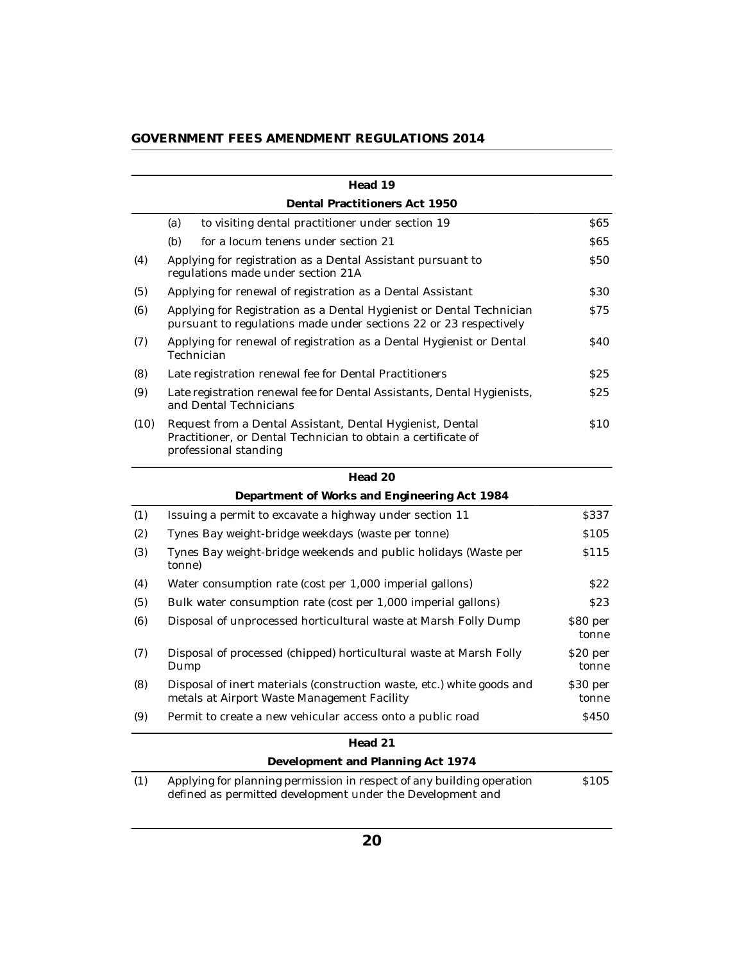| GOVERNMENT FEES AMENDMENT REGULATIONS 2014 |  |  |  |  |
|--------------------------------------------|--|--|--|--|
|--------------------------------------------|--|--|--|--|

|      | Head 19                                                                                                                                             |                  |
|------|-----------------------------------------------------------------------------------------------------------------------------------------------------|------------------|
|      | Dental Practitioners Act 1950                                                                                                                       |                  |
|      | to visiting dental practitioner under section 19<br>(a)                                                                                             | <b>S65</b>       |
|      | (b)<br>for a locum tenens under section 21                                                                                                          | <b>S65</b>       |
| (4)  | Applying for registration as a Dental Assistant pursuant to<br>regulations made under section 21A                                                   | <b>S50</b>       |
| (5)  | Applying for renewal of registration as a Dental Assistant                                                                                          | <b>S30</b>       |
| (6)  | Applying for Registration as a Dental Hygienist or Dental Technician<br>pursuant to regulations made under sections 22 or 23 respectively           | S75              |
| (7)  | Applying for renewal of registration as a Dental Hygienist or Dental<br>Technician                                                                  | <b>S40</b>       |
| (8)  | Late registration renewal fee for Dental Practitioners                                                                                              | S25              |
| (9)  | Late registration renewal fee for Dental Assistants, Dental Hygienists,<br>and Dental Technicians                                                   | \$25             |
| (10) | Request from a Dental Assistant, Dental Hygienist, Dental<br>Practitioner, or Dental Technician to obtain a certificate of<br>professional standing | <b>S10</b>       |
|      | Head 20                                                                                                                                             |                  |
|      | Department of Works and Engineering Act 1984                                                                                                        |                  |
| (1)  | Issuing a permit to excavate a highway under section 11                                                                                             | S337             |
| (2)  | Tynes Bay weight-bridge weekdays (waste per tonne)                                                                                                  | \$105            |
| (3)  | Tynes Bay weight-bridge weekends and public holidays (Waste per                                                                                     | S <sub>115</sub> |

|     | tonne)                                                                                                                |                   |
|-----|-----------------------------------------------------------------------------------------------------------------------|-------------------|
| (4) | Water consumption rate (cost per 1,000 imperial gallons)                                                              | S22               |
| (5) | Bulk water consumption rate (cost per 1,000 imperial gallons)                                                         | <b>S23</b>        |
| (6) | Disposal of unprocessed horticultural waste at Marsh Folly Dump                                                       | \$80 per<br>tonne |
| (7) | Disposal of processed (chipped) horticultural waste at Marsh Folly<br>Dump                                            | \$20 per<br>tonne |
| (8) | Disposal of inert materials (construction waste, etc.) white goods and<br>metals at Airport Waste Management Facility | \$30 per<br>tonne |
| (9) | Permit to create a new vehicular access onto a public road                                                            | <b>S450</b>       |
|     | Head 21                                                                                                               |                   |
|     | Development and Planning Act 1974                                                                                     |                   |

(1) Applying for planning permission in respect of any building operation defined as permitted development under the Development and \$105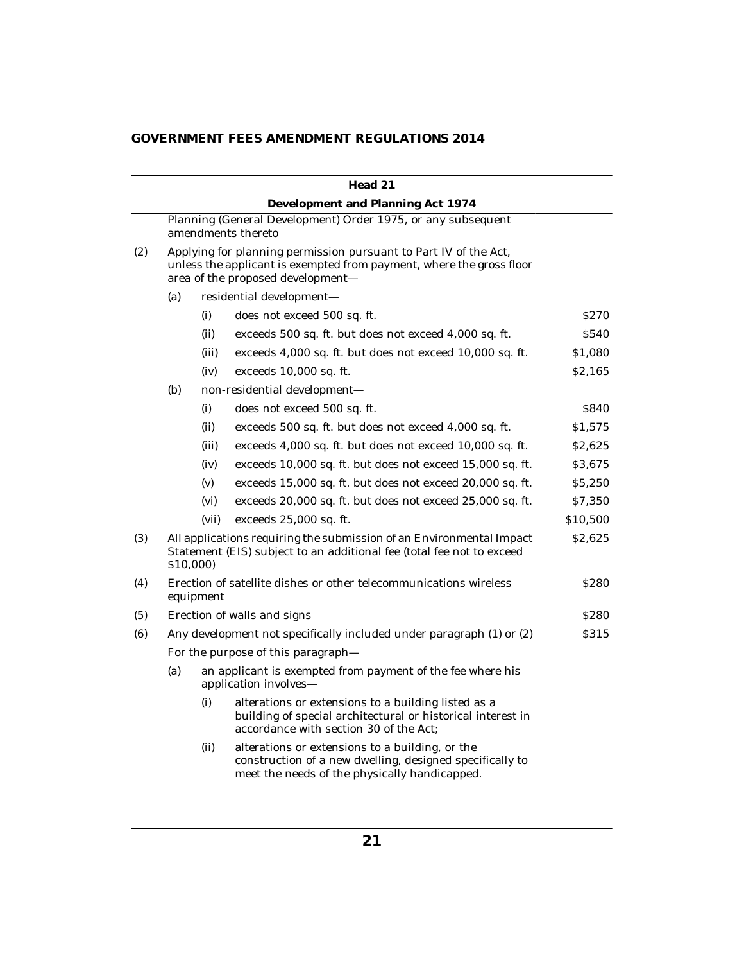|     |     |           | Head 21                                                                                                                                                                       |                  |
|-----|-----|-----------|-------------------------------------------------------------------------------------------------------------------------------------------------------------------------------|------------------|
|     |     |           | Development and Planning Act 1974                                                                                                                                             |                  |
|     |     |           | Planning (General Development) Order 1975, or any subsequent<br>amendments thereto                                                                                            |                  |
| (2) |     |           | Applying for planning permission pursuant to Part IV of the Act,<br>unless the applicant is exempted from payment, where the gross floor<br>area of the proposed development- |                  |
|     | (a) |           | residential development-                                                                                                                                                      |                  |
|     |     | (i)       | does not exceed 500 sq. ft.                                                                                                                                                   | S <sub>270</sub> |
|     |     | (ii)      | exceeds 500 sq. ft. but does not exceed 4,000 sq. ft.                                                                                                                         | \$540            |
|     |     | (iii)     | exceeds 4,000 sq. ft. but does not exceed 10,000 sq. ft.                                                                                                                      | \$1,080          |
|     |     | (iv)      | exceeds 10,000 sq. ft.                                                                                                                                                        | \$2,165          |
|     | (b) |           | non-residential development-                                                                                                                                                  |                  |
|     |     | (i)       | does not exceed 500 sq. ft.                                                                                                                                                   | \$840            |
|     |     | (ii)      | exceeds 500 sq. ft. but does not exceed 4,000 sq. ft.                                                                                                                         | \$1,575          |
|     |     | (iii)     | exceeds 4,000 sq. ft. but does not exceed 10,000 sq. ft.                                                                                                                      | \$2,625          |
|     |     | (iv)      | exceeds 10,000 sq. ft. but does not exceed 15,000 sq. ft.                                                                                                                     | \$3,675          |
|     |     | (v)       | exceeds 15,000 sq. ft. but does not exceed 20,000 sq. ft.                                                                                                                     | \$5,250          |
|     |     | (vi)      | exceeds 20,000 sq. ft. but does not exceed 25,000 sq. ft.                                                                                                                     | \$7,350          |
|     |     | (vii)     | exceeds 25,000 sq. ft.                                                                                                                                                        | \$10,500         |
| (3) |     | \$10,000) | All applications requiring the submission of an Environmental Impact<br>Statement (EIS) subject to an additional fee (total fee not to exceed                                 | \$2,625          |
| (4) |     | equipment | Erection of satellite dishes or other telecommunications wireless                                                                                                             | <b>S280</b>      |
| (5) |     |           | Erection of walls and signs                                                                                                                                                   | <b>S280</b>      |
| (6) |     |           | Any development not specifically included under paragraph (1) or (2)                                                                                                          | \$315            |
|     |     |           | For the purpose of this paragraph-                                                                                                                                            |                  |
|     | (a) |           | an applicant is exempted from payment of the fee where his<br>application involves-                                                                                           |                  |
|     |     | (i)       | alterations or extensions to a building listed as a<br>building of special architectural or historical interest in<br>accordance with section 30 of the Act;                  |                  |
|     |     | (ii)      | alterations or extensions to a building, or the<br>construction of a new dwelling, designed specifically to<br>meet the needs of the physically handicapped.                  |                  |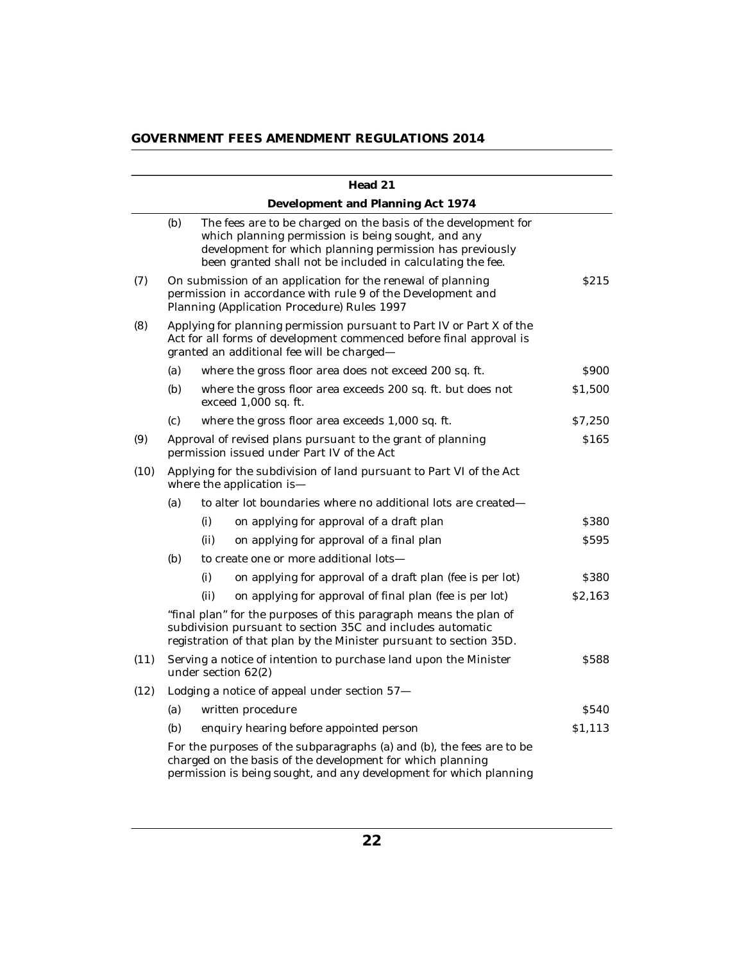|      |                                                                                                  |                                                                                                                    | Head 21                                                                                                                                                                                                                                        |                  |
|------|--------------------------------------------------------------------------------------------------|--------------------------------------------------------------------------------------------------------------------|------------------------------------------------------------------------------------------------------------------------------------------------------------------------------------------------------------------------------------------------|------------------|
|      |                                                                                                  |                                                                                                                    | Development and Planning Act 1974                                                                                                                                                                                                              |                  |
|      | (b)                                                                                              |                                                                                                                    | The fees are to be charged on the basis of the development for<br>which planning permission is being sought, and any<br>development for which planning permission has previously<br>been granted shall not be included in calculating the fee. |                  |
| (7)  |                                                                                                  |                                                                                                                    | On submission of an application for the renewal of planning<br>permission in accordance with rule 9 of the Development and<br>Planning (Application Procedure) Rules 1997                                                                      | S <sub>215</sub> |
| (8)  |                                                                                                  |                                                                                                                    | Applying for planning permission pursuant to Part IV or Part X of the<br>Act for all forms of development commenced before final approval is<br>granted an additional fee will be charged-                                                     |                  |
|      | (a)                                                                                              |                                                                                                                    | where the gross floor area does not exceed 200 sq. ft.                                                                                                                                                                                         | <b>S900</b>      |
|      | (b)                                                                                              |                                                                                                                    | where the gross floor area exceeds 200 sq. ft. but does not<br>exceed 1,000 sq. ft.                                                                                                                                                            | \$1,500          |
|      | (c)                                                                                              |                                                                                                                    | where the gross floor area exceeds 1,000 sq. ft.                                                                                                                                                                                               | \$7,250          |
| (9)  |                                                                                                  | \$165<br>Approval of revised plans pursuant to the grant of planning<br>permission issued under Part IV of the Act |                                                                                                                                                                                                                                                |                  |
| (10) | Applying for the subdivision of land pursuant to Part VI of the Act<br>where the application is- |                                                                                                                    |                                                                                                                                                                                                                                                |                  |
|      | (a)                                                                                              |                                                                                                                    | to alter lot boundaries where no additional lots are created-                                                                                                                                                                                  |                  |
|      |                                                                                                  | (i)                                                                                                                | on applying for approval of a draft plan                                                                                                                                                                                                       | \$380            |
|      |                                                                                                  | (ii)                                                                                                               | on applying for approval of a final plan                                                                                                                                                                                                       | \$595            |
|      | (b)                                                                                              |                                                                                                                    | to create one or more additional lots-                                                                                                                                                                                                         |                  |
|      |                                                                                                  | (i)                                                                                                                | on applying for approval of a draft plan (fee is per lot)                                                                                                                                                                                      | \$380            |
|      |                                                                                                  | (ii)                                                                                                               | on applying for approval of final plan (fee is per lot)                                                                                                                                                                                        | \$2,163          |
|      |                                                                                                  |                                                                                                                    | "final plan" for the purposes of this paragraph means the plan of<br>subdivision pursuant to section 35C and includes automatic<br>registration of that plan by the Minister pursuant to section 35D.                                          |                  |
| (11) |                                                                                                  | Serving a notice of intention to purchase land upon the Minister<br>under section 62(2)                            |                                                                                                                                                                                                                                                | \$588            |
| (12) |                                                                                                  |                                                                                                                    | Lodging a notice of appeal under section 57-                                                                                                                                                                                                   |                  |
|      | (a)                                                                                              |                                                                                                                    | written procedure                                                                                                                                                                                                                              | \$540            |
|      | (b)                                                                                              |                                                                                                                    | enquiry hearing before appointed person                                                                                                                                                                                                        | \$1,113          |
|      |                                                                                                  |                                                                                                                    | For the purposes of the subparagraphs (a) and (b), the fees are to be<br>charged on the basis of the development for which planning<br>permission is being sought, and any development for which planning                                      |                  |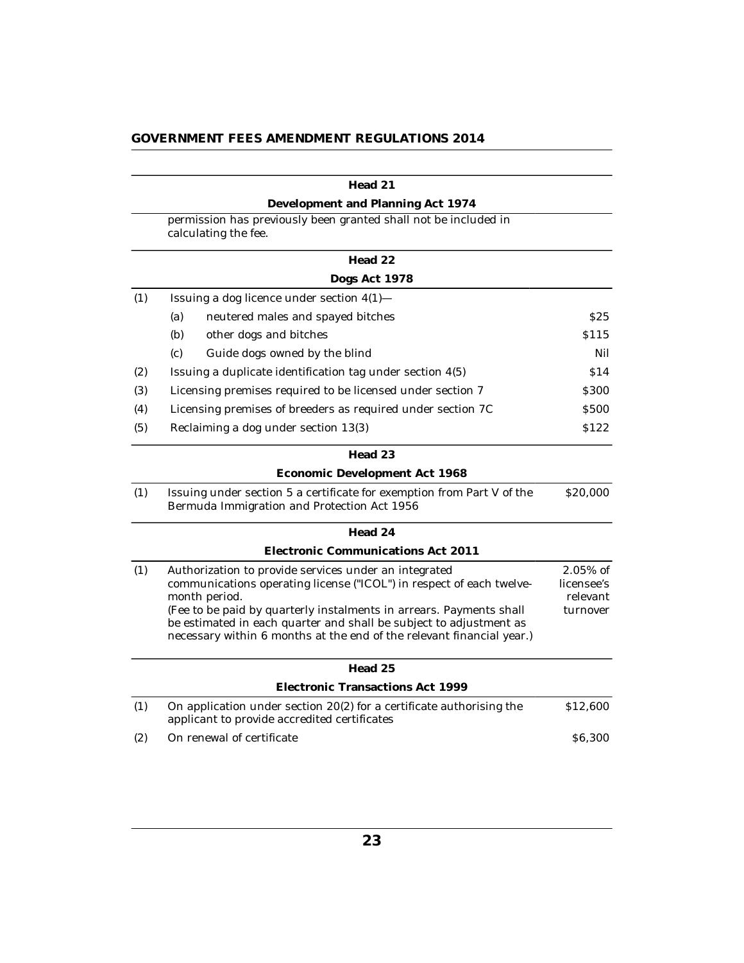|     | Head 21                                                                                                                                                                                                                                                                                                                                                              |                                                   |
|-----|----------------------------------------------------------------------------------------------------------------------------------------------------------------------------------------------------------------------------------------------------------------------------------------------------------------------------------------------------------------------|---------------------------------------------------|
|     | Development and Planning Act 1974                                                                                                                                                                                                                                                                                                                                    |                                                   |
|     | permission has previously been granted shall not be included in<br>calculating the fee.                                                                                                                                                                                                                                                                              |                                                   |
|     | Head 22                                                                                                                                                                                                                                                                                                                                                              |                                                   |
|     | Dogs Act 1978                                                                                                                                                                                                                                                                                                                                                        |                                                   |
| (1) | Issuing a dog licence under section 4(1)-                                                                                                                                                                                                                                                                                                                            |                                                   |
|     | (a)<br>neutered males and spayed bitches                                                                                                                                                                                                                                                                                                                             | S <sub>25</sub>                                   |
|     | (b)<br>other dogs and bitches                                                                                                                                                                                                                                                                                                                                        | S <sub>115</sub>                                  |
|     | (c)<br>Guide dogs owned by the blind                                                                                                                                                                                                                                                                                                                                 | Nil                                               |
| (2) | Issuing a duplicate identification tag under section 4(5)                                                                                                                                                                                                                                                                                                            | \$14                                              |
| (3) | Licensing premises required to be licensed under section 7                                                                                                                                                                                                                                                                                                           | \$300                                             |
| (4) | Licensing premises of breeders as required under section 7C                                                                                                                                                                                                                                                                                                          | \$500                                             |
| (5) | Reclaiming a dog under section 13(3)                                                                                                                                                                                                                                                                                                                                 | \$122                                             |
|     | Head 23                                                                                                                                                                                                                                                                                                                                                              |                                                   |
|     | Economic Development Act 1968                                                                                                                                                                                                                                                                                                                                        |                                                   |
| (1) | Issuing under section 5 a certificate for exemption from Part V of the<br>Bermuda Immigration and Protection Act 1956                                                                                                                                                                                                                                                | \$20,000                                          |
|     | Head 24                                                                                                                                                                                                                                                                                                                                                              |                                                   |
|     | Electronic Communications Act 2011                                                                                                                                                                                                                                                                                                                                   |                                                   |
| (1) | Authorization to provide services under an integrated<br>communications operating license ("ICOL") in respect of each twelve-<br>month period.<br>(Fee to be paid by quarterly instalments in arrears. Payments shall<br>be estimated in each quarter and shall be subject to adjustment as<br>necessary within 6 months at the end of the relevant financial year.) | $2.05\%$ of<br>licensee's<br>relevant<br>turnover |
|     |                                                                                                                                                                                                                                                                                                                                                                      |                                                   |
|     | Head 25                                                                                                                                                                                                                                                                                                                                                              |                                                   |
|     | Electronic Transactions Act 1999                                                                                                                                                                                                                                                                                                                                     |                                                   |
| (1) | On application under section 20(2) for a certificate authorising the<br>applicant to provide accredited certificates                                                                                                                                                                                                                                                 | \$12,600                                          |
| (2) | On renewal of certificate                                                                                                                                                                                                                                                                                                                                            | \$6,300                                           |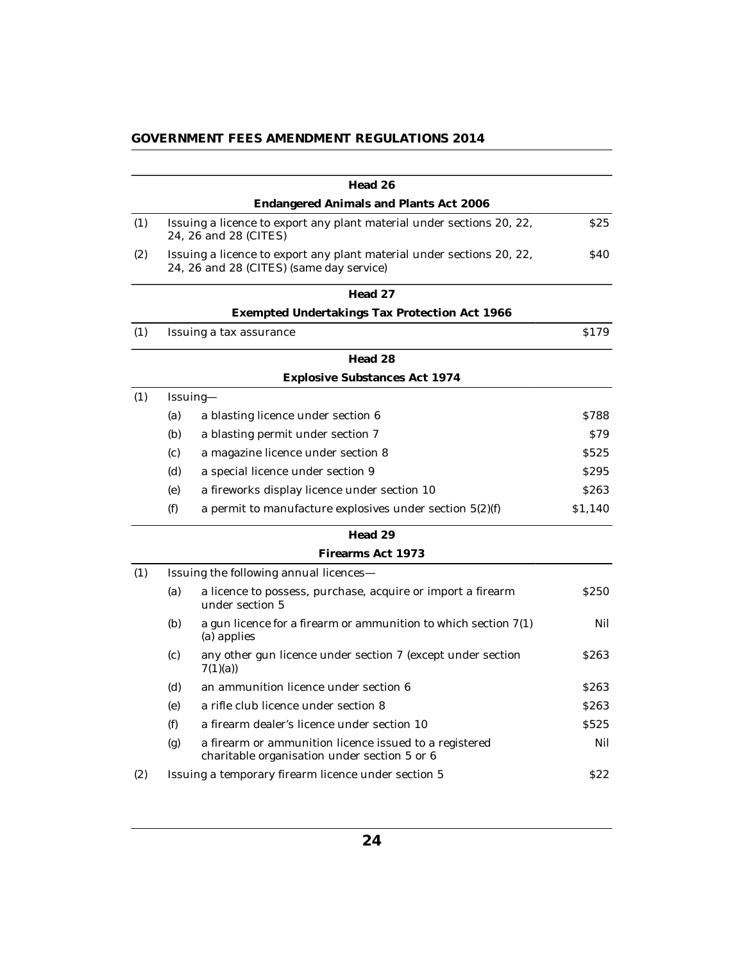|     |     | Head 26                                                                                                           |                  |
|-----|-----|-------------------------------------------------------------------------------------------------------------------|------------------|
|     |     | Endangered Animals and Plants Act 2006                                                                            |                  |
| (1) |     | Issuing a licence to export any plant material under sections 20, 22,<br>24, 26 and 28 (CITES)                    | <b>S25</b>       |
| (2) |     | Issuing a licence to export any plant material under sections 20, 22,<br>24, 26 and 28 (CITES) (same day service) | <b>\$40</b>      |
|     |     | Head 27                                                                                                           |                  |
|     |     | Exempted Undertakings Tax Protection Act 1966                                                                     |                  |
| (1) |     | Issuing a tax assurance                                                                                           | \$179            |
|     |     | Head 28                                                                                                           |                  |
|     |     | Explosive Substances Act 1974                                                                                     |                  |
| (1) |     | Issuing-                                                                                                          |                  |
|     | (a) | a blasting licence under section 6                                                                                | S788             |
|     | (b) | a blasting permit under section 7                                                                                 | <b>S79</b>       |
|     | (c) | a magazine licence under section 8                                                                                | S525             |
|     | (d) | a special licence under section 9                                                                                 | S <sub>295</sub> |
|     | (e) | a fireworks display licence under section 10                                                                      | \$263            |
|     | (f) | a permit to manufacture explosives under section $5(2)(f)$                                                        | \$1,140          |
|     |     | Head 29                                                                                                           |                  |
|     |     | Firearms Act 1973                                                                                                 |                  |
| (1) |     | Issuing the following annual licences-                                                                            |                  |
|     | (a) | a licence to possess, purchase, acquire or import a firearm<br>under section 5                                    | S <sub>250</sub> |
|     | (b) | a gun licence for a firearm or ammunition to which section $7(1)$<br>(a) applies                                  | Nil              |
|     | (c) | any other gun licence under section 7 (except under section<br>7(1)(a)                                            | <b>S263</b>      |
|     | (d) | an ammunition licence under section 6                                                                             | S <sub>263</sub> |
|     | (e) | a rifle club licence under section 8                                                                              | S <sub>263</sub> |
|     | (f) | a firearm dealer's licence under section 10                                                                       | \$525            |
|     | (g) | a firearm or ammunition licence issued to a registered<br>charitable organisation under section 5 or 6            | Nil              |
| (2) |     | Issuing a temporary firearm licence under section 5                                                               | <b>S22</b>       |
|     |     |                                                                                                                   |                  |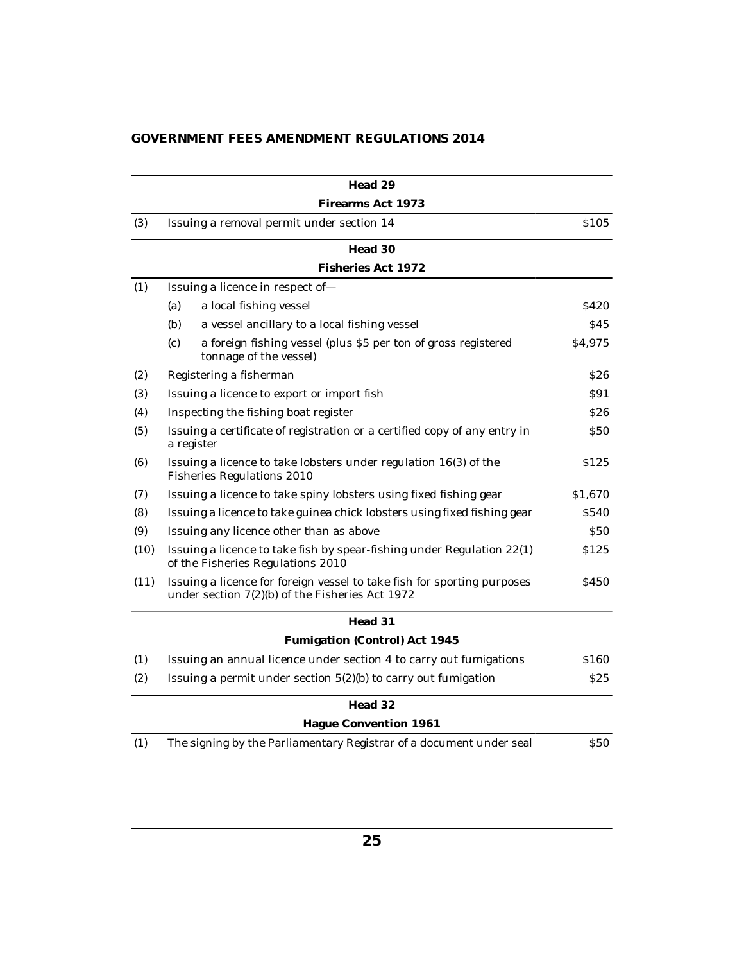|      | Head 29                                                                                                                    |             |
|------|----------------------------------------------------------------------------------------------------------------------------|-------------|
|      | Firearms Act 1973                                                                                                          |             |
| (3)  | Issuing a removal permit under section 14                                                                                  | \$105       |
|      | Head 30                                                                                                                    |             |
|      | Fisheries Act 1972                                                                                                         |             |
| (1)  | Issuing a licence in respect of-                                                                                           |             |
|      | (a)<br>a local fishing vessel                                                                                              | \$420       |
|      | (b)<br>a vessel ancillary to a local fishing vessel                                                                        | \$45        |
|      | (c)<br>a foreign fishing vessel (plus \$5 per ton of gross registered<br>tonnage of the vessel)                            | \$4,975     |
| (2)  | Registering a fisherman                                                                                                    | <b>S26</b>  |
| (3)  | Issuing a licence to export or import fish                                                                                 | S91         |
| (4)  | Inspecting the fishing boat register                                                                                       | <b>S26</b>  |
| (5)  | Issuing a certificate of registration or a certified copy of any entry in<br>a register                                    | \$50        |
| (6)  | Issuing a licence to take lobsters under regulation 16(3) of the<br>Fisheries Regulations 2010                             | \$125       |
| (7)  | Issuing a licence to take spiny lobsters using fixed fishing gear                                                          | \$1,670     |
| (8)  | Issuing a licence to take guinea chick lobsters using fixed fishing gear                                                   | \$540       |
| (9)  | Issuing any licence other than as above                                                                                    | <b>\$50</b> |
| (10) | Issuing a licence to take fish by spear-fishing under Regulation 22(1)<br>of the Fisheries Regulations 2010                | \$125       |
| (11) | Issuing a licence for foreign vessel to take fish for sporting purposes<br>under section 7(2)(b) of the Fisheries Act 1972 | <b>S450</b> |
|      | Head 31                                                                                                                    |             |
|      | Fumigation (Control) Act 1945                                                                                              |             |
| (1)  | Issuing an annual licence under section 4 to carry out fumigations                                                         | \$160       |
| (2)  | Issuing a permit under section $5(2)(b)$ to carry out fumigation                                                           | <b>S25</b>  |
|      | Head 32                                                                                                                    |             |
|      | Hague Convention 1961                                                                                                      |             |
| (1)  | The signing by the Parliamentary Registrar of a document under seal                                                        | \$50        |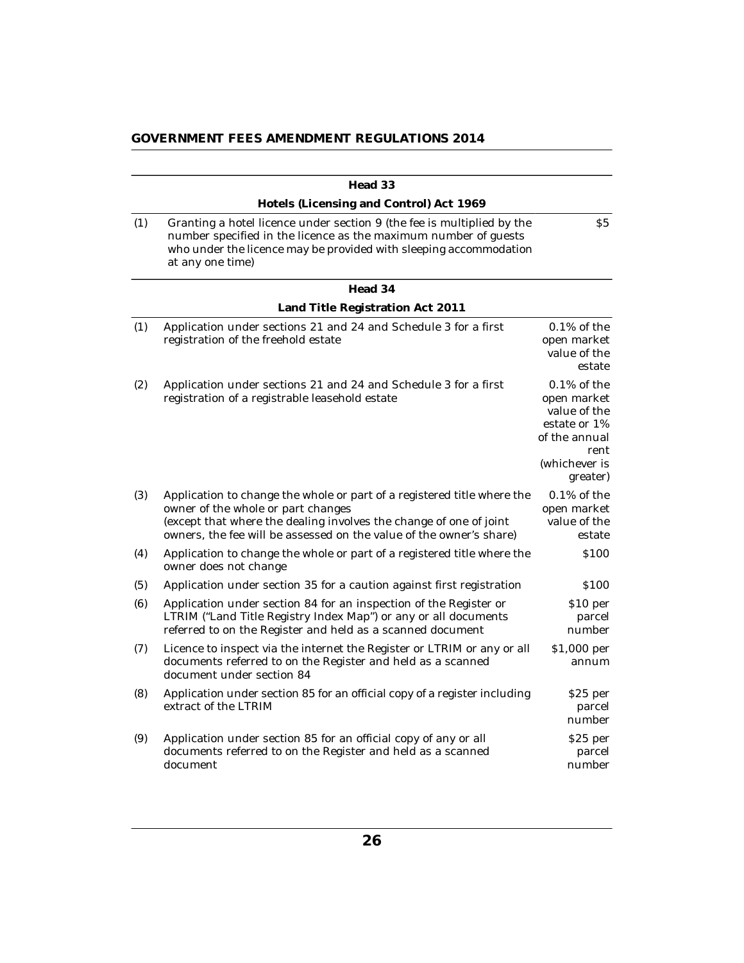|     | Head 33                                                                                                                                                                                                                                                    |                                                                                                                     |
|-----|------------------------------------------------------------------------------------------------------------------------------------------------------------------------------------------------------------------------------------------------------------|---------------------------------------------------------------------------------------------------------------------|
|     | Hotels (Licensing and Control) Act 1969                                                                                                                                                                                                                    |                                                                                                                     |
| (1) | Granting a hotel licence under section 9 (the fee is multiplied by the<br>number specified in the licence as the maximum number of guests<br>who under the licence may be provided with sleeping accommodation<br>at any one time)                         | S <sub>5</sub>                                                                                                      |
|     | Head 34                                                                                                                                                                                                                                                    |                                                                                                                     |
|     | Land Title Registration Act 2011                                                                                                                                                                                                                           |                                                                                                                     |
| (1) | Application under sections 21 and 24 and Schedule 3 for a first<br>registration of the freehold estate                                                                                                                                                     | $0.1\%$ of the<br>open market<br>value of the<br>estate                                                             |
| (2) | Application under sections 21 and 24 and Schedule 3 for a first<br>registration of a registrable leasehold estate                                                                                                                                          | $0.1\%$ of the<br>open market<br>value of the<br>estate or 1%<br>of the annual<br>rent<br>(whichever is<br>greater) |
| (3) | Application to change the whole or part of a registered title where the<br>owner of the whole or part changes<br>(except that where the dealing involves the change of one of joint<br>owners, the fee will be assessed on the value of the owner's share) | $0.1\%$ of the<br>open market<br>value of the<br>estate                                                             |
| (4) | Application to change the whole or part of a registered title where the<br>owner does not change                                                                                                                                                           | \$100                                                                                                               |
| (5) | Application under section 35 for a caution against first registration                                                                                                                                                                                      | \$100                                                                                                               |
| (6) | Application under section 84 for an inspection of the Register or<br>LTRIM ("Land Title Registry Index Map") or any or all documents<br>referred to on the Register and held as a scanned document                                                         | \$10 per<br>parcel<br>number                                                                                        |
| (7) | Licence to inspect via the internet the Register or LTRIM or any or all<br>documents referred to on the Register and held as a scanned<br>document under section 84                                                                                        | \$1,000 per<br>annum                                                                                                |
| (8) | Application under section 85 for an official copy of a register including<br>extract of the LTRIM                                                                                                                                                          | \$25 per<br>parcel<br>number                                                                                        |
| (9) | Application under section 85 for an official copy of any or all<br>documents referred to on the Register and held as a scanned<br>document                                                                                                                 | \$25 per<br>parcel<br>number                                                                                        |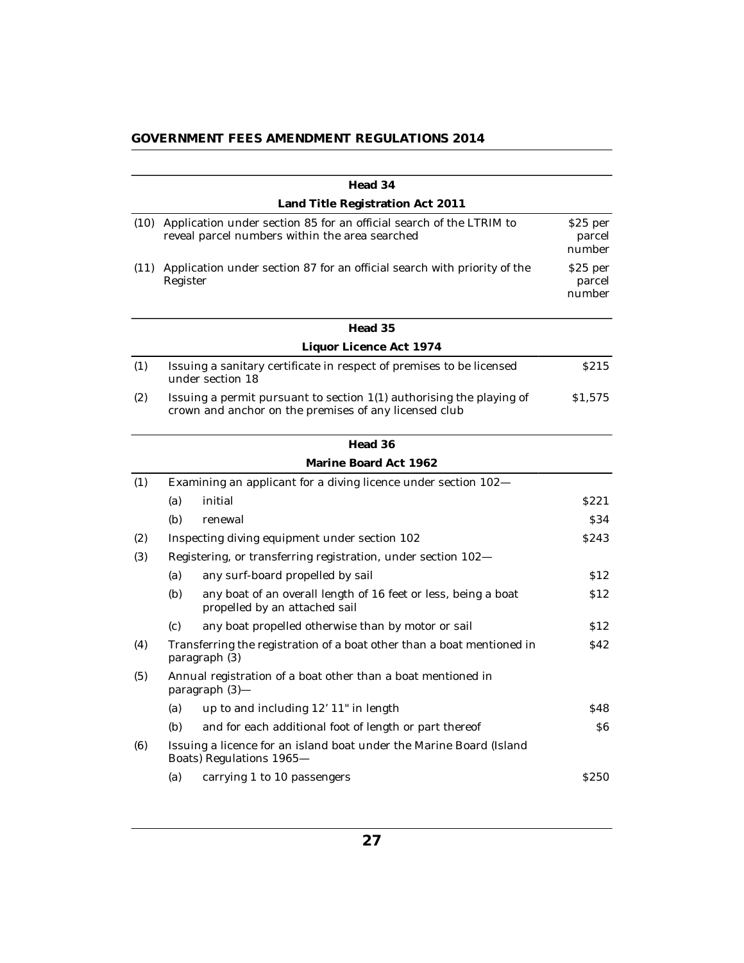|      |          | Head 34                                                                                                                         |                               |
|------|----------|---------------------------------------------------------------------------------------------------------------------------------|-------------------------------|
|      |          | Land Title Registration Act 2011                                                                                                |                               |
|      |          | (10) Application under section 85 for an official search of the LTRIM to<br>reveal parcel numbers within the area searched      | $$25$ per<br>parcel<br>number |
| (11) | Register | Application under section 87 for an official search with priority of the                                                        | $$25$ per<br>parcel<br>number |
|      |          | Head 35                                                                                                                         |                               |
|      |          | Liquor Licence Act 1974                                                                                                         |                               |
| (1)  |          | Issuing a sanitary certificate in respect of premises to be licensed<br>under section 18                                        | S215                          |
| (2)  |          | Issuing a permit pursuant to section $1(1)$ authorising the playing of<br>crown and anchor on the premises of any licensed club | \$1,575                       |
|      |          | Head 36                                                                                                                         |                               |
|      |          | Marine Board Act 1962                                                                                                           |                               |
| (1)  |          | Examining an applicant for a diving licence under section 102-                                                                  |                               |
|      | (a)      | initial                                                                                                                         | S <sub>221</sub>              |
|      | (b)      | renewal                                                                                                                         | \$34                          |
| (2)  |          | Inspecting diving equipment under section 102                                                                                   | <b>S243</b>                   |
| (3)  |          | Registering, or transferring registration, under section 102-                                                                   |                               |
|      | (a)      | any surf-board propelled by sail                                                                                                | \$12                          |
|      | (b)      | any boat of an overall length of 16 feet or less, being a boat<br>propelled by an attached sail                                 | \$12                          |
|      | (c)      | any boat propelled otherwise than by motor or sail                                                                              | \$12                          |
| (4)  |          | Transferring the registration of a boat other than a boat mentioned in<br>paragraph (3)                                         | \$42                          |
| (5)  |          | Annual registration of a boat other than a boat mentioned in<br>paragraph (3)-                                                  |                               |
|      | (a)      | up to and including 12' 11" in length                                                                                           | \$48                          |
|      | (b)      | and for each additional foot of length or part thereof                                                                          | S6                            |
| (6)  |          | Issuing a licence for an island boat under the Marine Board (Island<br>Boats) Regulations 1965-                                 |                               |
|      | (a)      | carrying 1 to 10 passengers                                                                                                     | S250                          |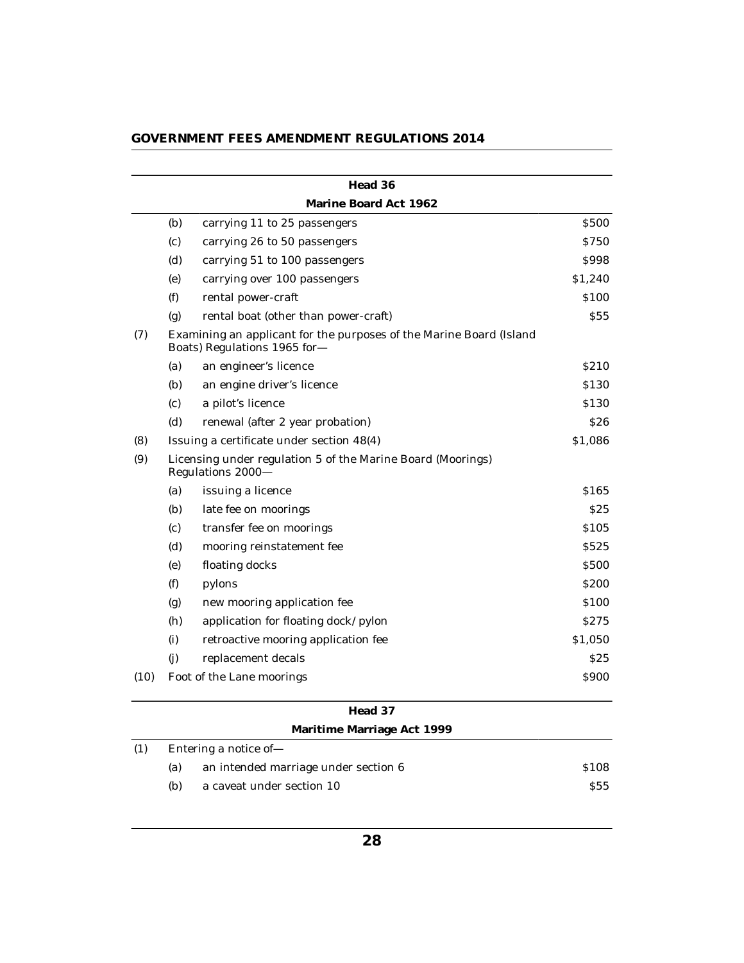|      |                                                                                  | Head 36                                                                                             |                 |
|------|----------------------------------------------------------------------------------|-----------------------------------------------------------------------------------------------------|-----------------|
|      |                                                                                  | Marine Board Act 1962                                                                               |                 |
|      | (b)                                                                              | carrying 11 to 25 passengers                                                                        | <b>S500</b>     |
|      | (c)                                                                              | carrying 26 to 50 passengers                                                                        | \$750           |
|      | (d)                                                                              | carrying 51 to 100 passengers                                                                       | \$998           |
|      | (e)                                                                              | carrying over 100 passengers                                                                        | \$1,240         |
|      | (f)                                                                              | rental power-craft                                                                                  | \$100           |
|      | (g)                                                                              | rental boat (other than power-craft)                                                                | \$55            |
| (7)  |                                                                                  | Examining an applicant for the purposes of the Marine Board (Island<br>Boats) Regulations 1965 for- |                 |
|      | (a)                                                                              | an engineer's licence                                                                               | <b>S210</b>     |
|      | (b)                                                                              | an engine driver's licence                                                                          | \$130           |
|      | (c)                                                                              | a pilot's licence                                                                                   | \$130           |
|      | (d)                                                                              | renewal (after 2 year probation)                                                                    | \$26            |
| (8)  |                                                                                  | Issuing a certificate under section 48(4)                                                           | \$1,086         |
| (9)  | Licensing under regulation 5 of the Marine Board (Moorings)<br>Regulations 2000- |                                                                                                     |                 |
|      | (a)                                                                              | issuing a licence                                                                                   | \$165           |
|      | (b)                                                                              | late fee on moorings                                                                                | S <sub>25</sub> |
|      | (c)                                                                              | transfer fee on moorings                                                                            | \$105           |
|      | (d)                                                                              | mooring reinstatement fee                                                                           | S525            |
|      | (e)                                                                              | floating docks                                                                                      | <b>S500</b>     |
|      | (f)                                                                              | pylons                                                                                              | <b>\$200</b>    |
|      | (g)                                                                              | new mooring application fee                                                                         | \$100           |
|      | (h)                                                                              | application for floating dock/pylon                                                                 | S275            |
|      | (i)                                                                              | retroactive mooring application fee                                                                 | \$1,050         |
|      | (i)                                                                              | replacement decals                                                                                  | \$25            |
| (10) |                                                                                  | Foot of the Lane moorings                                                                           | \$900           |
|      |                                                                                  | Head 37                                                                                             |                 |
|      |                                                                                  | Maritime Marriage Act 1999                                                                          |                 |
| (1)  |                                                                                  | Entering a notice of                                                                                |                 |

|     |                       | Maritime Marriage Act 1999           |            |
|-----|-----------------------|--------------------------------------|------------|
| (1) | Entering a notice of- |                                      |            |
|     | (a)                   | an intended marriage under section 6 | \$108      |
|     | (b)                   | a caveat under section 10            | <b>S55</b> |
|     |                       |                                      |            |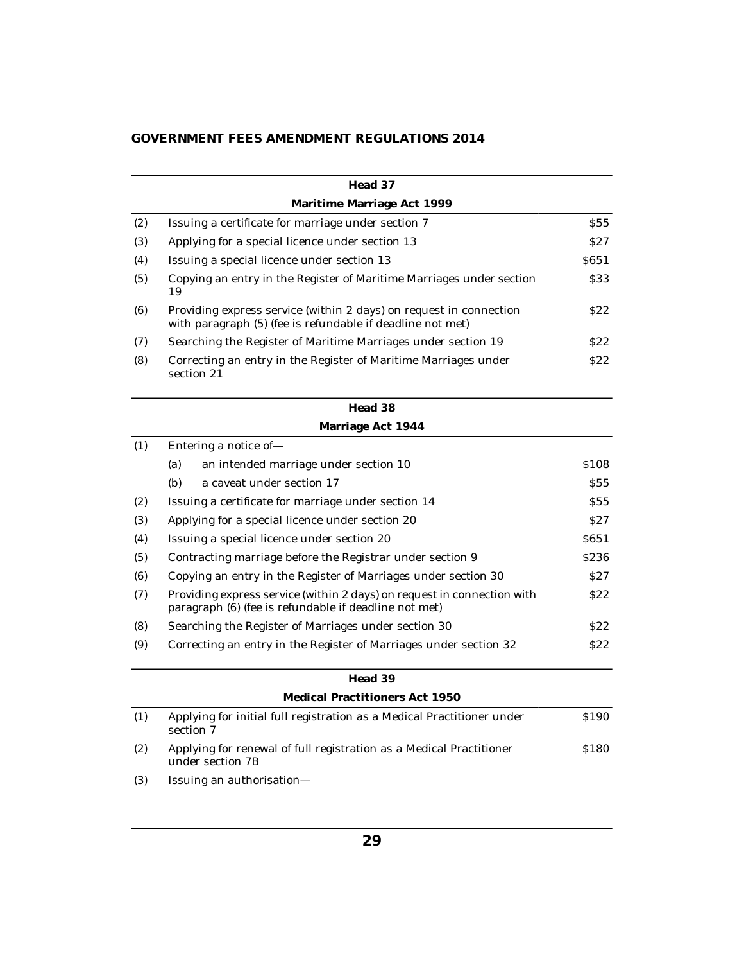| GOVERNMENT FEES AMENDMENT REGULATIONS 2014 |  |  |  |
|--------------------------------------------|--|--|--|
|--------------------------------------------|--|--|--|

|     | Head 37                                                                                                                          |                  |
|-----|----------------------------------------------------------------------------------------------------------------------------------|------------------|
|     | Maritime Marriage Act 1999                                                                                                       |                  |
| (2) | Issuing a certificate for marriage under section 7                                                                               | S55              |
| (3) | Applying for a special licence under section 13                                                                                  | S27              |
| (4) | Issuing a special licence under section 13                                                                                       | S <sub>651</sub> |
| (5) | Copying an entry in the Register of Maritime Marriages under section<br>19                                                       | \$33             |
| (6) | Providing express service (within 2 days) on request in connection<br>with paragraph (5) (fee is refundable if deadline not met) | S <sub>22</sub>  |
| (7) | Searching the Register of Maritime Marriages under section 19                                                                    | \$22             |
| (8) | Correcting an entry in the Register of Maritime Marriages under<br>section 21                                                    | S22              |
|     | Head 38                                                                                                                          |                  |
|     | Marriage Act 1944                                                                                                                |                  |
| (1) | Entering a notice of-                                                                                                            |                  |
|     | (a)<br>an intended marriage under section 10                                                                                     | \$108            |
|     | (b)<br>a caveat under section 17                                                                                                 | <b>S55</b>       |
| (2) | Issuing a certificate for marriage under section 14                                                                              | <b>S55</b>       |
| (3) | Applying for a special licence under section 20                                                                                  | S <sub>27</sub>  |
| (4) | Issuing a special licence under section 20                                                                                       | S <sub>651</sub> |
| (5) | Contracting marriage before the Registrar under section 9                                                                        | \$236            |
| (6) | Copying an entry in the Register of Marriages under section 30                                                                   | S27              |
| (7) | Providing express service (within 2 days) on request in connection with<br>paragraph (6) (fee is refundable if deadline not met) | \$22             |
| (8) | Searching the Register of Marriages under section 30                                                                             | S22              |
| (9) | Correcting an entry in the Register of Marriages under section 32                                                                | \$22             |
|     | Head 39                                                                                                                          |                  |
|     | Medical Practitioners Act 1950                                                                                                   |                  |
| (1) | Applying for initial full registration as a Medical Practitioner under<br>section 7                                              | S <sub>190</sub> |
| (2) | Applying for renewal of full registration as a Medical Practitioner<br>under section 7B                                          | \$180            |
| (9) | Iconstruction on destably and online                                                                                             |                  |

(3) Issuing an authorisation—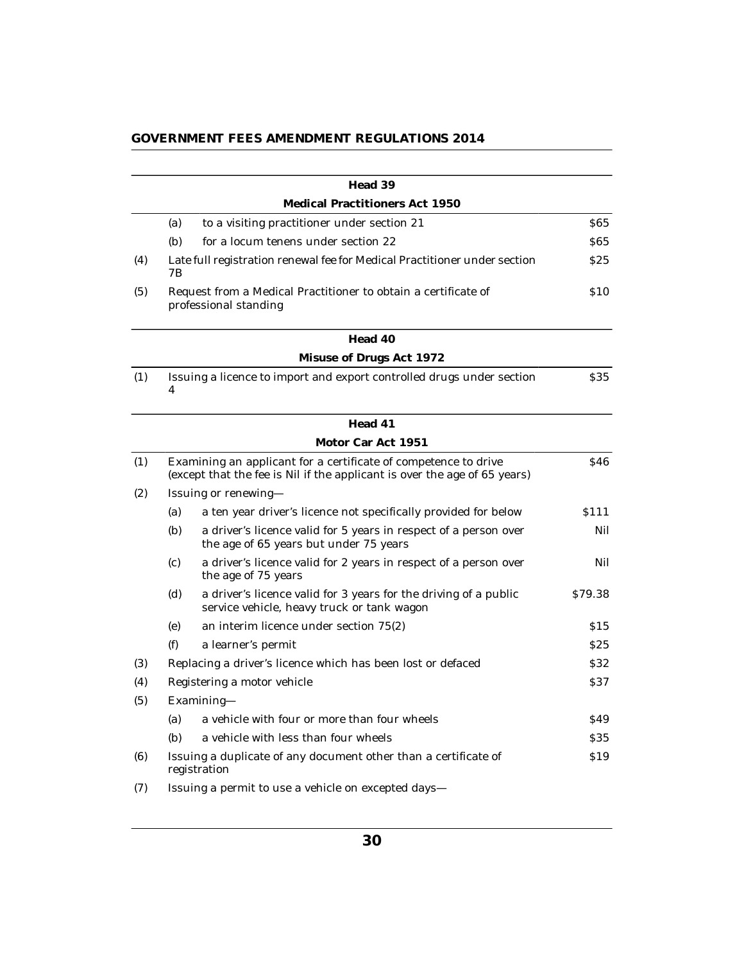|     |     | Head 39                                                                                                                                      |                 |
|-----|-----|----------------------------------------------------------------------------------------------------------------------------------------------|-----------------|
|     |     | Medical Practitioners Act 1950                                                                                                               |                 |
|     | (a) | to a visiting practitioner under section 21                                                                                                  | <b>S65</b>      |
|     | (b) | for a locum tenens under section 22                                                                                                          | <b>S65</b>      |
| (4) | 7Β  | Late full registration renewal fee for Medical Practitioner under section                                                                    | \$25            |
| (5) |     | Request from a Medical Practitioner to obtain a certificate of<br>professional standing                                                      | <b>S10</b>      |
|     |     | Head 40                                                                                                                                      |                 |
|     |     | Misuse of Drugs Act 1972                                                                                                                     |                 |
| (1) | 4   | Issuing a licence to import and export controlled drugs under section                                                                        | \$35            |
|     |     | Head 41                                                                                                                                      |                 |
|     |     | Motor Car Act 1951                                                                                                                           |                 |
| (1) |     | Examining an applicant for a certificate of competence to drive<br>(except that the fee is Nil if the applicant is over the age of 65 years) | <b>S46</b>      |
| (2) |     | Issuing or renewing—                                                                                                                         |                 |
|     | (a) | a ten year driver's licence not specifically provided for below                                                                              | \$111           |
|     | (b) | a driver's licence valid for 5 years in respect of a person over<br>the age of 65 years but under 75 years                                   | Nil             |
|     | (c) | a driver's licence valid for 2 years in respect of a person over<br>the age of 75 years                                                      | Nil             |
|     | (d) | a driver's licence valid for 3 years for the driving of a public<br>service vehicle, heavy truck or tank wagon                               | \$79.38         |
|     | (e) | an interim licence under section 75(2)                                                                                                       | \$15            |
|     | (f) | a learner's permit                                                                                                                           | \$25            |
| (3) |     | Replacing a driver's licence which has been lost or defaced                                                                                  | <b>S32</b>      |
| (4) |     | Registering a motor vehicle                                                                                                                  | <b>S37</b>      |
| (5) |     | Examining-                                                                                                                                   |                 |
|     | (a) | a vehicle with four or more than four wheels                                                                                                 | S <sub>49</sub> |
|     | (b) | a vehicle with less than four wheels                                                                                                         | <b>S35</b>      |
| (6) |     | Issuing a duplicate of any document other than a certificate of<br>registration                                                              | \$19            |
| (7) |     | Issuing a permit to use a vehicle on excepted days-                                                                                          |                 |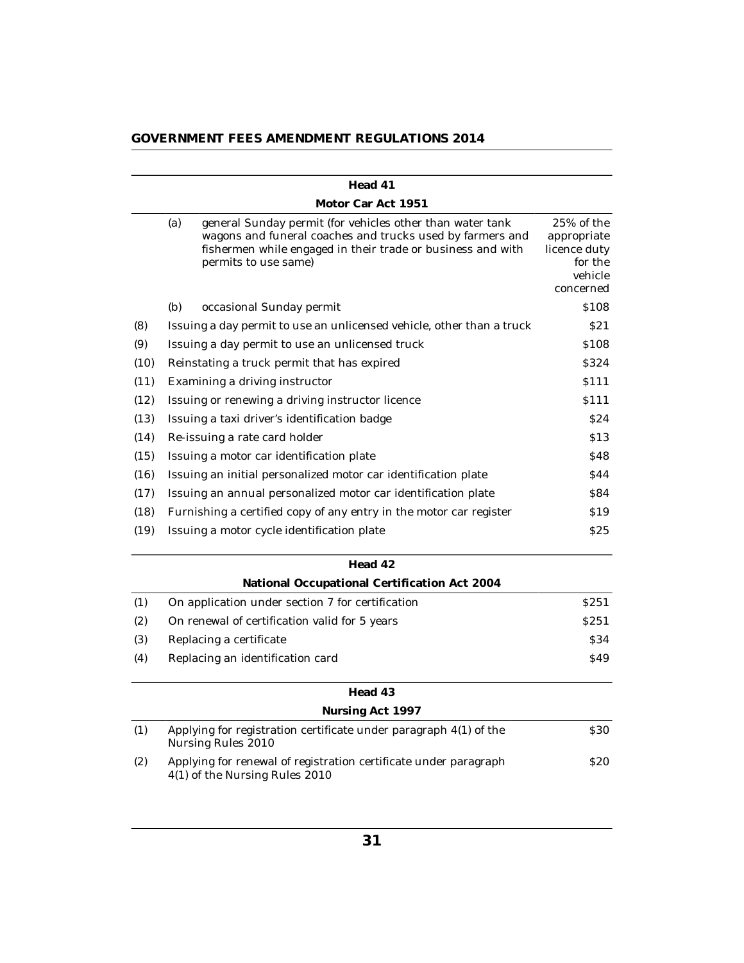|      |                                          | Head 41                                                                                                                                                                                                       |                                                                              |
|------|------------------------------------------|---------------------------------------------------------------------------------------------------------------------------------------------------------------------------------------------------------------|------------------------------------------------------------------------------|
|      |                                          | Motor Car Act 1951                                                                                                                                                                                            |                                                                              |
|      | (a)                                      | general Sunday permit (for vehicles other than water tank<br>wagons and funeral coaches and trucks used by farmers and<br>fishermen while engaged in their trade or business and with<br>permits to use same) | 25% of the<br>appropriate<br>licence duty<br>for the<br>vehicle<br>concerned |
|      | (b)                                      | occasional Sunday permit                                                                                                                                                                                      | \$108                                                                        |
| (8)  |                                          | Issuing a day permit to use an unlicensed vehicle, other than a truck                                                                                                                                         | S21                                                                          |
| (9)  |                                          | Issuing a day permit to use an unlicensed truck                                                                                                                                                               | \$108                                                                        |
| (10) |                                          | Reinstating a truck permit that has expired                                                                                                                                                                   | \$324                                                                        |
| (11) |                                          | Examining a driving instructor                                                                                                                                                                                | <b>S111</b>                                                                  |
| (12) |                                          | Issuing or renewing a driving instructor licence                                                                                                                                                              | \$111                                                                        |
| (13) |                                          | Issuing a taxi driver's identification badge                                                                                                                                                                  | \$24                                                                         |
| (14) |                                          | Re-issuing a rate card holder                                                                                                                                                                                 | \$13                                                                         |
| (15) | Issuing a motor car identification plate |                                                                                                                                                                                                               | \$48                                                                         |
| (16) |                                          | Issuing an initial personalized motor car identification plate                                                                                                                                                | \$44                                                                         |
| (17) |                                          | Issuing an annual personalized motor car identification plate                                                                                                                                                 | <b>S84</b>                                                                   |
| (18) |                                          | Furnishing a certified copy of any entry in the motor car register                                                                                                                                            | S <sub>19</sub>                                                              |
| (19) |                                          | Issuing a motor cycle identification plate                                                                                                                                                                    | \$25                                                                         |
|      |                                          | Head 42                                                                                                                                                                                                       |                                                                              |
|      |                                          | National Occupational Certification Act 2004                                                                                                                                                                  |                                                                              |
| (1)  |                                          | On application under section 7 for certification                                                                                                                                                              | S <sub>251</sub>                                                             |
| (2)  |                                          | On renewal of certification valid for 5 years                                                                                                                                                                 | <b>S251</b>                                                                  |
| (3)  |                                          | Replacing a certificate                                                                                                                                                                                       | <b>S34</b>                                                                   |
| (4)  |                                          | Replacing an identification card                                                                                                                                                                              | \$49                                                                         |
|      |                                          | Head 43                                                                                                                                                                                                       |                                                                              |
|      |                                          | Nursing Act 1997                                                                                                                                                                                              |                                                                              |

| (1) | Applying for registration certificate under paragraph $4(1)$ of the<br>Nursing Rules 2010          | <b>S30</b> |
|-----|----------------------------------------------------------------------------------------------------|------------|
| (2) | Applying for renewal of registration certificate under paragraph<br>4(1) of the Nursing Rules 2010 | <b>S20</b> |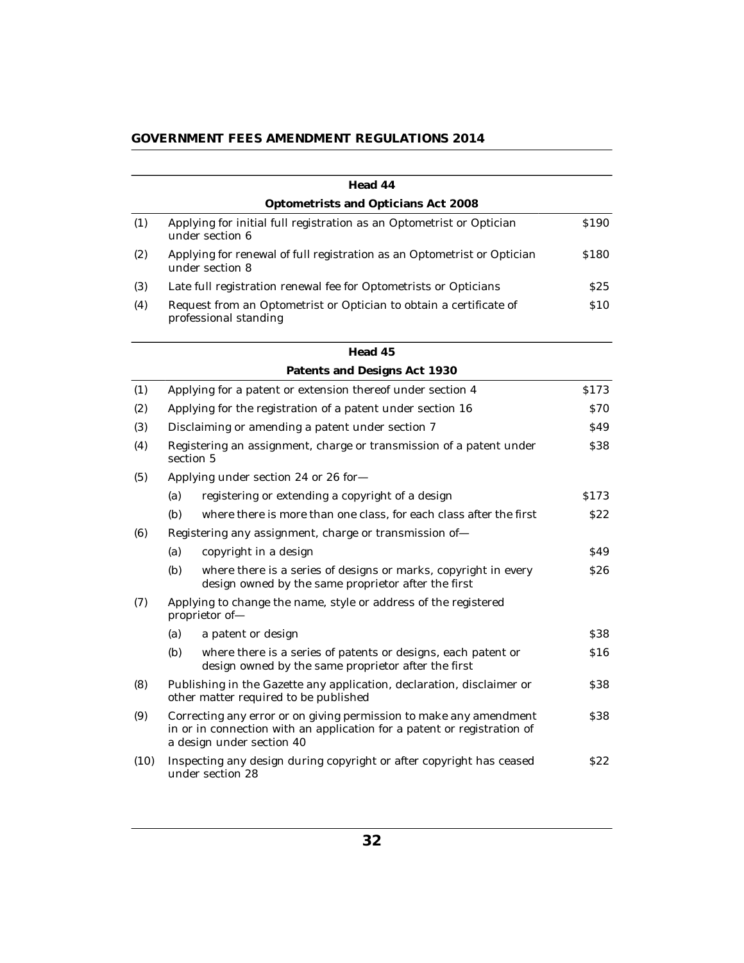|      |                                                                                                                                                                            | Head 44                                                                                                                |             |
|------|----------------------------------------------------------------------------------------------------------------------------------------------------------------------------|------------------------------------------------------------------------------------------------------------------------|-------------|
|      |                                                                                                                                                                            | Optometrists and Opticians Act 2008                                                                                    |             |
| (1)  | under section 6                                                                                                                                                            | Applying for initial full registration as an Optometrist or Optician                                                   | \$190       |
| (2)  | under section 8                                                                                                                                                            | Applying for renewal of full registration as an Optometrist or Optician                                                | \$180       |
| (3)  |                                                                                                                                                                            | Late full registration renewal fee for Optometrists or Opticians                                                       | \$25        |
| (4)  |                                                                                                                                                                            | Request from an Optometrist or Optician to obtain a certificate of<br>professional standing                            | \$10        |
|      |                                                                                                                                                                            | Head 45                                                                                                                |             |
|      |                                                                                                                                                                            | Patents and Designs Act 1930                                                                                           |             |
| (1)  |                                                                                                                                                                            | Applying for a patent or extension thereof under section 4                                                             | \$173       |
| (2)  |                                                                                                                                                                            | Applying for the registration of a patent under section 16                                                             | <b>\$70</b> |
| (3)  |                                                                                                                                                                            | Disclaiming or amending a patent under section 7                                                                       | <b>S49</b>  |
| (4)  | section 5                                                                                                                                                                  | Registering an assignment, charge or transmission of a patent under                                                    | \$38        |
| (5)  |                                                                                                                                                                            | Applying under section 24 or 26 for-                                                                                   |             |
|      | (a)                                                                                                                                                                        | registering or extending a copyright of a design                                                                       | \$173       |
|      | (b)                                                                                                                                                                        | where there is more than one class, for each class after the first                                                     | \$22        |
| (6)  |                                                                                                                                                                            | Registering any assignment, charge or transmission of-                                                                 |             |
|      | (a)                                                                                                                                                                        | copyright in a design                                                                                                  | \$49        |
|      | (b)                                                                                                                                                                        | where there is a series of designs or marks, copyright in every<br>design owned by the same proprietor after the first | <b>S26</b>  |
| (7)  | proprietor of-                                                                                                                                                             | Applying to change the name, style or address of the registered                                                        |             |
|      | (a)                                                                                                                                                                        | a patent or design                                                                                                     | \$38        |
|      | (b)                                                                                                                                                                        | where there is a series of patents or designs, each patent or<br>design owned by the same proprietor after the first   | \$16        |
| (8)  |                                                                                                                                                                            | Publishing in the Gazette any application, declaration, disclaimer or<br>other matter required to be published         | <b>S38</b>  |
| (9)  | Correcting any error or on giving permission to make any amendment<br>in or in connection with an application for a patent or registration of<br>a design under section 40 |                                                                                                                        | \$38        |
| (10) |                                                                                                                                                                            | Inspecting any design during copyright or after copyright has ceased<br>under section 28                               | \$22        |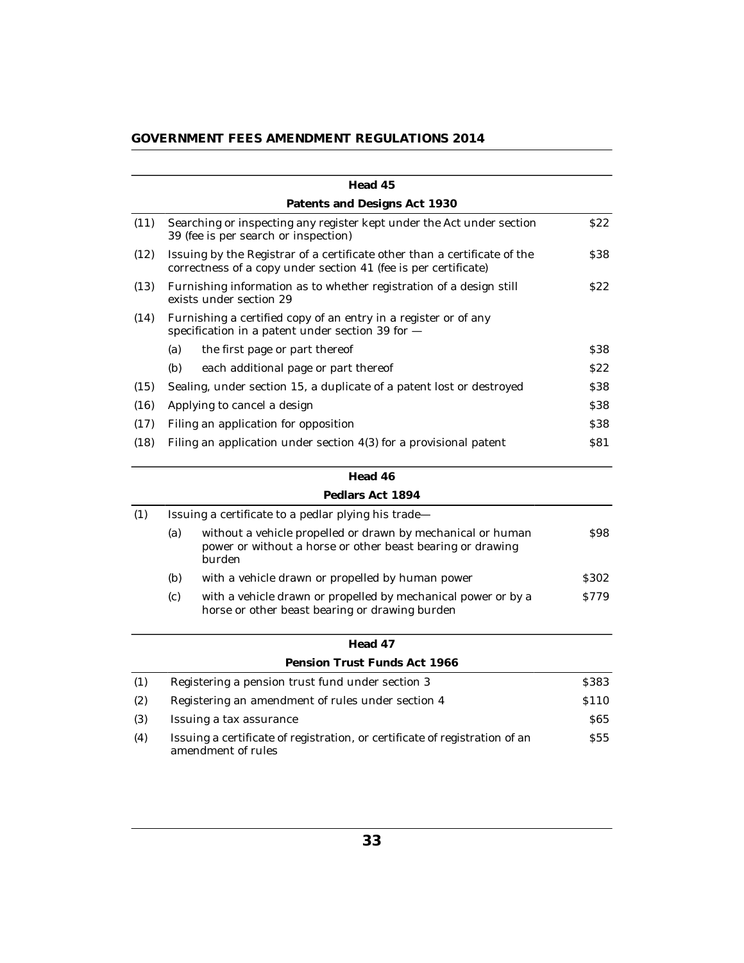| GOVERNMENT FEES AMENDMENT REGULATIONS 2014 |  |  |  |  |
|--------------------------------------------|--|--|--|--|
|--------------------------------------------|--|--|--|--|

|      |     | Head 45                                                                                                                                      |                  |
|------|-----|----------------------------------------------------------------------------------------------------------------------------------------------|------------------|
|      |     | Patents and Designs Act 1930                                                                                                                 |                  |
| (11) |     | Searching or inspecting any register kept under the Act under section<br>39 (fee is per search or inspection)                                | \$22             |
| (12) |     | Issuing by the Registrar of a certificate other than a certificate of the<br>correctness of a copy under section 41 (fee is per certificate) | <b>S38</b>       |
| (13) |     | Furnishing information as to whether registration of a design still<br>exists under section 29                                               | S <sub>22</sub>  |
| (14) |     | Furnishing a certified copy of an entry in a register or of any<br>specification in a patent under section 39 for $-$                        |                  |
|      | (a) | the first page or part thereof                                                                                                               | <b>S38</b>       |
|      | (b) | each additional page or part thereof                                                                                                         | S <sub>22</sub>  |
| (15) |     | Sealing, under section 15, a duplicate of a patent lost or destroyed                                                                         | \$38             |
| (16) |     | Applying to cancel a design                                                                                                                  | \$38             |
| (17) |     | Filing an application for opposition                                                                                                         | <b>S38</b>       |
| (18) |     | Filing an application under section 4(3) for a provisional patent                                                                            | <b>S81</b>       |
|      |     | Head 46                                                                                                                                      |                  |
|      |     | Pedlars Act 1894                                                                                                                             |                  |
| (1)  |     | Issuing a certificate to a pedlar plying his trade-                                                                                          |                  |
|      | (a) | without a vehicle propelled or drawn by mechanical or human<br>power or without a horse or other beast bearing or drawing<br>burden          | <b>S98</b>       |
|      | (b) | with a vehicle drawn or propelled by human power                                                                                             | S <sub>302</sub> |
|      | (c) | with a vehicle drawn or propelled by mechanical power or by a<br>horse or other beast bearing or drawing burden                              | \$779            |

|     | Head 47                                                                                           |                 |
|-----|---------------------------------------------------------------------------------------------------|-----------------|
|     | Pension Trust Funds Act 1966                                                                      |                 |
| (1) | Registering a pension trust fund under section 3                                                  | \$383           |
| (2) | Registering an amendment of rules under section 4                                                 | <b>S110</b>     |
| (3) | Issuing a tax assurance                                                                           | S65             |
| (4) | Issuing a certificate of registration, or certificate of registration of an<br>amendment of rules | S <sub>55</sub> |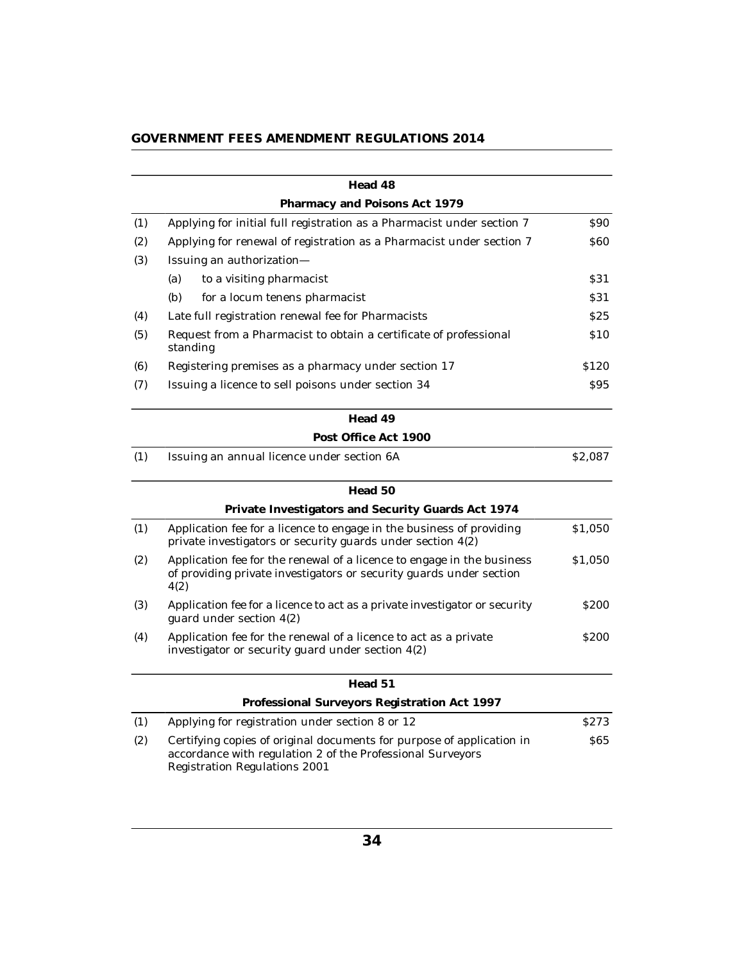|  |  | GOVERNMENT FEES AMENDMENT REGULATIONS 2014 |
|--|--|--------------------------------------------|
|--|--|--------------------------------------------|

|     | Head 48                                                                                                                                                              |                  |
|-----|----------------------------------------------------------------------------------------------------------------------------------------------------------------------|------------------|
|     | Pharmacy and Poisons Act 1979                                                                                                                                        |                  |
| (1) | Applying for initial full registration as a Pharmacist under section 7                                                                                               | \$90             |
| (2) | Applying for renewal of registration as a Pharmacist under section 7                                                                                                 | <b>S60</b>       |
| (3) | Issuing an authorization-                                                                                                                                            |                  |
|     | (a)<br>to a visiting pharmacist                                                                                                                                      | S31              |
|     | (b)<br>for a locum tenens pharmacist                                                                                                                                 | S31              |
| (4) | Late full registration renewal fee for Pharmacists                                                                                                                   | S <sub>25</sub>  |
| (5) | Request from a Pharmacist to obtain a certificate of professional<br>standing                                                                                        | <b>S10</b>       |
| (6) | Registering premises as a pharmacy under section 17                                                                                                                  | \$120            |
| (7) | Issuing a licence to sell poisons under section 34                                                                                                                   | S95              |
|     | Head 49                                                                                                                                                              |                  |
|     | Post Office Act 1900                                                                                                                                                 |                  |
| (1) | Issuing an annual licence under section 6A                                                                                                                           | \$2,087          |
|     | Head 50                                                                                                                                                              |                  |
|     | Private Investigators and Security Guards Act 1974                                                                                                                   |                  |
| (1) | Application fee for a licence to engage in the business of providing<br>private investigators or security guards under section $4(2)$                                | \$1,050          |
| (2) | Application fee for the renewal of a licence to engage in the business<br>of providing private investigators or security guards under section<br>4(2)                | \$1,050          |
| (3) | Application fee for a licence to act as a private investigator or security<br>guard under section 4(2)                                                               | <b>S200</b>      |
| (4) | Application fee for the renewal of a licence to act as a private<br>investigator or security guard under section 4(2)                                                | <b>S200</b>      |
|     | Head 51                                                                                                                                                              |                  |
|     | Professional Surveyors Registration Act 1997                                                                                                                         |                  |
| (1) | Applying for registration under section 8 or 12                                                                                                                      | S <sub>273</sub> |
| (2) | Certifying copies of original documents for purpose of application in<br>accordance with regulation 2 of the Professional Surveyors<br>Registration Regulations 2001 | <b>S65</b>       |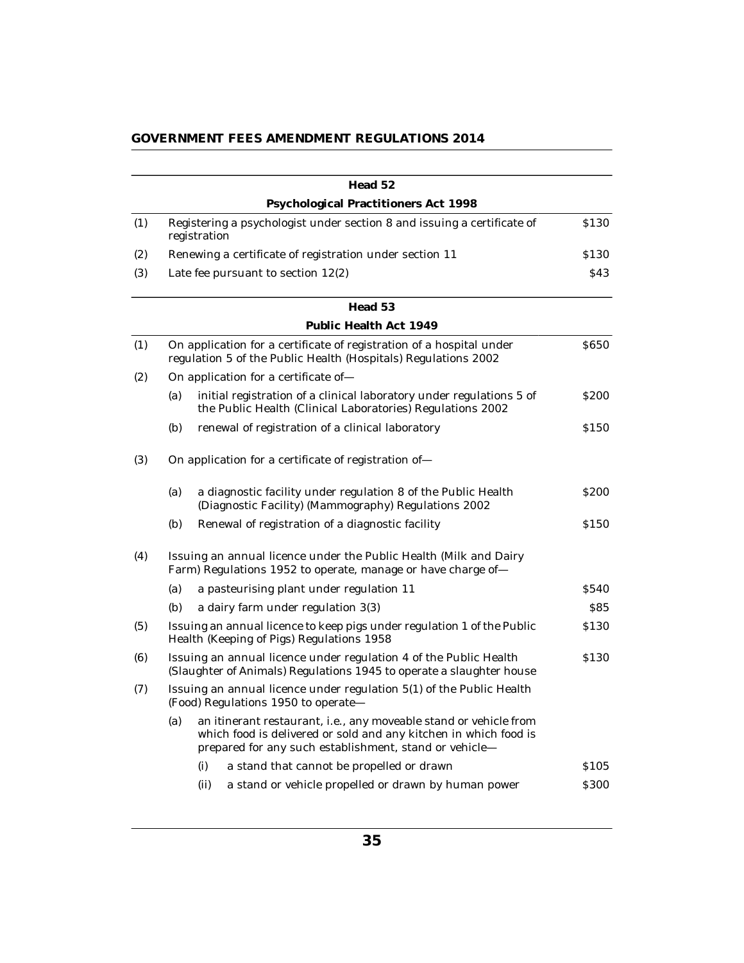|     |     |                                      | Head 52                                                                                                                                                                                         |             |
|-----|-----|--------------------------------------|-------------------------------------------------------------------------------------------------------------------------------------------------------------------------------------------------|-------------|
|     |     |                                      | Psychological Practitioners Act 1998                                                                                                                                                            |             |
| (1) |     | registration                         | Registering a psychologist under section 8 and issuing a certificate of                                                                                                                         | \$130       |
| (2) |     |                                      | Renewing a certificate of registration under section 11                                                                                                                                         | \$130       |
| (3) |     | Late fee pursuant to section $12(2)$ |                                                                                                                                                                                                 | \$43        |
|     |     |                                      | Head 53                                                                                                                                                                                         |             |
|     |     |                                      | Public Health Act 1949                                                                                                                                                                          |             |
| (1) |     |                                      | On application for a certificate of registration of a hospital under<br>regulation 5 of the Public Health (Hospitals) Regulations 2002                                                          | \$650       |
| (2) |     | On application for a certificate of- |                                                                                                                                                                                                 |             |
|     | (a) |                                      | initial registration of a clinical laboratory under regulations 5 of<br>the Public Health (Clinical Laboratories) Regulations 2002                                                              | <b>S200</b> |
|     | (b) |                                      | renewal of registration of a clinical laboratory                                                                                                                                                | \$150       |
| (3) |     |                                      | On application for a certificate of registration of-                                                                                                                                            |             |
|     | (a) |                                      | a diagnostic facility under regulation 8 of the Public Health<br>(Diagnostic Facility) (Mammography) Regulations 2002                                                                           | \$200       |
|     | (b) |                                      | Renewal of registration of a diagnostic facility                                                                                                                                                | \$150       |
| (4) |     |                                      | Issuing an annual licence under the Public Health (Milk and Dairy<br>Farm) Regulations 1952 to operate, manage or have charge of-                                                               |             |
|     | (a) |                                      | a pasteurising plant under regulation 11                                                                                                                                                        | \$540       |
|     | (b) |                                      | a dairy farm under regulation 3(3)                                                                                                                                                              | \$85        |
| (5) |     |                                      | Issuing an annual licence to keep pigs under regulation 1 of the Public<br>Health (Keeping of Pigs) Regulations 1958                                                                            | \$130       |
| (6) |     |                                      | Issuing an annual licence under regulation 4 of the Public Health<br>(Slaughter of Animals) Regulations 1945 to operate a slaughter house                                                       | \$130       |
| (7) |     | (Food) Regulations 1950 to operate-  | Issuing an annual licence under regulation 5(1) of the Public Health                                                                                                                            |             |
|     | (a) |                                      | an itinerant restaurant, i.e., any moveable stand or vehicle from<br>which food is delivered or sold and any kitchen in which food is<br>prepared for any such establishment, stand or vehicle- |             |
|     |     | (i)                                  | a stand that cannot be propelled or drawn                                                                                                                                                       | \$105       |
|     |     | (ii)                                 | a stand or vehicle propelled or drawn by human power                                                                                                                                            | \$300       |
|     |     |                                      |                                                                                                                                                                                                 |             |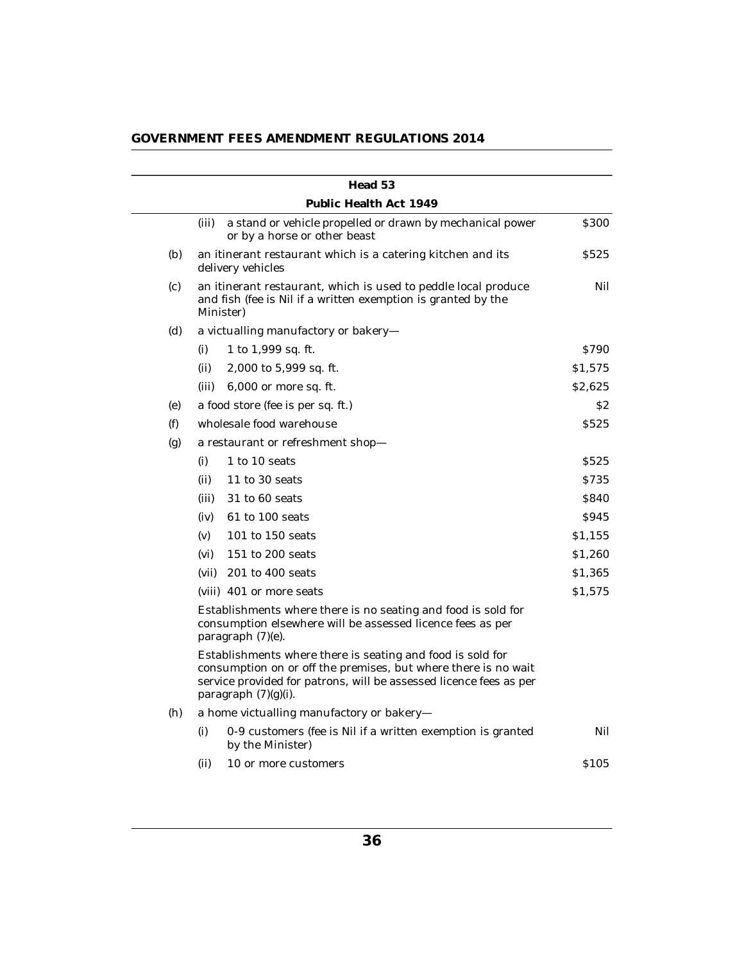|     |       | Head 53                                                                                                                                                                                                                    |         |
|-----|-------|----------------------------------------------------------------------------------------------------------------------------------------------------------------------------------------------------------------------------|---------|
|     |       | Public Health Act 1949                                                                                                                                                                                                     |         |
|     | (iii) | a stand or vehicle propelled or drawn by mechanical power<br>or by a horse or other beast                                                                                                                                  | \$300   |
| (b) |       | an itinerant restaurant which is a catering kitchen and its<br>delivery vehicles                                                                                                                                           | \$525   |
| (c) |       | an itinerant restaurant, which is used to peddle local produce<br>and fish (fee is Nil if a written exemption is granted by the<br>Minister)                                                                               | Nil     |
| (d) |       | a victualling manufactory or bakery-                                                                                                                                                                                       |         |
|     | (i)   | 1 to $1,999$ sq. ft.                                                                                                                                                                                                       | S790    |
|     | (ii)  | 2,000 to 5,999 sq. ft.                                                                                                                                                                                                     | \$1,575 |
|     | (iii) | 6,000 or more sq. ft.                                                                                                                                                                                                      | \$2,625 |
| (e) |       | a food store (fee is per sq. ft.)                                                                                                                                                                                          | \$2     |
| (f) |       | wholesale food warehouse                                                                                                                                                                                                   | \$525   |
| (g) |       | a restaurant or refreshment shop-                                                                                                                                                                                          |         |
|     | (i)   | 1 to 10 seats                                                                                                                                                                                                              | \$525   |
|     | (ii)  | 11 to 30 seats                                                                                                                                                                                                             | \$735   |
|     | (iii) | 31 to 60 seats                                                                                                                                                                                                             | \$840   |
|     | (iv)  | 61 to 100 seats                                                                                                                                                                                                            | \$945   |
|     | (v)   | $101$ to $150$ seats                                                                                                                                                                                                       | \$1,155 |
|     | (vi)  | 151 to 200 seats                                                                                                                                                                                                           | \$1,260 |
|     | (vii) | 201 to 400 seats                                                                                                                                                                                                           | \$1,365 |
|     |       | (viii) 401 or more seats                                                                                                                                                                                                   | \$1,575 |
|     |       | Establishments where there is no seating and food is sold for<br>consumption elsewhere will be assessed licence fees as per<br>paragraph (7)(e).                                                                           |         |
|     |       | Establishments where there is seating and food is sold for<br>consumption on or off the premises, but where there is no wait<br>service provided for patrons, will be assessed licence fees as per<br>paragraph (7)(g)(i). |         |
| (h) |       | a home victualling manufactory or bakery-                                                                                                                                                                                  |         |
|     | (i)   | 0-9 customers (fee is Nil if a written exemption is granted<br>by the Minister)                                                                                                                                            | Nil     |
|     | (ii)  | 10 or more customers                                                                                                                                                                                                       | \$105   |
|     |       |                                                                                                                                                                                                                            |         |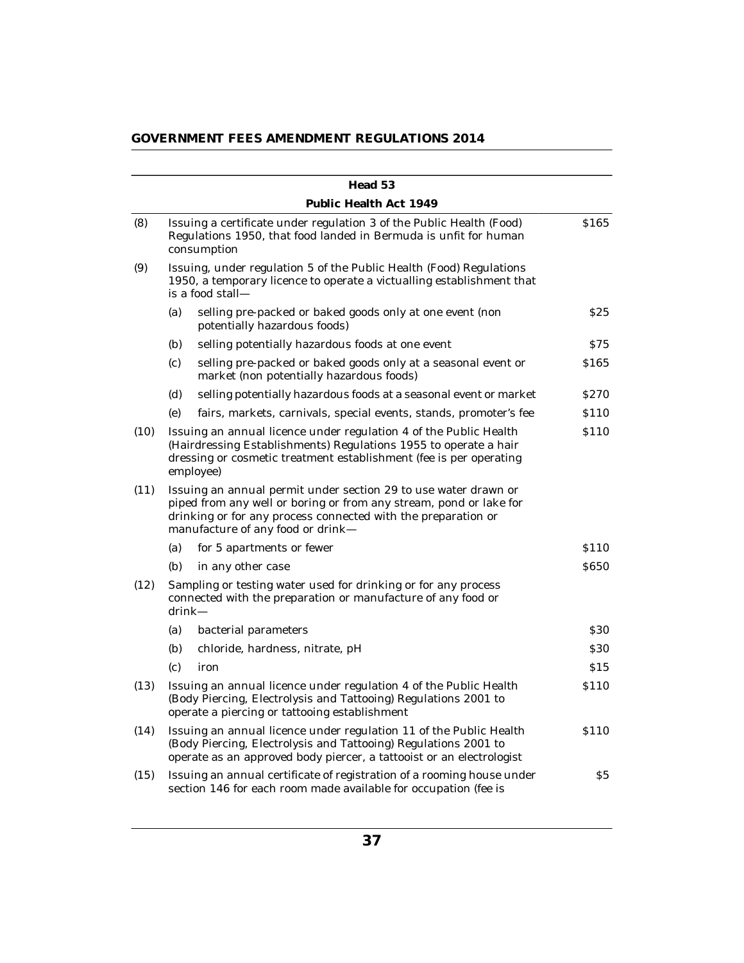| GOVERNMENT FEES AMENDMENT REGULATIONS 2014 |  |  |
|--------------------------------------------|--|--|
|                                            |  |  |

|      |           | Head 53                                                                                                                                                                                                                                     |                  |
|------|-----------|---------------------------------------------------------------------------------------------------------------------------------------------------------------------------------------------------------------------------------------------|------------------|
|      |           | Public Health Act 1949                                                                                                                                                                                                                      |                  |
| (8)  |           | Issuing a certificate under regulation 3 of the Public Health (Food)<br>Regulations 1950, that food landed in Bermuda is unfit for human<br>consumption                                                                                     | \$165            |
| (9)  |           | Issuing, under regulation 5 of the Public Health (Food) Regulations<br>1950, a temporary licence to operate a victualling establishment that<br>is a food stall-                                                                            |                  |
|      | (a)       | selling pre-packed or baked goods only at one event (non<br>potentially hazardous foods)                                                                                                                                                    | \$25             |
|      | (b)       | selling potentially hazardous foods at one event                                                                                                                                                                                            | S75              |
|      | (c)       | selling pre-packed or baked goods only at a seasonal event or<br>market (non potentially hazardous foods)                                                                                                                                   | \$165            |
|      | (d)       | selling potentially hazardous foods at a seasonal event or market                                                                                                                                                                           | \$270            |
|      | (e)       | fairs, markets, carnivals, special events, stands, promoter's fee                                                                                                                                                                           | \$110            |
| (10) |           | Issuing an annual licence under regulation 4 of the Public Health<br>(Hairdressing Establishments) Regulations 1955 to operate a hair<br>dressing or cosmetic treatment establishment (fee is per operating<br>employee)                    | S <sub>110</sub> |
| (11) |           | Issuing an annual permit under section 29 to use water drawn or<br>piped from any well or boring or from any stream, pond or lake for<br>drinking or for any process connected with the preparation or<br>manufacture of any food or drink— |                  |
|      | (a)       | for 5 apartments or fewer                                                                                                                                                                                                                   | \$110            |
|      | (b)       | in any other case                                                                                                                                                                                                                           | <b>S650</b>      |
| (12) | $drink -$ | Sampling or testing water used for drinking or for any process<br>connected with the preparation or manufacture of any food or                                                                                                              |                  |
|      | (a)       | bacterial parameters                                                                                                                                                                                                                        | <b>S30</b>       |
|      | (b)       | chloride, hardness, nitrate, pH                                                                                                                                                                                                             | \$30             |
|      | (c)       | iron                                                                                                                                                                                                                                        | \$15             |
| (13) |           | Issuing an annual licence under regulation 4 of the Public Health<br>(Body Piercing, Electrolysis and Tattooing) Regulations 2001 to<br>operate a piercing or tattooing establishment                                                       | \$110            |
| (14) |           | Issuing an annual licence under regulation 11 of the Public Health<br>(Body Piercing, Electrolysis and Tattooing) Regulations 2001 to<br>operate as an approved body piercer, a tattooist or an electrologist                               | \$110            |
| (15) |           | Issuing an annual certificate of registration of a rooming house under<br>section 146 for each room made available for occupation (fee is                                                                                                   | S <sub>5</sub>   |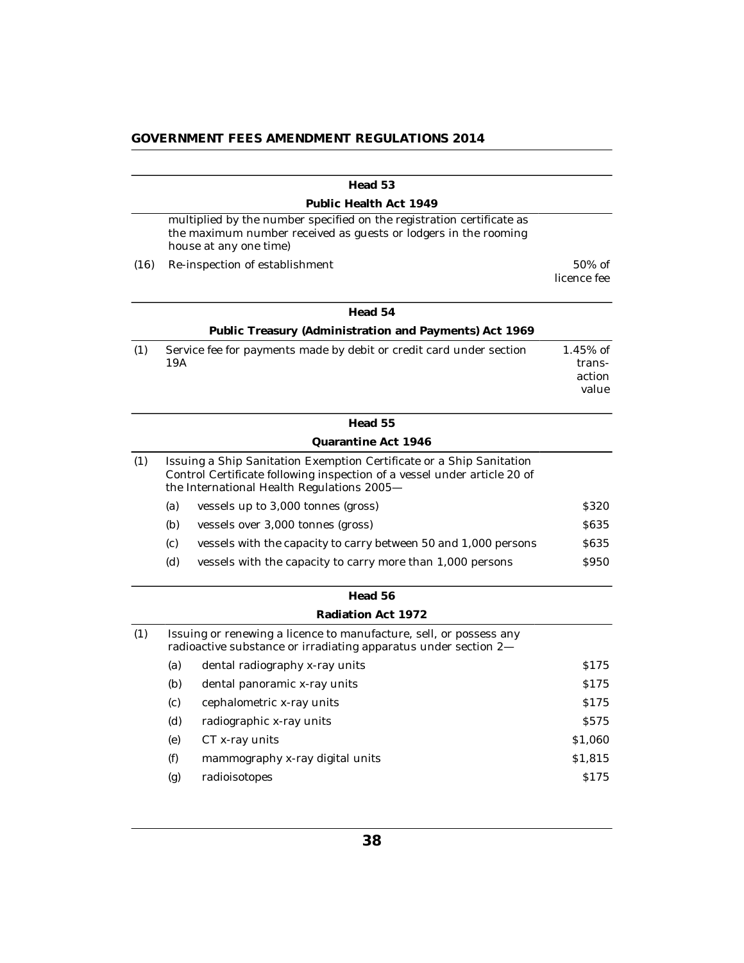|      | Public Health Act 1949                                                                                                                                                                         |                                          |
|------|------------------------------------------------------------------------------------------------------------------------------------------------------------------------------------------------|------------------------------------------|
|      |                                                                                                                                                                                                |                                          |
|      | multiplied by the number specified on the registration certificate as<br>the maximum number received as guests or lodgers in the rooming<br>house at any one time)                             |                                          |
| (16) | Re-inspection of establishment                                                                                                                                                                 | $50\%$ of<br>licence fee                 |
|      | Head 54                                                                                                                                                                                        |                                          |
|      | Public Treasury (Administration and Payments) Act 1969                                                                                                                                         |                                          |
| (1)  | Service fee for payments made by debit or credit card under section<br>19A                                                                                                                     | $1.45\%$ of<br>trans-<br>action<br>value |
|      | Head 55                                                                                                                                                                                        |                                          |
|      | Quarantine Act 1946                                                                                                                                                                            |                                          |
| (1)  | Issuing a Ship Sanitation Exemption Certificate or a Ship Sanitation<br>Control Certificate following inspection of a vessel under article 20 of<br>the International Health Regulations 2005- |                                          |
|      | (a)<br>vessels up to 3,000 tonnes (gross)                                                                                                                                                      | \$320                                    |
|      | (b)<br>vessels over 3,000 tonnes (gross)                                                                                                                                                       | <b>S635</b>                              |
|      | (c)<br>vessels with the capacity to carry between 50 and 1,000 persons                                                                                                                         | <b>S635</b>                              |
|      | (d)<br>vessels with the capacity to carry more than 1,000 persons                                                                                                                              | \$950                                    |
|      | Head 56                                                                                                                                                                                        |                                          |
|      | Radiation Act 1972                                                                                                                                                                             |                                          |
| (1)  | Issuing or renewing a licence to manufacture, sell, or possess any<br>radioactive substance or irradiating apparatus under section 2-                                                          |                                          |
|      | (a)<br>dental radiography x-ray units                                                                                                                                                          | \$175                                    |
|      | (b)<br>dental panoramic x-ray units                                                                                                                                                            | \$175                                    |
|      | (c)<br>cephalometric x-ray units                                                                                                                                                               | S175                                     |
|      | (d)<br>radiographic x-ray units                                                                                                                                                                | <b>S575</b>                              |
|      | (e)<br>CT x-ray units                                                                                                                                                                          | \$1,060                                  |
|      | (f)<br>mammography x-ray digital units                                                                                                                                                         | \$1,815                                  |
|      | radioisotopes<br>(g)                                                                                                                                                                           | \$175                                    |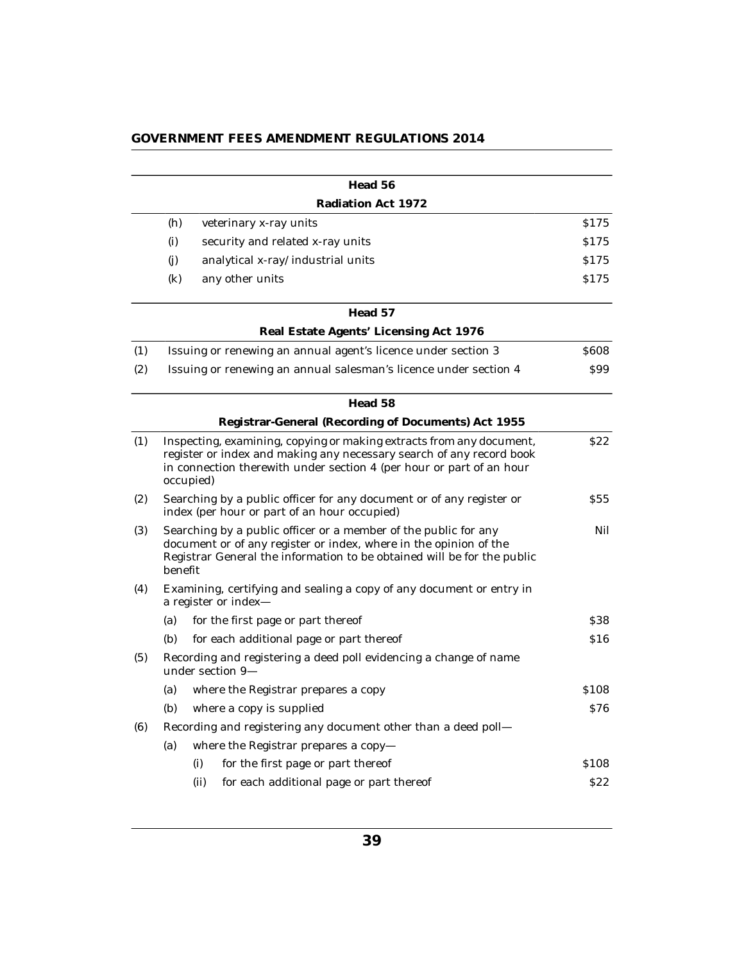|     |           | Head 56                                                                                                                                                                                                              |            |
|-----|-----------|----------------------------------------------------------------------------------------------------------------------------------------------------------------------------------------------------------------------|------------|
|     |           | Radiation Act 1972                                                                                                                                                                                                   |            |
|     | (h)       | veterinary x-ray units                                                                                                                                                                                               | S175       |
|     | (i)       | security and related x-ray units                                                                                                                                                                                     | S175       |
|     | (i)       | analytical x-ray/industrial units                                                                                                                                                                                    | \$175      |
|     | (k)       | any other units                                                                                                                                                                                                      | S175       |
|     |           | Head 57                                                                                                                                                                                                              |            |
|     |           | Real Estate Agents' Licensing Act 1976                                                                                                                                                                               |            |
| (1) |           | Issuing or renewing an annual agent's licence under section 3                                                                                                                                                        | \$608      |
| (2) |           | Issuing or renewing an annual salesman's licence under section 4                                                                                                                                                     | S99        |
|     |           | Head 58                                                                                                                                                                                                              |            |
|     |           | Registrar-General (Recording of Documents) Act 1955                                                                                                                                                                  |            |
| (1) | occupied) | Inspecting, examining, copying or making extracts from any document,<br>register or index and making any necessary search of any record book<br>in connection therewith under section 4 (per hour or part of an hour | S22        |
| (2) |           | Searching by a public officer for any document or of any register or<br>index (per hour or part of an hour occupied)                                                                                                 | <b>S55</b> |
| (3) | benefit   | Searching by a public officer or a member of the public for any<br>document or of any register or index, where in the opinion of the<br>Registrar General the information to be obtained will be for the public      | Nil        |
| (4) |           | Examining, certifying and sealing a copy of any document or entry in<br>a register or index-                                                                                                                         |            |
|     | (a)       | for the first page or part thereof                                                                                                                                                                                   | \$38       |
|     | (b)       | for each additional page or part thereof                                                                                                                                                                             | \$16       |
| (5) |           | Recording and registering a deed poll evidencing a change of name<br>under section 9-                                                                                                                                |            |
|     | (a)       | where the Registrar prepares a copy                                                                                                                                                                                  | \$108      |
|     | (b)       | where a copy is supplied                                                                                                                                                                                             | S76        |
| (6) |           | Recording and registering any document other than a deed poll-                                                                                                                                                       |            |
|     | (a)       | where the Registrar prepares a copy-                                                                                                                                                                                 |            |
|     |           | (i)<br>for the first page or part thereof                                                                                                                                                                            | \$108      |
|     |           | (ii)<br>for each additional page or part thereof                                                                                                                                                                     | \$22       |
|     |           |                                                                                                                                                                                                                      |            |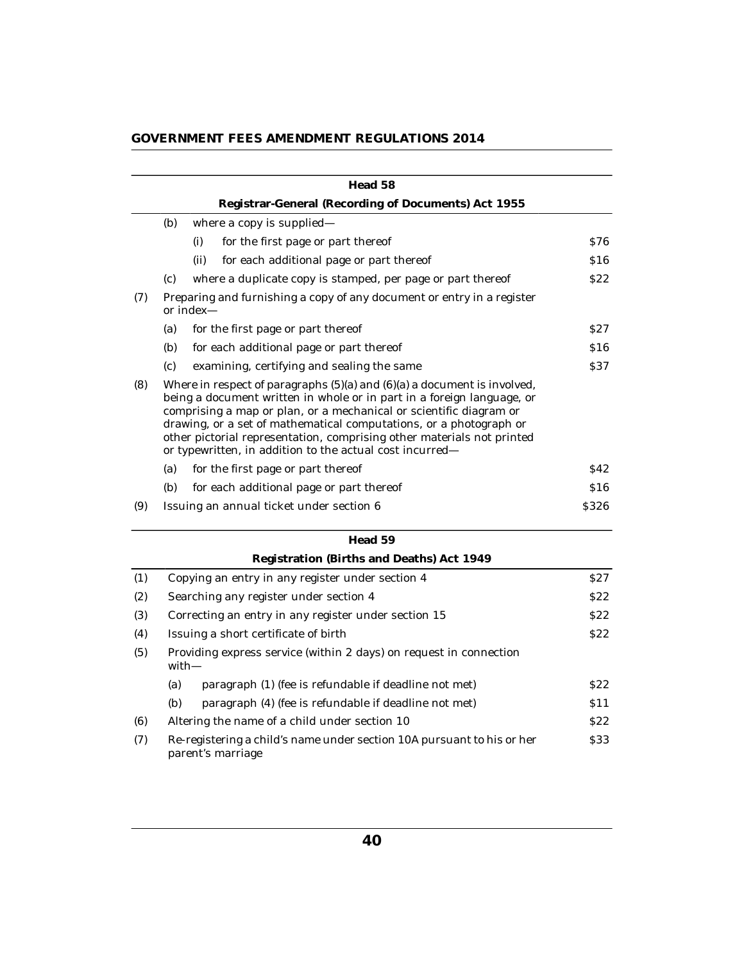|  |  | GOVERNMENT FEES AMENDMENT REGULATIONS 2014 |
|--|--|--------------------------------------------|
|--|--|--------------------------------------------|

|     |     | Head 58                                                                                                                                                                                                                                                                                                                                                                                                                                  |                 |
|-----|-----|------------------------------------------------------------------------------------------------------------------------------------------------------------------------------------------------------------------------------------------------------------------------------------------------------------------------------------------------------------------------------------------------------------------------------------------|-----------------|
|     |     | Registrar-General (Recording of Documents) Act 1955                                                                                                                                                                                                                                                                                                                                                                                      |                 |
|     | (b) | where a copy is supplied—                                                                                                                                                                                                                                                                                                                                                                                                                |                 |
|     |     | for the first page or part thereof<br>(i)                                                                                                                                                                                                                                                                                                                                                                                                | S76             |
|     |     | (ii)<br>for each additional page or part thereof                                                                                                                                                                                                                                                                                                                                                                                         | \$16            |
|     | (c) | where a duplicate copy is stamped, per page or part thereof                                                                                                                                                                                                                                                                                                                                                                              | S <sub>22</sub> |
| (7) |     | Preparing and furnishing a copy of any document or entry in a register<br>or index-                                                                                                                                                                                                                                                                                                                                                      |                 |
|     | (a) | for the first page or part thereof                                                                                                                                                                                                                                                                                                                                                                                                       | S <sub>27</sub> |
|     | (b) | for each additional page or part thereof                                                                                                                                                                                                                                                                                                                                                                                                 | \$16            |
|     | (c) | examining, certifying and sealing the same                                                                                                                                                                                                                                                                                                                                                                                               | \$37            |
| (8) |     | Where in respect of paragraphs $(5)(a)$ and $(6)(a)$ a document is involved,<br>being a document written in whole or in part in a foreign language, or<br>comprising a map or plan, or a mechanical or scientific diagram or<br>drawing, or a set of mathematical computations, or a photograph or<br>other pictorial representation, comprising other materials not printed<br>or typewritten, in addition to the actual cost incurred- |                 |
|     | (a) | for the first page or part thereof                                                                                                                                                                                                                                                                                                                                                                                                       | S42             |
|     | (b) | for each additional page or part thereof                                                                                                                                                                                                                                                                                                                                                                                                 | \$16            |
| (9) |     | Issuing an annual ticket under section 6                                                                                                                                                                                                                                                                                                                                                                                                 | <b>S326</b>     |
|     |     | Head 59                                                                                                                                                                                                                                                                                                                                                                                                                                  |                 |

|     | Registration (Births and Deaths) Act 1949                                                   |                 |
|-----|---------------------------------------------------------------------------------------------|-----------------|
| (1) | Copying an entry in any register under section 4                                            | S27             |
| (2) | Searching any register under section 4                                                      | S <sub>22</sub> |
| (3) | Correcting an entry in any register under section 15                                        | S <sub>22</sub> |
| (4) | Issuing a short certificate of birth                                                        | \$22            |
| (5) | Providing express service (within 2 days) on request in connection<br>with—                 |                 |
|     | paragraph (1) (fee is refundable if deadline not met)<br>(a)                                | \$22            |
|     | (b)<br>paragraph (4) (fee is refundable if deadline not met)                                | \$11            |
| (6) | Altering the name of a child under section 10                                               | S <sub>22</sub> |
| (7) | Re-registering a child's name under section 10A pursuant to his or her<br>parent's marriage | <b>S33</b>      |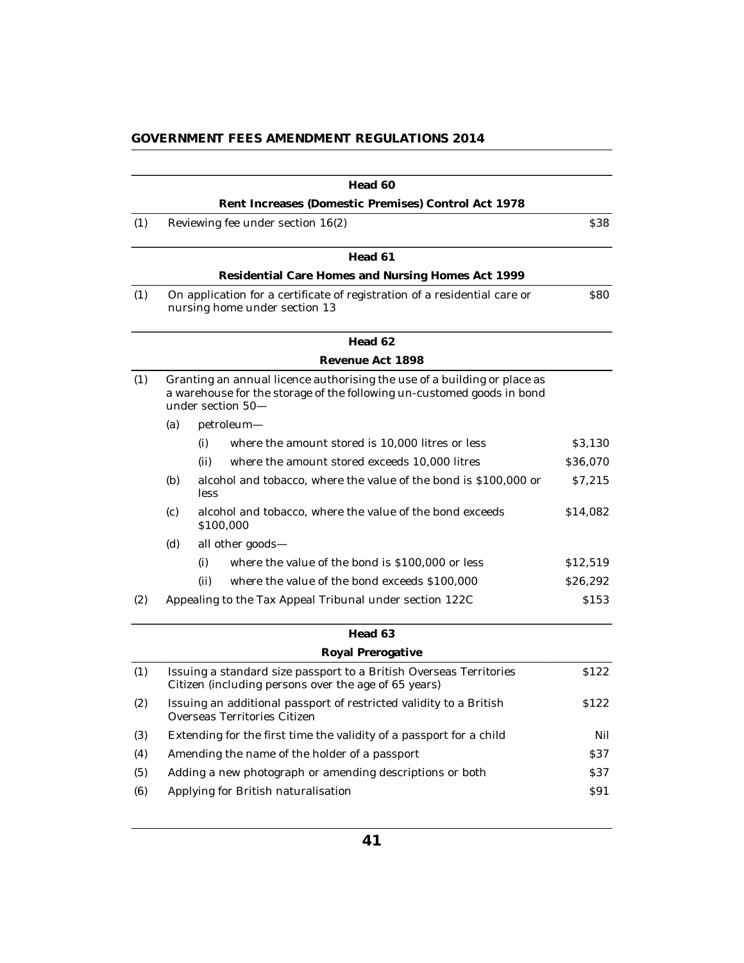|     |     | Head 60                                                                                                                                                                 |            |  |
|-----|-----|-------------------------------------------------------------------------------------------------------------------------------------------------------------------------|------------|--|
|     |     | Rent Increases (Domestic Premises) Control Act 1978                                                                                                                     |            |  |
| (1) |     | Reviewing fee under section 16(2)                                                                                                                                       | \$38       |  |
|     |     | Head 61                                                                                                                                                                 |            |  |
|     |     | Residential Care Homes and Nursing Homes Act 1999                                                                                                                       |            |  |
| (1) |     | On application for a certificate of registration of a residential care or<br>nursing home under section 13                                                              | <b>S80</b> |  |
|     |     | Head 62                                                                                                                                                                 |            |  |
|     |     | Revenue Act 1898                                                                                                                                                        |            |  |
| (1) |     | Granting an annual licence authorising the use of a building or place as<br>a warehouse for the storage of the following un-customed goods in bond<br>under section 50- |            |  |
|     | (a) | petroleum-                                                                                                                                                              |            |  |
|     |     | (i)<br>where the amount stored is 10,000 litres or less                                                                                                                 | \$3,130    |  |
|     |     | (ii)<br>where the amount stored exceeds 10,000 litres                                                                                                                   | \$36,070   |  |
|     | (b) | alcohol and tobacco, where the value of the bond is \$100,000 or<br>less                                                                                                | \$7,215    |  |
|     | (c) | alcohol and tobacco, where the value of the bond exceeds<br>\$100,000                                                                                                   | \$14,082   |  |
|     | (d) | all other goods-                                                                                                                                                        |            |  |
|     |     | (i)<br>where the value of the bond is \$100,000 or less                                                                                                                 | \$12,519   |  |
|     |     | where the value of the bond exceeds \$100,000<br>(ii)                                                                                                                   | \$26,292   |  |
| (2) |     | Appealing to the Tax Appeal Tribunal under section 122C                                                                                                                 | \$153      |  |
|     |     | Head 63                                                                                                                                                                 |            |  |
|     |     | Royal Prerogative                                                                                                                                                       |            |  |
| (1) |     | Issuing a standard size passport to a British Overseas Territories<br>Citizen (including persons over the age of 65 years)                                              | S122       |  |
| (2) |     | Issuing an additional passport of restricted validity to a British<br>\$122<br>Overseas Territories Citizen                                                             |            |  |
| (3) |     | Extending for the first time the validity of a passport for a child                                                                                                     | Nil        |  |
| (4) |     | Amending the name of the holder of a passport                                                                                                                           | \$37       |  |
| (5) |     | Adding a new photograph or amending descriptions or both                                                                                                                | \$37       |  |
| (6) |     | Applying for British naturalisation                                                                                                                                     | \$91       |  |
|     |     |                                                                                                                                                                         |            |  |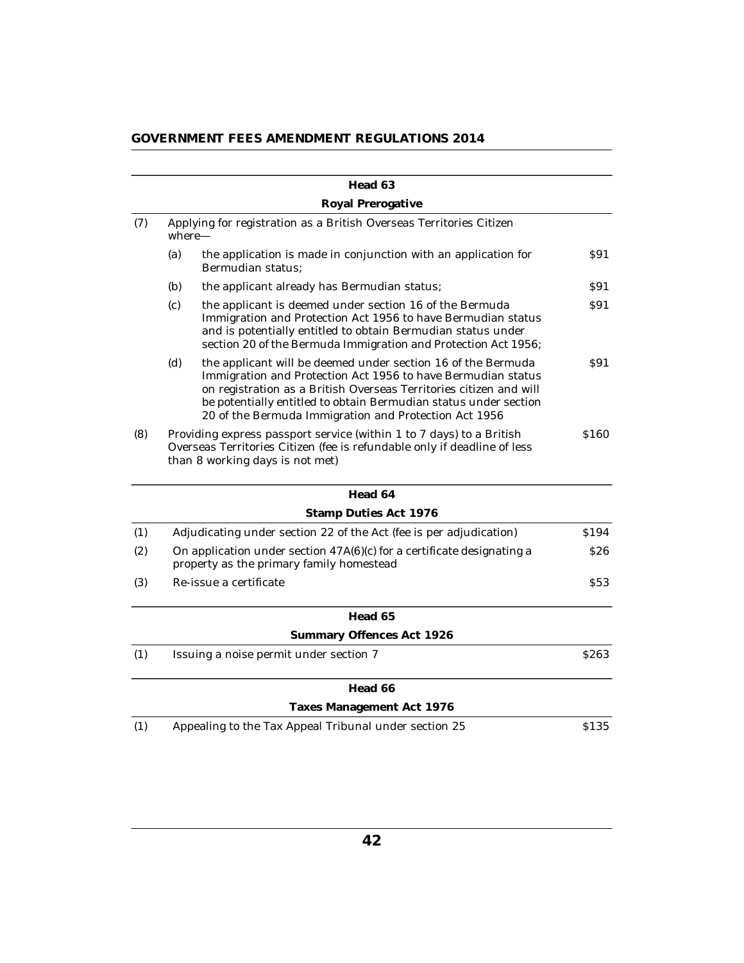|     |                                                                                                                    | Head 63                                                                                                                                                                                                                                                                                                                         |            |
|-----|--------------------------------------------------------------------------------------------------------------------|---------------------------------------------------------------------------------------------------------------------------------------------------------------------------------------------------------------------------------------------------------------------------------------------------------------------------------|------------|
|     |                                                                                                                    | Royal Prerogative                                                                                                                                                                                                                                                                                                               |            |
| (7) | Applying for registration as a British Overseas Territories Citizen<br>$where-$                                    |                                                                                                                                                                                                                                                                                                                                 |            |
|     | (a)                                                                                                                | the application is made in conjunction with an application for<br>Bermudian status;                                                                                                                                                                                                                                             | \$91       |
|     | (b)                                                                                                                | the applicant already has Bermudian status;                                                                                                                                                                                                                                                                                     | S91        |
|     | (c)                                                                                                                | the applicant is deemed under section 16 of the Bermuda<br>Immigration and Protection Act 1956 to have Bermudian status<br>and is potentially entitled to obtain Bermudian status under<br>section 20 of the Bermuda Immigration and Protection Act 1956;                                                                       | S91        |
|     | (d)                                                                                                                | the applicant will be deemed under section 16 of the Bermuda<br>Immigration and Protection Act 1956 to have Bermudian status<br>on registration as a British Overseas Territories citizen and will<br>be potentially entitled to obtain Bermudian status under section<br>20 of the Bermuda Immigration and Protection Act 1956 | S91        |
| (8) |                                                                                                                    | Providing express passport service (within 1 to 7 days) to a British<br>Overseas Territories Citizen (fee is refundable only if deadline of less<br>than 8 working days is not met)                                                                                                                                             | \$160      |
|     |                                                                                                                    | Head 64                                                                                                                                                                                                                                                                                                                         |            |
|     |                                                                                                                    | Stamp Duties Act 1976                                                                                                                                                                                                                                                                                                           |            |
| (1) |                                                                                                                    | Adjudicating under section 22 of the Act (fee is per adjudication)                                                                                                                                                                                                                                                              | \$194      |
| (2) | On application under section 47A(6)(c) for a certificate designating a<br>property as the primary family homestead |                                                                                                                                                                                                                                                                                                                                 | <b>S26</b> |
| (3) |                                                                                                                    | Re-issue a certificate                                                                                                                                                                                                                                                                                                          | <b>S53</b> |
|     |                                                                                                                    | Head 65                                                                                                                                                                                                                                                                                                                         |            |
|     |                                                                                                                    | Summary Offences Act 1926                                                                                                                                                                                                                                                                                                       |            |
| (1) |                                                                                                                    | Issuing a noise permit under section 7                                                                                                                                                                                                                                                                                          | \$263      |
|     |                                                                                                                    | Head 66                                                                                                                                                                                                                                                                                                                         |            |
|     |                                                                                                                    | Taxes Management Act 1976                                                                                                                                                                                                                                                                                                       |            |
| (1) |                                                                                                                    | Appealing to the Tax Appeal Tribunal under section 25                                                                                                                                                                                                                                                                           | \$135      |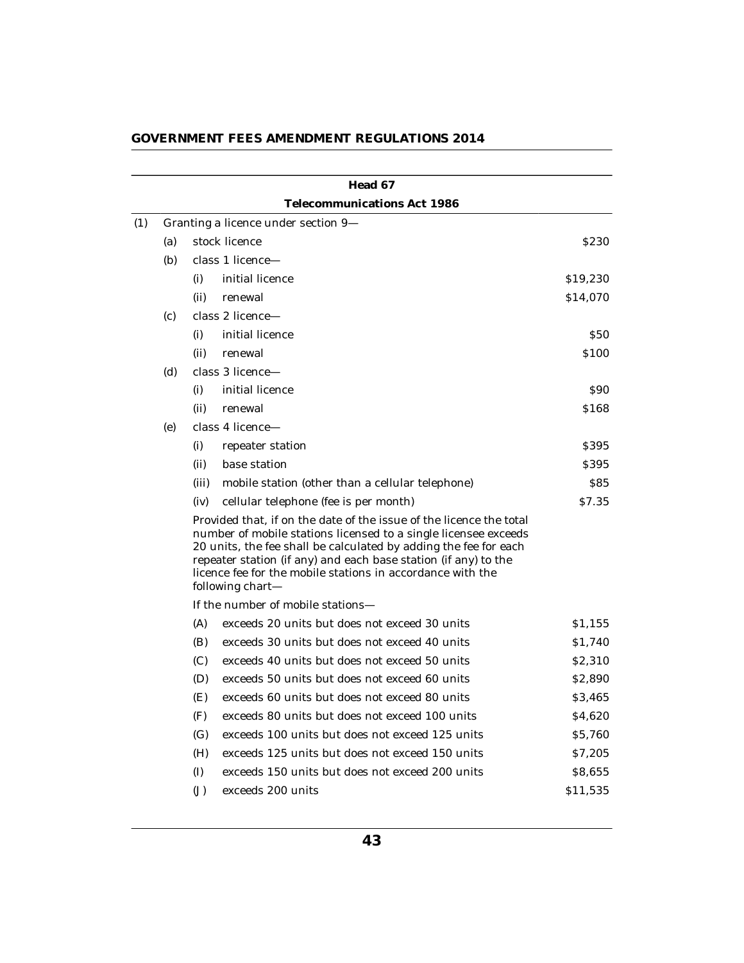|     |     |                                                                                                                                                                                                                                                                                                                                                                 | Head 67                                          |              |  |  |  |
|-----|-----|-----------------------------------------------------------------------------------------------------------------------------------------------------------------------------------------------------------------------------------------------------------------------------------------------------------------------------------------------------------------|--------------------------------------------------|--------------|--|--|--|
|     |     |                                                                                                                                                                                                                                                                                                                                                                 | Telecommunications Act 1986                      |              |  |  |  |
| (1) |     | Granting a licence under section 9-                                                                                                                                                                                                                                                                                                                             |                                                  |              |  |  |  |
|     | (a) |                                                                                                                                                                                                                                                                                                                                                                 | stock licence                                    | <b>\$230</b> |  |  |  |
|     | (b) |                                                                                                                                                                                                                                                                                                                                                                 | class 1 licence-                                 |              |  |  |  |
|     |     | (i)                                                                                                                                                                                                                                                                                                                                                             | initial licence                                  | \$19,230     |  |  |  |
|     |     | (ii)                                                                                                                                                                                                                                                                                                                                                            | renewal                                          | \$14,070     |  |  |  |
|     | (c) |                                                                                                                                                                                                                                                                                                                                                                 | class 2 licence-                                 |              |  |  |  |
|     |     | (i)                                                                                                                                                                                                                                                                                                                                                             | initial licence                                  | <b>\$50</b>  |  |  |  |
|     |     | (ii)                                                                                                                                                                                                                                                                                                                                                            | renewal                                          | \$100        |  |  |  |
|     | (d) |                                                                                                                                                                                                                                                                                                                                                                 | class 3 licence-                                 |              |  |  |  |
|     |     | (i)                                                                                                                                                                                                                                                                                                                                                             | initial licence                                  | \$90         |  |  |  |
|     |     | (ii)                                                                                                                                                                                                                                                                                                                                                            | renewal                                          | \$168        |  |  |  |
|     | (e) |                                                                                                                                                                                                                                                                                                                                                                 | class 4 licence-                                 |              |  |  |  |
|     |     | (i)                                                                                                                                                                                                                                                                                                                                                             | repeater station                                 | \$395        |  |  |  |
|     |     | (ii)                                                                                                                                                                                                                                                                                                                                                            | base station                                     | \$395        |  |  |  |
|     |     | (iii)                                                                                                                                                                                                                                                                                                                                                           | mobile station (other than a cellular telephone) | S85          |  |  |  |
|     |     | (iv)                                                                                                                                                                                                                                                                                                                                                            | cellular telephone (fee is per month)            | \$7.35       |  |  |  |
|     |     | Provided that, if on the date of the issue of the licence the total<br>number of mobile stations licensed to a single licensee exceeds<br>20 units, the fee shall be calculated by adding the fee for each<br>repeater station (if any) and each base station (if any) to the<br>licence fee for the mobile stations in accordance with the<br>following chart- |                                                  |              |  |  |  |
|     |     |                                                                                                                                                                                                                                                                                                                                                                 |                                                  |              |  |  |  |
|     |     | (A)                                                                                                                                                                                                                                                                                                                                                             | exceeds 20 units but does not exceed 30 units    | \$1,155      |  |  |  |
|     |     | (B)                                                                                                                                                                                                                                                                                                                                                             | exceeds 30 units but does not exceed 40 units    | \$1,740      |  |  |  |
|     |     | (C)                                                                                                                                                                                                                                                                                                                                                             | exceeds 40 units but does not exceed 50 units    | \$2,310      |  |  |  |
|     |     | (D)                                                                                                                                                                                                                                                                                                                                                             | exceeds 50 units but does not exceed 60 units    | \$2,890      |  |  |  |
|     |     | (E)                                                                                                                                                                                                                                                                                                                                                             | exceeds 60 units but does not exceed 80 units    | \$3,465      |  |  |  |
|     |     | (F)                                                                                                                                                                                                                                                                                                                                                             | exceeds 80 units but does not exceed 100 units   | \$4,620      |  |  |  |
|     |     | (G)                                                                                                                                                                                                                                                                                                                                                             | exceeds 100 units but does not exceed 125 units  | \$5,760      |  |  |  |
|     |     | (H)                                                                                                                                                                                                                                                                                                                                                             | exceeds 125 units but does not exceed 150 units  | \$7,205      |  |  |  |
|     |     | (I)                                                                                                                                                                                                                                                                                                                                                             | exceeds 150 units but does not exceed 200 units  | \$8,655      |  |  |  |
|     |     | $(\mathbf{J})$                                                                                                                                                                                                                                                                                                                                                  | exceeds 200 units                                | \$11,535     |  |  |  |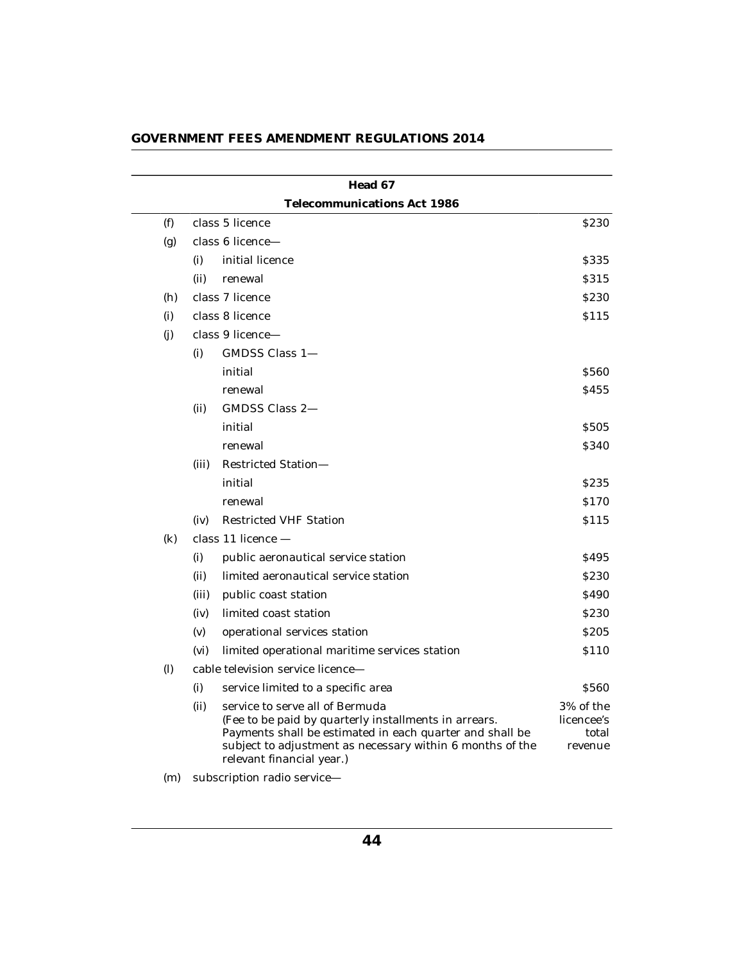|     |       | Head 67                                                                                                                                                                                                                                        |                                             |
|-----|-------|------------------------------------------------------------------------------------------------------------------------------------------------------------------------------------------------------------------------------------------------|---------------------------------------------|
|     |       | Telecommunications Act 1986                                                                                                                                                                                                                    |                                             |
| (f) |       | class 5 licence                                                                                                                                                                                                                                | \$230                                       |
| (g) |       | class 6 licence-                                                                                                                                                                                                                               |                                             |
|     | (i)   | initial licence                                                                                                                                                                                                                                | \$335                                       |
|     | (ii)  | renewal                                                                                                                                                                                                                                        | <b>S315</b>                                 |
| (h) |       | class 7 licence                                                                                                                                                                                                                                | <b>S230</b>                                 |
| (i) |       | class 8 licence                                                                                                                                                                                                                                | <b>S115</b>                                 |
| (j) |       | class 9 licence-                                                                                                                                                                                                                               |                                             |
|     | (i)   | GMDSS Class 1-                                                                                                                                                                                                                                 |                                             |
|     |       | initial                                                                                                                                                                                                                                        | \$560                                       |
|     |       | renewal                                                                                                                                                                                                                                        | <b>S455</b>                                 |
|     | (ii)  | GMDSS Class 2-                                                                                                                                                                                                                                 |                                             |
|     |       | initial                                                                                                                                                                                                                                        | \$505                                       |
|     |       | renewal                                                                                                                                                                                                                                        | \$340                                       |
|     | (iii) | <b>Restricted Station-</b>                                                                                                                                                                                                                     |                                             |
|     |       | initial                                                                                                                                                                                                                                        | S <sub>2</sub> 35                           |
|     |       | renewal                                                                                                                                                                                                                                        | \$170                                       |
|     | (iv)  | <b>Restricted VHF Station</b>                                                                                                                                                                                                                  | <b>S115</b>                                 |
| (k) |       | class $11$ licence $-$                                                                                                                                                                                                                         |                                             |
|     | (i)   | public aeronautical service station                                                                                                                                                                                                            | <b>S495</b>                                 |
|     | (ii)  | limited aeronautical service station                                                                                                                                                                                                           | <b>S230</b>                                 |
|     | (iii) | public coast station                                                                                                                                                                                                                           | <b>S490</b>                                 |
|     | (iv)  | limited coast station                                                                                                                                                                                                                          | <b>S230</b>                                 |
|     | (v)   | operational services station                                                                                                                                                                                                                   | S <sub>205</sub>                            |
|     | (vi)  | limited operational maritime services station                                                                                                                                                                                                  | \$110                                       |
| (1) |       | cable television service licence-                                                                                                                                                                                                              |                                             |
|     | (i)   | service limited to a specific area                                                                                                                                                                                                             | \$560                                       |
|     | (ii)  | service to serve all of Bermuda<br>(Fee to be paid by quarterly installments in arrears.<br>Payments shall be estimated in each quarter and shall be<br>subject to adjustment as necessary within 6 months of the<br>relevant financial year.) | 3% of the<br>licencee's<br>total<br>revenue |
|     |       | $\mathbf{u}$                                                                                                                                                                                                                                   |                                             |

(m) subscription radio service—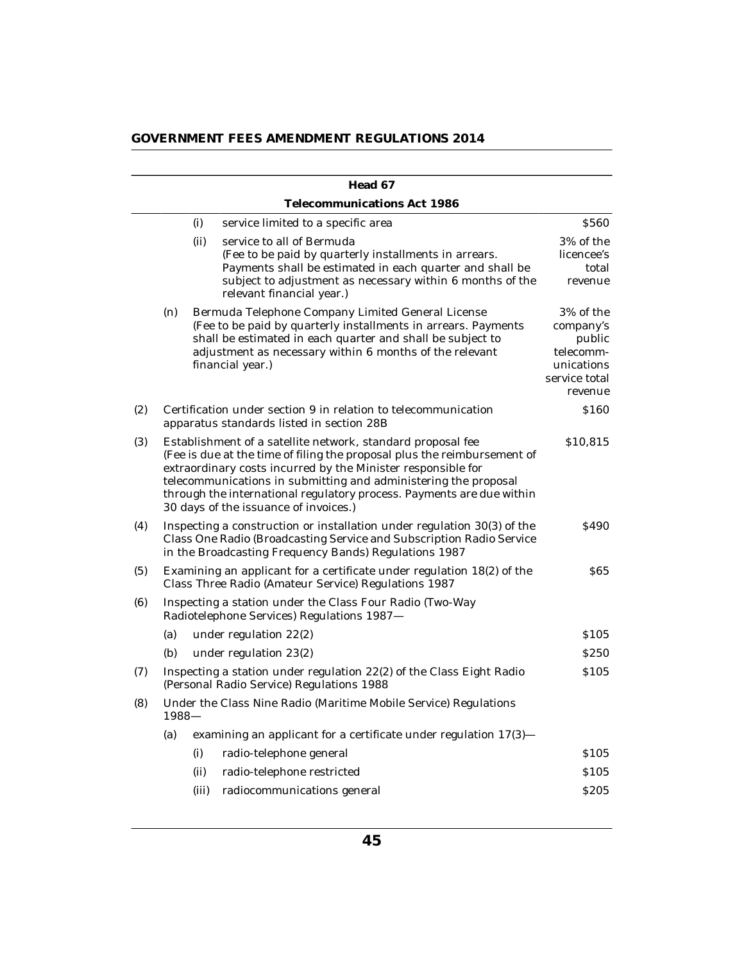| GOVERNMENT FEES AMENDMENT REGULATIONS 2014 |  |  |
|--------------------------------------------|--|--|
|--------------------------------------------|--|--|

|              |                                                                                                                                                                                                                                                                                                                                                                                              |       | Head 67                                                                                                                                                                                                                                                          |                                                                                         |
|--------------|----------------------------------------------------------------------------------------------------------------------------------------------------------------------------------------------------------------------------------------------------------------------------------------------------------------------------------------------------------------------------------------------|-------|------------------------------------------------------------------------------------------------------------------------------------------------------------------------------------------------------------------------------------------------------------------|-----------------------------------------------------------------------------------------|
|              |                                                                                                                                                                                                                                                                                                                                                                                              |       | Telecommunications Act 1986                                                                                                                                                                                                                                      |                                                                                         |
|              |                                                                                                                                                                                                                                                                                                                                                                                              | (i)   | service limited to a specific area                                                                                                                                                                                                                               | \$560                                                                                   |
|              |                                                                                                                                                                                                                                                                                                                                                                                              | (ii)  | service to all of Bermuda<br>(Fee to be paid by quarterly installments in arrears.<br>Payments shall be estimated in each quarter and shall be<br>subject to adjustment as necessary within 6 months of the<br>relevant financial year.)                         | 3% of the<br>licencee's<br>total<br>revenue                                             |
|              | (n)                                                                                                                                                                                                                                                                                                                                                                                          |       | Bermuda Telephone Company Limited General License<br>(Fee to be paid by quarterly installments in arrears. Payments<br>shall be estimated in each quarter and shall be subject to<br>adjustment as necessary within 6 months of the relevant<br>financial year.) | 3% of the<br>company's<br>public<br>telecomm-<br>unications<br>service total<br>revenue |
| (2)          |                                                                                                                                                                                                                                                                                                                                                                                              |       | Certification under section 9 in relation to telecommunication<br>apparatus standards listed in section 28B                                                                                                                                                      | \$160                                                                                   |
| (3)          | Establishment of a satellite network, standard proposal fee<br>(Fee is due at the time of filing the proposal plus the reimbursement of<br>extraordinary costs incurred by the Minister responsible for<br>telecommunications in submitting and administering the proposal<br>through the international regulatory process. Payments are due within<br>30 days of the issuance of invoices.) |       |                                                                                                                                                                                                                                                                  | \$10,815                                                                                |
| (4)          |                                                                                                                                                                                                                                                                                                                                                                                              |       | Inspecting a construction or installation under regulation 30(3) of the<br>Class One Radio (Broadcasting Service and Subscription Radio Service<br>in the Broadcasting Frequency Bands) Regulations 1987                                                         | \$490                                                                                   |
| (5)          |                                                                                                                                                                                                                                                                                                                                                                                              |       | Examining an applicant for a certificate under regulation 18(2) of the<br>Class Three Radio (Amateur Service) Regulations 1987                                                                                                                                   | 865                                                                                     |
| (6)          |                                                                                                                                                                                                                                                                                                                                                                                              |       | Inspecting a station under the Class Four Radio (Two-Way<br>Radiotelephone Services) Regulations 1987-                                                                                                                                                           |                                                                                         |
|              | (a)                                                                                                                                                                                                                                                                                                                                                                                          |       | under regulation 22(2)                                                                                                                                                                                                                                           | \$105                                                                                   |
|              | (b)                                                                                                                                                                                                                                                                                                                                                                                          |       | under regulation 23(2)                                                                                                                                                                                                                                           | <b>S250</b>                                                                             |
| (7)          |                                                                                                                                                                                                                                                                                                                                                                                              |       | Inspecting a station under regulation 22(2) of the Class Eight Radio<br>(Personal Radio Service) Regulations 1988                                                                                                                                                | \$105                                                                                   |
| (8)<br>1988- |                                                                                                                                                                                                                                                                                                                                                                                              |       | Under the Class Nine Radio (Maritime Mobile Service) Regulations                                                                                                                                                                                                 |                                                                                         |
|              | (a)                                                                                                                                                                                                                                                                                                                                                                                          |       | examining an applicant for a certificate under regulation 17(3)-                                                                                                                                                                                                 |                                                                                         |
|              |                                                                                                                                                                                                                                                                                                                                                                                              | (i)   | radio-telephone general                                                                                                                                                                                                                                          | \$105                                                                                   |
|              |                                                                                                                                                                                                                                                                                                                                                                                              | (ii)  | radio-telephone restricted                                                                                                                                                                                                                                       | \$105                                                                                   |
|              |                                                                                                                                                                                                                                                                                                                                                                                              | (iii) | radiocommunications general                                                                                                                                                                                                                                      | <b>\$205</b>                                                                            |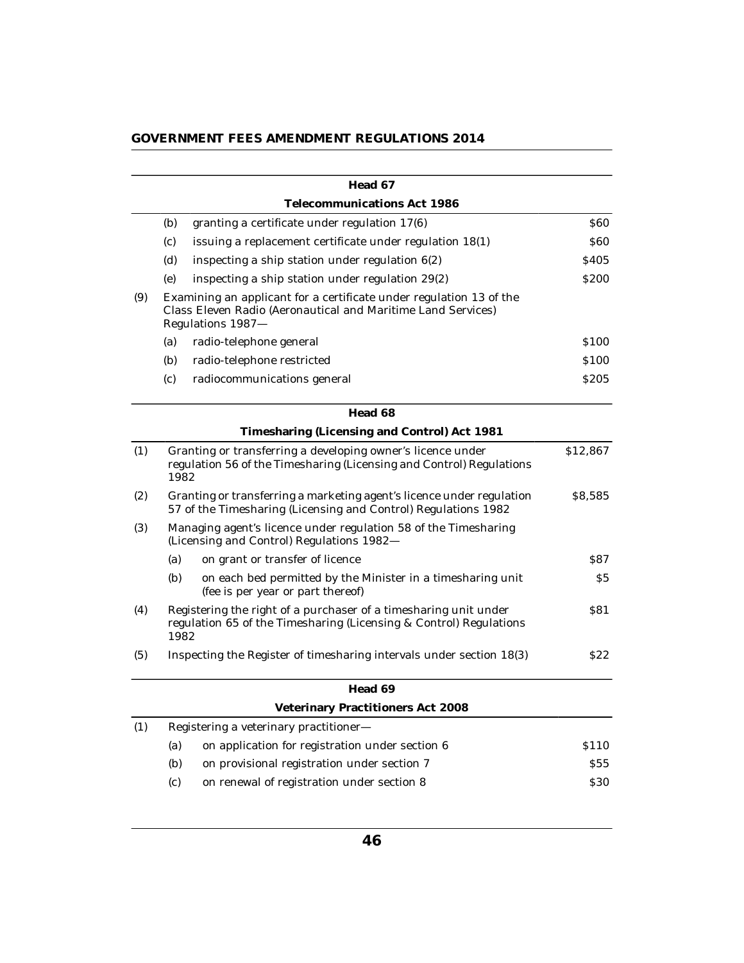| GOVERNMENT FEES AMENDMENT REGULATIONS 2014 |  |  |  |
|--------------------------------------------|--|--|--|
|--------------------------------------------|--|--|--|

|     |      | Head 67                                                                                                                                                  |                  |
|-----|------|----------------------------------------------------------------------------------------------------------------------------------------------------------|------------------|
|     |      | Telecommunications Act 1986                                                                                                                              |                  |
|     | (b)  | granting a certificate under regulation 17(6)                                                                                                            | <b>S60</b>       |
|     | (c)  | issuing a replacement certificate under regulation 18(1)                                                                                                 | <b>S60</b>       |
|     | (d)  | inspecting a ship station under regulation $6(2)$                                                                                                        | <b>S405</b>      |
|     | (e)  | inspecting a ship station under regulation 29(2)                                                                                                         | <b>S200</b>      |
| (9) |      | Examining an applicant for a certificate under regulation 13 of the<br>Class Eleven Radio (Aeronautical and Maritime Land Services)<br>Regulations 1987- |                  |
|     | (a)  | radio-telephone general                                                                                                                                  | \$100            |
|     | (b)  | radio-telephone restricted                                                                                                                               | \$100            |
|     | (c)  | radiocommunications general                                                                                                                              | \$205            |
|     |      | Head 68                                                                                                                                                  |                  |
|     |      | Timesharing (Licensing and Control) Act 1981                                                                                                             |                  |
| (1) | 1982 | Granting or transferring a developing owner's licence under<br>regulation 56 of the Timesharing (Licensing and Control) Regulations                      | \$12,867         |
| (2) |      | Granting or transferring a marketing agent's licence under regulation<br>57 of the Timesharing (Licensing and Control) Regulations 1982                  | \$8,585          |
| (3) |      | Managing agent's licence under regulation 58 of the Timesharing<br>(Licensing and Control) Regulations 1982-                                             |                  |
|     | (a)  | on grant or transfer of licence                                                                                                                          | 887              |
|     | (b)  | on each bed permitted by the Minister in a timesharing unit<br>(fee is per year or part thereof)                                                         | \$5              |
| (4) | 1982 | Registering the right of a purchaser of a timesharing unit under<br>regulation 65 of the Timesharing (Licensing & Control) Regulations                   | S81              |
| (5) |      | Inspecting the Register of timesharing intervals under section 18(3)                                                                                     | S22              |
|     |      | Head 69                                                                                                                                                  |                  |
|     |      | Veterinary Practitioners Act 2008                                                                                                                        |                  |
| (1) |      | Registering a veterinary practitioner-                                                                                                                   |                  |
|     | (a)  | on application for registration under section 6                                                                                                          | S <sub>110</sub> |
|     | (b)  | on provisional registration under section 7                                                                                                              | <b>S55</b>       |
|     | (c)  | on renewal of registration under section 8                                                                                                               | \$30             |